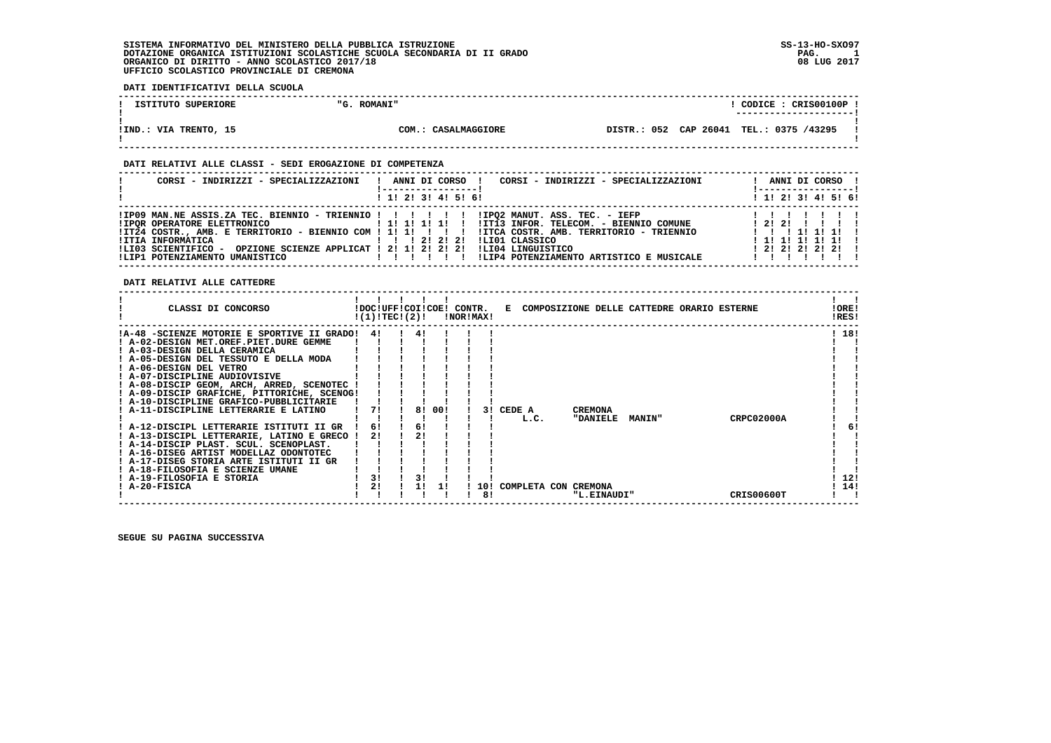### **DATI IDENTIFICATIVI DELLA SCUOLA**

| ISTITUTO SUPERIORE    | <b>ROMANI"</b><br>$^{\prime\prime}$ G. | CODICE: CRISO0100P<br>________________________ |  |
|-----------------------|----------------------------------------|------------------------------------------------|--|
| !IND.: VIA TRENTO, 15 | COM.: CASALMAGGIORE                    | DISTR.: 052 CAP 26041 TEL.: 0375 /43295        |  |

 **------------------------------------------------------------------------------------------------------------------------------------**

### **DATI RELATIVI ALLE CLASSI - SEDI EROGAZIONE DI COMPETENZA**

| CORSI - INDIRIZZI - SPECIALIZZAZIONI                                                  | ANNI DI CORSO !<br>CORSI - INDIRIZZI - SPECIALIZZAZIONI<br>$1$ , 1! 2! 3! 4! 5! 6!                                                                                                                                                                                                                                                                                                                            | ANNI DI CORSO !<br>  -----------------  <br>$1$ , 1! 2! 3! 4! 5! 6!                 |
|---------------------------------------------------------------------------------------|---------------------------------------------------------------------------------------------------------------------------------------------------------------------------------------------------------------------------------------------------------------------------------------------------------------------------------------------------------------------------------------------------------------|-------------------------------------------------------------------------------------|
| !ITIA INFORMATICA<br>OPZIONE SCIENZE APPLICAT ! 2! 1! 2! 2! 2!<br>!LI03 SCIENTIFICO - | !IP09 MAN.NE ASSIS.ZA TEC. BIENNIO - TRIENNIO ! ! ! ! ! ! !IPO2 MANUT. ASS. TEC. - IEFP<br>IPOR OPERATORE ELETTRONICO AND IN 1999   1999   1999   1999   1999   1999   1999   1999   1999   199<br>ITZ4 COSTR., AMB. E TERRITORIO - BIENNIO COM ! 1! 1! ! ! ! !ITCA COSTR. AMB. TERRITORIO - TRIENNIO<br>1 1 1 2 1 2 1 2 1<br>ILIO1 CLASSICO<br>ILI04 LINGUISTICO<br>!LIP4 POTENZIAMENTO ARTISTICO E MUSICALE | 1 2 1 2 1 1 1 1 1<br>1 1 1 1 1 1 1 1 1<br>1 1 1 1 1 1 1 1 1<br>$1$ 2! 2! 2! 2! 2! ! |

### **DATI RELATIVI ALLE CATTEDRE**

| 18!<br>!A-48 -SCIENZE MOTORIE E SPORTIVE II GRADO!<br>41<br>41<br>! A-02-DESIGN MET.OREF.PIET.DURE GEMME<br>! A-03-DESIGN DELLA CERAMICA<br>! A-05-DESIGN DEL TESSUTO E DELLA MODA<br>! A-06-DESIGN DEL VETRO<br>! A-07-DISCIPLINE AUDIOVISIVE<br>! A-08-DISCIP GEOM, ARCH, ARRED, SCENOTEC<br>! A-09-DISCIP GRAFICHE, PITTORICHE, SCENOG!<br>! A-10-DISCIPLINE GRAFICO-PUBBLICITARIE<br>A-11-DISCIPLINE LETTERARIE E LATINO<br>00!<br>71<br>8!<br>CEDE A<br><b>CREMONA</b><br>31<br><b>CRPC02000A</b><br><b>"DANIELE</b><br>L.C.<br><b>MANIN"</b><br>! A-12-DISCIPL LETTERARIE ISTITUTI II GR<br>61<br>6!<br>6!<br>21<br>A-13-DISCIPL LETTERARIE, LATINO E GRECO<br>! A-14-DISCIP PLAST. SCUL. SCENOPLAST.<br>A-16-DISEG ARTIST MODELLAZ ODONTOTEC<br>! A-17-DISEG STORIA ARTE ISTITUTI II GR<br>! A-18-FILOSOFIA E SCIENZE UMANE<br>3!<br>31<br>12!<br>! A-19-FILOSOFIA E STORIA<br>2!<br>14!<br>A-20-FISICA<br>COMPLETA CON CREMONA<br>11<br>10!<br>8!<br>CRIS00600T<br>"L.EINAUDI" |
|----------------------------------------------------------------------------------------------------------------------------------------------------------------------------------------------------------------------------------------------------------------------------------------------------------------------------------------------------------------------------------------------------------------------------------------------------------------------------------------------------------------------------------------------------------------------------------------------------------------------------------------------------------------------------------------------------------------------------------------------------------------------------------------------------------------------------------------------------------------------------------------------------------------------------------------------------------------------------------------|
|                                                                                                                                                                                                                                                                                                                                                                                                                                                                                                                                                                                                                                                                                                                                                                                                                                                                                                                                                                                        |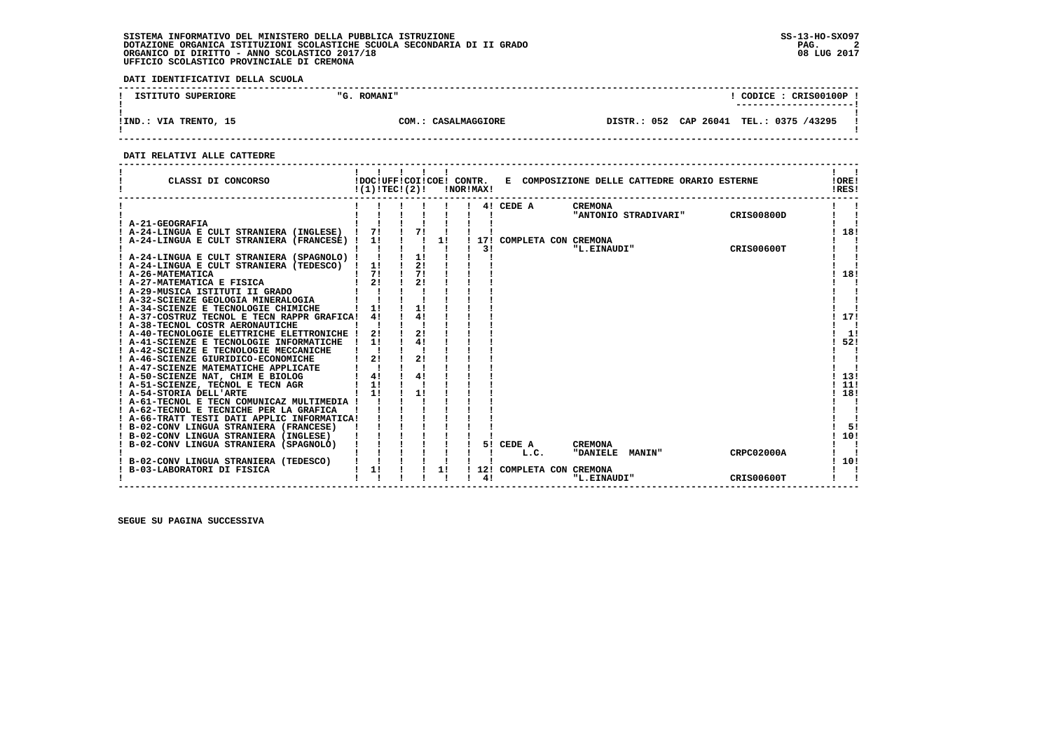**DATI IDENTIFICATIVI DELLA SCUOLA**

| ISTITUTO SUPERIORE    | "G. ROMANI"         | $\degree$ CODICE : CRIS00100P :<br>---------------------- |
|-----------------------|---------------------|-----------------------------------------------------------|
| !IND.: VIA TRENTO, 15 | COM.: CASALMAGGIORE | DISTR.: 052 CAP 26041 TEL.: 0375 /43295                   |

 **------------------------------------------------------------------------------------------------------------------------------------**

### **DATI RELATIVI ALLE CATTEDRE**

| CLASSI DI CONCORSO                                                | !DOC!UFF!COI!COE! CONTR.<br>!(1)!TEC!(2)! |    | !NOR!MAX! |     |                          | E COMPOSIZIONE DELLE CATTEDRE ORARIO ESTERNE |                   | !ORE!<br>!RES! |
|-------------------------------------------------------------------|-------------------------------------------|----|-----------|-----|--------------------------|----------------------------------------------|-------------------|----------------|
|                                                                   |                                           |    |           |     | 4! CEDE A                | <b>CREMONA</b>                               |                   |                |
| ! A-21-GEOGRAFIA                                                  |                                           |    |           |     |                          | "ANTONIO STRADIVARI"                         | <b>CRIS00800D</b> |                |
| ! A-24-LINGUA E CULT STRANIERA (INGLESE)                          | 71                                        | 71 |           |     |                          |                                              |                   | 18!            |
| A-24-LINGUA E CULT STRANIERA (FRANCESE) !                         | 11                                        | 11 |           |     | 17! COMPLETA CON CREMONA |                                              |                   |                |
|                                                                   |                                           |    |           | 3!  |                          | "L.EINAUDI"                                  | CRIS00600T        |                |
| ! A-24-LINGUA E CULT STRANIERA (SPAGNOLO) !                       |                                           | 1! |           |     |                          |                                              |                   |                |
| ! A-24-LINGUA E CULT STRANIERA (TEDESCO) !                        | 1!                                        | 2! |           |     |                          |                                              |                   |                |
| ! A-26-MATEMATICA                                                 | 71                                        | 71 |           |     |                          |                                              |                   | 18!            |
| ! A-27-MATEMATICA E FISICA                                        | 21                                        | 21 |           |     |                          |                                              |                   |                |
| ! A-29-MUSICA ISTITUTI II GRADO                                   |                                           |    |           |     |                          |                                              |                   |                |
| A-32-SCIENZE GEOLOGIA MINERALOGIA                                 |                                           |    |           |     |                          |                                              |                   |                |
| A-34-SCIENZE E TECNOLOGIE CHIMICHE                                | 11                                        | 1! |           |     |                          |                                              |                   |                |
| A-37-COSTRUZ TECNOL E TECN RAPPR GRAFICA!                         | 4!                                        | 41 |           |     |                          |                                              |                   | 17!            |
| A-38-TECNOL COSTR AERONAUTICHE                                    |                                           |    |           |     |                          |                                              |                   |                |
| A-40-TECNOLOGIE ELETTRICHE ELETTRONICHE                           | 2!                                        | 21 |           |     |                          |                                              |                   | 1!             |
| A-41-SCIENZE E TECNOLOGIE INFORMATICHE                            | 11                                        | 41 |           |     |                          |                                              |                   | 52!            |
| A-42-SCIENZE E TECNOLOGIE MECCANICHE                              |                                           |    |           |     |                          |                                              |                   |                |
| A-46-SCIENZE GIURIDICO-ECONOMICHE                                 | 2!                                        |    |           |     |                          |                                              |                   |                |
| ! A-47-SCIENZE MATEMATICHE APPLICATE                              |                                           |    |           |     |                          |                                              |                   |                |
| ! A-50-SCIENZE NAT, CHIM E BIOLOG                                 | 4!                                        | 4! |           |     |                          |                                              |                   | 13!            |
| ! A-51-SCIENZE, TECNOL E TECN AGR                                 | 1!                                        |    |           |     |                          |                                              |                   | 11!            |
| ! A-54-STORIA DELL'ARTE                                           | 11                                        | 11 |           |     |                          |                                              |                   | 18!            |
| ! A-61-TECNOL E TECN COMUNICAZ MULTIMEDIA !                       |                                           |    |           |     |                          |                                              |                   |                |
| ! A-62-TECNOL E TECNICHE PER LA GRAFICA                           |                                           |    |           |     |                          |                                              |                   |                |
| ! A-66-TRATT TESTI DATI APPLIC INFORMATICA!                       |                                           |    |           |     |                          |                                              |                   |                |
| ! B-02-CONV LINGUA STRANIERA (FRANCESE)                           |                                           |    |           |     |                          |                                              |                   | 51             |
| ! B-02-CONV LINGUA STRANIERA (INGLESE)                            |                                           |    |           |     |                          |                                              |                   | 10!            |
| ! B-02-CONV LINGUA STRANIERA (SPAGNOLO)                           |                                           |    |           |     | 5! CEDE A                | <b>CREMONA</b>                               |                   |                |
|                                                                   |                                           |    |           |     | L.C.                     | "DANIELE MANIN"                              | <b>CRPC02000A</b> |                |
| B-02-CONV LINGUA STRANIERA (TEDESCO)<br>B-03-LABORATORI DI FISICA | 1!                                        | 1! |           | 12! | COMPLETA CON CREMONA     |                                              |                   | 10!            |
|                                                                   |                                           |    |           | 41  |                          | "L.EINAUDI"                                  | CRIS00600T        |                |
|                                                                   |                                           |    |           |     |                          |                                              |                   |                |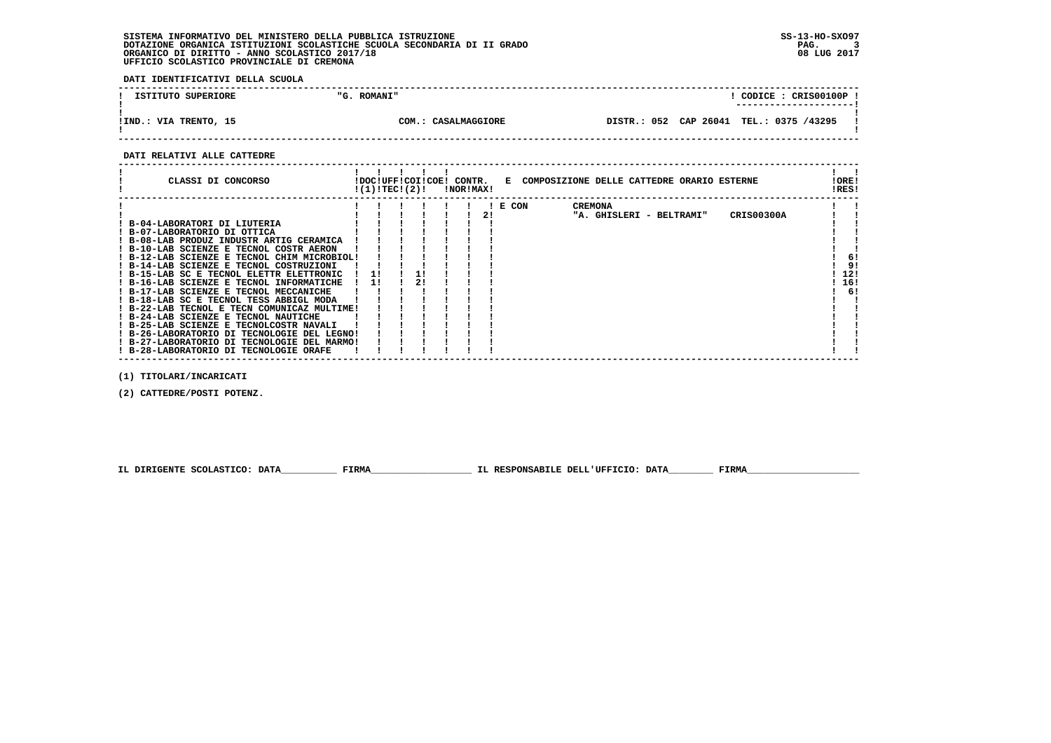**DATI IDENTIFICATIVI DELLA SCUOLA**

| ISTITUTO SUPERIORE    | "G. ROMANI"         | CODICE: CRIS00100P!<br>---------------------- |
|-----------------------|---------------------|-----------------------------------------------|
| !IND.: VIA TRENTO, 15 | COM.: CASALMAGGIORE | DISTR.: 052 CAP 26041 TEL.: 0375 /43295       |

 **------------------------------------------------------------------------------------------------------------------------------------**

### **DATI RELATIVI ALLE CATTEDRE**

| CLASSI DI CONCORSO                                                                                                                                                                                                                                                                                                                                                                                                                                                   |          | !DOC!UFF!COI!COE!<br>!(1)!TECI(2)! |  | !NOR!MAX! | CONTR. |  |       |  |                | E COMPOSIZIONE DELLE CATTEDRE ORARIO ESTERNE |                   |  | !ORE!<br>!RES! |                 |
|----------------------------------------------------------------------------------------------------------------------------------------------------------------------------------------------------------------------------------------------------------------------------------------------------------------------------------------------------------------------------------------------------------------------------------------------------------------------|----------|------------------------------------|--|-----------|--------|--|-------|--|----------------|----------------------------------------------|-------------------|--|----------------|-----------------|
| B-04-LABORATORI DI LIUTERIA<br>! B-07-LABORATORIO DI OTTICA<br>! B-08-LAB PRODUZ INDUSTR ARTIG CERAMICA<br>! B-10-LAB SCIENZE E TECNOL COSTR AERON<br>! B-12-LAB SCIENZE E TECNOL CHIM MICROBIOL!<br>B-14-LAB SCIENZE E TECNOL COSTRUZIONI<br>! B-15-LAB SC E TECNOL ELETTR ELETTRONIC<br>! B-16-LAB SCIENZE E TECNOL INFORMATICHE<br>! B-17-LAB SCIENZE E TECNOL MECCANICHE<br>! B-18-LAB SC E TECNOL TESS ABBIGL MODA<br>B-22-LAB TECNOL E TECN COMUNICAZ MULTIME! | 11<br>11 |                                    |  |           |        |  | E CON |  | <b>CREMONA</b> | "A. GHISLERI - BELTRAMI"                     | <b>CRIS00300A</b> |  | 12!<br>16!     | -61<br>91<br>6! |
| ! B-24-LAB SCIENZE E TECNOL NAUTICHE<br>! B-25-LAB SCIENZE E TECNOLCOSTR NAVALI<br>B-26-LABORATORIO DI TECNOLOGIE DEL LEGNO!<br>! B-27-LABORATORIO DI TECNOLOGIE DEL MARMO!<br>B-28-LABORATORIO DI TECNOLOGIE ORAFE                                                                                                                                                                                                                                                  |          |                                    |  |           |        |  |       |  |                |                                              |                   |  |                |                 |

 **(1) TITOLARI/INCARICATI**

 **(2) CATTEDRE/POSTI POTENZ.**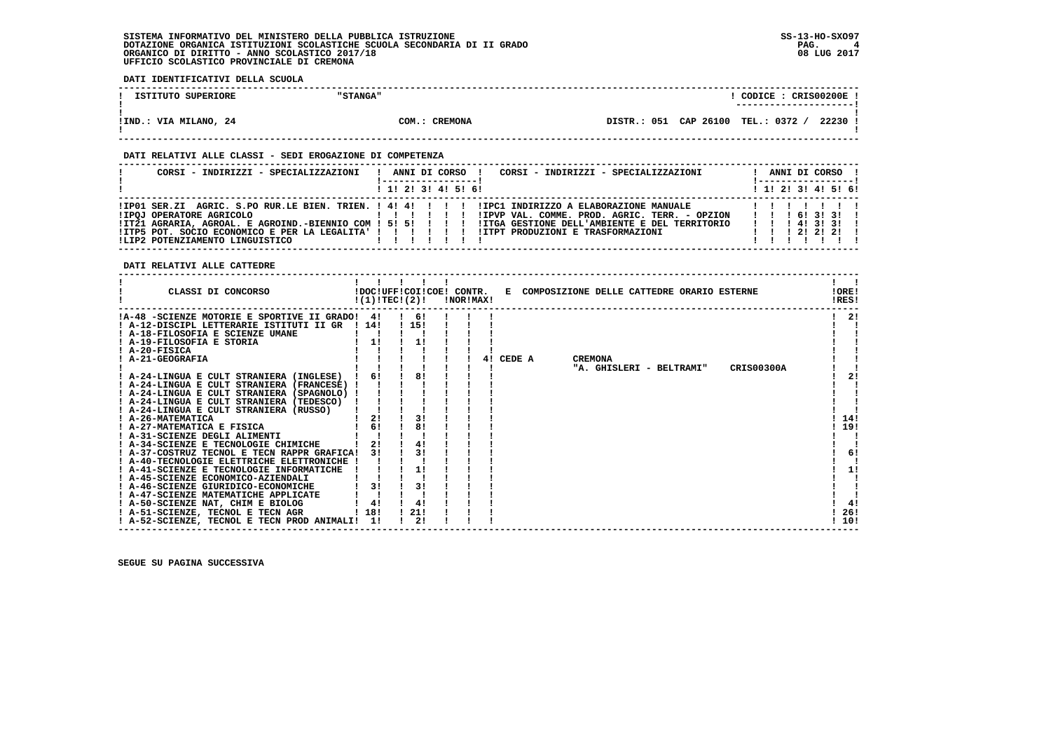$\mathbf{I}$ 

 $\mathbf{I}$ 

  **------------------------------------------------------------------------------------------------------------------------------------**! CODICE : CRIS00200E ! **1 ISTITUTO SUPERIORE | CONTRACTE | CONTRACTE : CONTRACTE : CONTRACTE : CONTRACTE : CONTRACTE : CONTRACTE : CONTRACTE : CONTRACTE : CONTRACTE : CONTRACTE : CONTRACTE : CONTRACTE : CONTRACTE : CONTRACTE : CONTRACTE : CONTRA ! ---------------------! ! ! !IND.: VIA MILANO, 24 COM.: CREMONA DISTR.: 051 CAP 26100 TEL.: 0372 / 22230 ! ! ! ------------------------------------------------------------------------------------------------------------------------------------ DATI RELATIVI ALLE CLASSI - SEDI EROGAZIONE DI COMPETENZA**

| CORSI - INDIRIZZI - SPECIALIZZAZIONI                                                                                                                            |  |   | ANNI DI CORSO !         | CORSI - INDIRIZZI - SPECIALIZZAZIONI                                                                                                                      |                                                                               |  | ANNI DI CORSO !<br>! ----------------- |  |
|-----------------------------------------------------------------------------------------------------------------------------------------------------------------|--|---|-------------------------|-----------------------------------------------------------------------------------------------------------------------------------------------------------|-------------------------------------------------------------------------------|--|----------------------------------------|--|
|                                                                                                                                                                 |  |   | $1$ , 1! 2! 3! 4! 5! 6! |                                                                                                                                                           |                                                                               |  | $1$ , 1! 2! 3! 4! 5! 6!                |  |
| IP01 SER.ZI AGRIC. S.PO RUR.LE BIEN. TRIEN. ! 4! 4! ! ! ! IPC1 INDIRIZZO A ELABORAZIONE MANUALE!<br>!IPOJ OPERATORE AGRICOLO<br>ILIP2 POTENZIAMENTO LINGUISTICO |  | . | 111111                  | !IPVP VAL. COMME. PROD. AGRIC. TERR. - OPZION<br>ITZ1 AGRARIA, AGROAL, E AGROIND.-BIENNIO COM ! 5! 5! ! ! ! !ITGA GESTIONE DELL'AMBIENTE E DEL TERRITORIO | $1 \quad 1 \quad 1 \quad 61 \quad 31 \quad 31 \quad 1$<br>1 1 1 4 1 3 1 3 1 1 |  |                                        |  |

 **DATI RELATIVI ALLE CATTEDRE**

 **DATI IDENTIFICATIVI DELLA SCUOLA**

| CLASSI DI CONCORSO<br>!DOC!UFF!COI!COE! CONTR. E COMPOSIZIONE DELLE CATTEDRE ORARIO ESTERNE<br>!(1)!TEC!(2)!<br><b>!NOR!MAX!</b> | !ORE!<br>!RES! |
|----------------------------------------------------------------------------------------------------------------------------------|----------------|
| !A-48 -SCIENZE MOTORIE E SPORTIVE II GRADO!<br>-61<br>41                                                                         | 21             |
| ! 15!<br>! A-12-DISCIPL LETTERARIE ISTITUTI II GR<br>1 14 1                                                                      |                |
| ! A-18-FILOSOFIA E SCIENZE UMANE                                                                                                 |                |
| ! A-19-FILOSOFIA E STORIA<br>1!                                                                                                  |                |
| ! A-20-FISICA                                                                                                                    |                |
| ! A-21-GEOGRAFIA<br>CEDE A<br><b>CREMONA</b><br>41                                                                               |                |
| "A. GHISLERI - BELTRAMI"<br><b>CRIS00300A</b>                                                                                    |                |
| 8!<br>6!<br>! A-24-LINGUA E CULT STRANIERA (INGLESE)                                                                             | 2!             |
| ! A-24-LINGUA E CULT STRANIERA (FRANCESE) !                                                                                      |                |
| ! A-24-LINGUA E CULT STRANIERA (SPAGNOLO) !                                                                                      |                |
| ! A-24-LINGUA E CULT STRANIERA (TEDESCO)                                                                                         |                |
| ! A-24-LINGUA E CULT STRANIERA (RUSSO)                                                                                           |                |
| 2!<br>31<br>! A-26-MATEMATICA                                                                                                    | 14!            |
| 6!<br>8!<br>! A-27-MATEMATICA E FISICA                                                                                           | 19!            |
| ! A-31-SCIENZE DEGLI ALIMENTI                                                                                                    |                |
| 2!<br>4!<br>! A-34-SCIENZE E TECNOLOGIE CHIMICHE                                                                                 |                |
| 31<br>31<br>! A-37-COSTRUZ TECNOL E TECN RAPPR GRAFICA!                                                                          | 6!             |
| ! A-40-TECNOLOGIE ELETTRICHE ELETTRONICHE !                                                                                      |                |
| 1!<br>! A-41-SCIENZE E TECNOLOGIE INFORMATICHE                                                                                   | 11             |
| ! A-45-SCIENZE ECONOMICO-AZIENDALI                                                                                               |                |
| 3!<br>3!<br>! A-46-SCIENZE GIURIDICO-ECONOMICHE                                                                                  |                |
| ! A-47-SCIENZE MATEMATICHE APPLICATE                                                                                             |                |
| ! A-50-SCIENZE NAT, CHIM E BIOLOG<br>4!<br>4!                                                                                    | 4!             |
| ! 21!<br>! 18!<br>! A-51-SCIENZE, TECNOL E TECN AGR                                                                              | 26!            |
| 2!<br>11<br>! A-52-SCIENZE, TECNOL E TECN PROD ANIMALI!                                                                          | 10!            |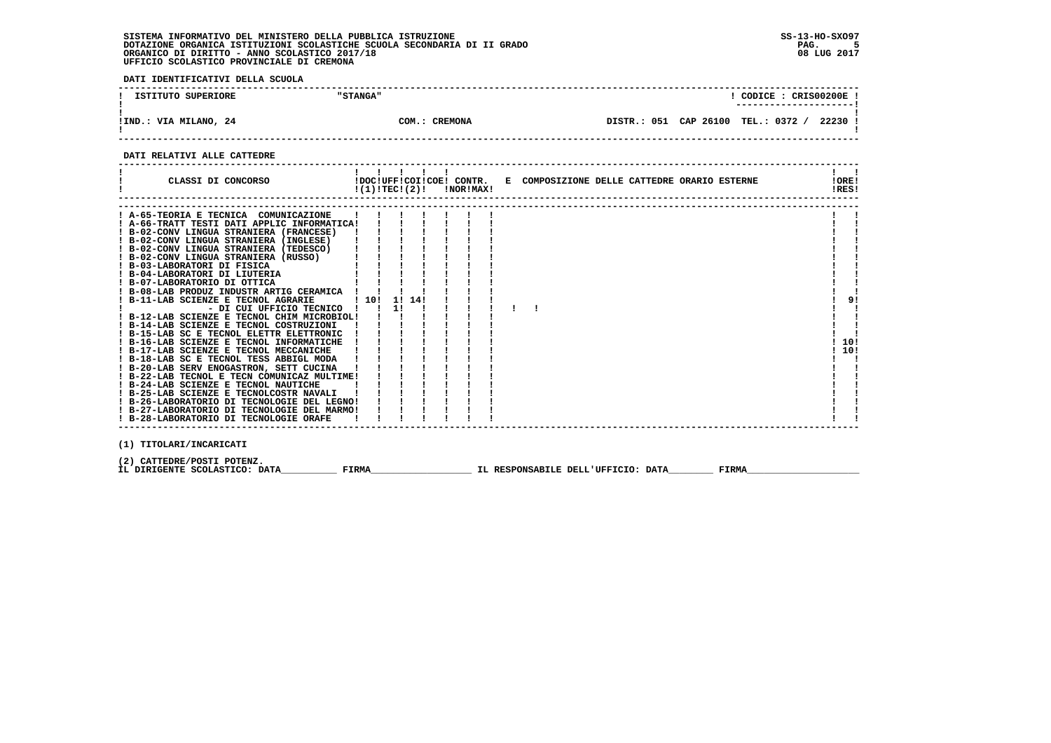**DATI IDENTIFICATIVI DELLA SCUOLA**

| ISTITUTO SUPERIORE    | "STANGA"           | CODICE: CRIS00200E<br>---------------------- |
|-----------------------|--------------------|----------------------------------------------|
| !IND.: VIA MILANO, 24 | .: CREMONA<br>COM. | DISTR.: 051 CAP 26100 TEL.: 0372 /<br>22230  |

 **------------------------------------------------------------------------------------------------------------------------------------**

### **DATI RELATIVI ALLE CATTEDRE**

| CLASSI DI CONCORSO                                                                                                                                                                                                                                                                                                                                                                                                                                                                                                                                                         |       | 11111<br>$!(1)!TEC!(2)!$ $ NORIMAX $ |  |  | IDOCIUFFICOIICOEI CONTR. E COMPOSIZIONE DELLE CATTEDRE ORARIO ESTERNE |  |  |              | IORE!<br>IRES!   |
|----------------------------------------------------------------------------------------------------------------------------------------------------------------------------------------------------------------------------------------------------------------------------------------------------------------------------------------------------------------------------------------------------------------------------------------------------------------------------------------------------------------------------------------------------------------------------|-------|--------------------------------------|--|--|-----------------------------------------------------------------------|--|--|--------------|------------------|
|                                                                                                                                                                                                                                                                                                                                                                                                                                                                                                                                                                            |       |                                      |  |  |                                                                       |  |  |              |                  |
| ! A-65-TEORIA E TECNICA COMUNICAZIONE<br>! A-66-TRATT TESTI DATI APPLIC INFORMATICA!<br>! B-02-CONV LINGUA STRANIERA (FRANCESE)<br>! B-02-CONV LINGUA STRANIERA (INGLESE)<br>! B-02-CONV LINGUA STRANIERA (TEDESCO)<br>! B-02-CONV LINGUA STRANIERA (RUSSO)<br>! B-03-LABORATORI DI FISICA<br>! B-04-LABORATORI DI LIUTERIA<br>! B-07-LABORATORIO DI OTTICA<br>! B-08-LAB PRODUZ INDUSTR ARTIG CERAMICA ! !<br>! B-11-LAB SCIENZE E TECNOL AGRARIE<br>- DI CUI UFFICIO TECNICO !!<br>! B-22-LAB TECNOL E TECN COMUNICAZ MULTIME!<br>! B-28-LABORATORIO DI TECNOLOGIE ORAFE |       | 11                                   |  |  |                                                                       |  |  |              | 9!<br>10!<br>10! |
|                                                                                                                                                                                                                                                                                                                                                                                                                                                                                                                                                                            |       |                                      |  |  |                                                                       |  |  |              |                  |
| (1) TITOLARI/INCARICATI                                                                                                                                                                                                                                                                                                                                                                                                                                                                                                                                                    |       |                                      |  |  |                                                                       |  |  |              |                  |
| (2) CATTEDRE/POSTI POTENZ.<br>IL DIRIGENTE SCOLASTICO: DATA                                                                                                                                                                                                                                                                                                                                                                                                                                                                                                                | FIRMA |                                      |  |  | IL RESPONSABILE DELL'UFFICIO: DATA                                    |  |  | <b>FIRMA</b> |                  |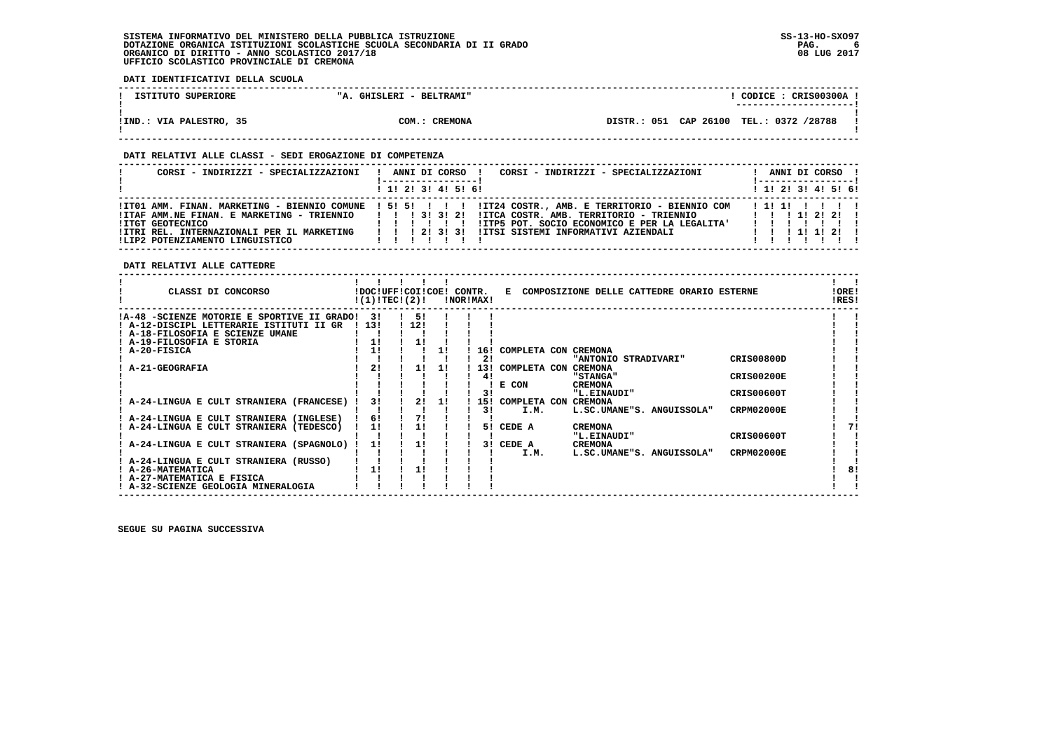**DATI IDENTIFICATIVI DELLA SCUOLA**

| ISTITUTO SUPERIORE      | "A. GHISLERI - BELTRAMI" | CODICE: CRIS00300A!<br>----------------------- |  |
|-------------------------|--------------------------|------------------------------------------------|--|
| IIND.: VIA PALESTRO, 35 | COM.: CREMONA            | DISTR.: 051 CAP 26100 TEL.: 0372 /28788        |  |

### **DATI RELATIVI ALLE CLASSI - SEDI EROGAZIONE DI COMPETENZA**

| CORSI - INDIRIZZI - SPECIALIZZAZIONI                                                                                                                                          | CORSI - INDIRIZZI - SPECIALIZZAZIONI<br>ANNI DI CORSO !                                                                                                                                         | ANNI DI CORSO !<br>  ----------------- |
|-------------------------------------------------------------------------------------------------------------------------------------------------------------------------------|-------------------------------------------------------------------------------------------------------------------------------------------------------------------------------------------------|----------------------------------------|
|                                                                                                                                                                               | ! 1! 2! 3! 4! 5! 6!                                                                                                                                                                             | 1 1 2 2 1 3 1 4 1 5 1 6 1              |
| !ITAF AMM.NE FINAN. E MARKETING - TRIENNIO       3! 3! 2!<br>!ITGT GEOTECNICO<br>!ITRI REL. INTERNAZIONALI PER IL MARKETING   ! ! 2! 3! 3!<br>ILIP2 POTENZIAMENTO LINGUISTICO | !ITO1 AMM. FINAN. MARKETING - BIENNIO COMUNE ! 5! 5! ! ! !!IT24 COSTR., AMB. E TERRITORIO - BIENNIO COM<br>!ITP5 POT. SOCIO ECONOMICO E PER LA LEGALITA'<br>!ITSI SISTEMI INFORMATIVI AZIENDALI | 111111111<br>1 1 1 1 1 1 2 1           |

 **DATI RELATIVI ALLE CATTEDRE**

| CLASSI DI CONCORSO                                                               |     | !DOC!UFF!COI!COE! CONTR.<br>!(1)!TEC!(2)! |    | !NOR!MAX! |     | Е                        | COMPOSIZIONE DELLE CATTEDRE ORARIO ESTERNE |                   | !ORE!<br>!RES! |
|----------------------------------------------------------------------------------|-----|-------------------------------------------|----|-----------|-----|--------------------------|--------------------------------------------|-------------------|----------------|
| !A-48 -SCIENZE MOTORIE E SPORTIVE II GRADO!                                      | 31  | 51                                        |    |           |     |                          |                                            |                   |                |
| ! A-12-DISCIPL LETTERARIE ISTITUTI II GR                                         | 13! | 12!                                       |    |           |     |                          |                                            |                   |                |
| ! A-18-FILOSOFIA E SCIENZE UMANE                                                 |     |                                           |    |           |     |                          |                                            |                   |                |
| ! A-19-FILOSOFIA E STORIA                                                        | 1!  | 11                                        |    |           |     |                          |                                            |                   |                |
| ! A-20-FISICA                                                                    | 1!  |                                           |    |           | 16! | COMPLETA CON CREMONA     |                                            |                   |                |
|                                                                                  |     |                                           |    |           | 21  |                          | "ANTONIO STRADIVARI"                       | <b>CRIS00800D</b> |                |
| A-21-GEOGRAFIA                                                                   | 2!  | 11                                        | 11 |           |     | 13! COMPLETA CON CREMONA |                                            |                   |                |
|                                                                                  |     |                                           |    |           | 41  |                          | <b>"STANGA"</b>                            | <b>CRIS00200E</b> |                |
|                                                                                  |     |                                           |    |           |     | E CON                    | <b>CREMONA</b>                             |                   |                |
|                                                                                  |     |                                           |    |           | 31  |                          | "L.EINAUDI"                                | CRIS00600T        |                |
| A-24-LINGUA E CULT STRANIERA (FRANCESE)                                          | 31  | 21                                        | 11 |           | 151 | COMPLETA CON             | CREMONA                                    |                   |                |
|                                                                                  | 6!  | 71                                        |    |           | 31  | I.M.                     | L.SC.UMANE"S. ANGUISSOLA"                  | <b>CRPM02000E</b> |                |
| A-24-LINGUA E CULT STRANIERA (INGLESE)<br>A-24-LINGUA E CULT STRANIERA (TEDESCO) | 11  |                                           |    |           | 51  | CEDE A                   | <b>CREMONA</b>                             |                   | 71             |
|                                                                                  |     |                                           |    |           |     |                          | "L.EINAUDI"                                | CRIS00600T        |                |
| A-24-LINGUA E CULT STRANIERA (SPAGNOLO)                                          | 11  | 1!                                        |    |           | 3 I | CEDE A                   | <b>CREMONA</b>                             |                   |                |
|                                                                                  |     |                                           |    |           |     | I.M.                     | L.SC.UMANE"S. ANGUISSOLA"                  | <b>CRPM02000E</b> |                |
| ! A-24-LINGUA E CULT STRANIERA (RUSSO)                                           |     |                                           |    |           |     |                          |                                            |                   |                |
| ! A-26-MATEMATICA                                                                |     |                                           |    |           |     |                          |                                            |                   | 8!             |
| A-27-MATEMATICA E FISICA                                                         |     |                                           |    |           |     |                          |                                            |                   |                |
| ! A-32-SCIENZE GEOLOGIA MINERALOGIA                                              |     |                                           |    |           |     |                          |                                            |                   |                |
|                                                                                  |     |                                           |    |           |     |                          |                                            |                   |                |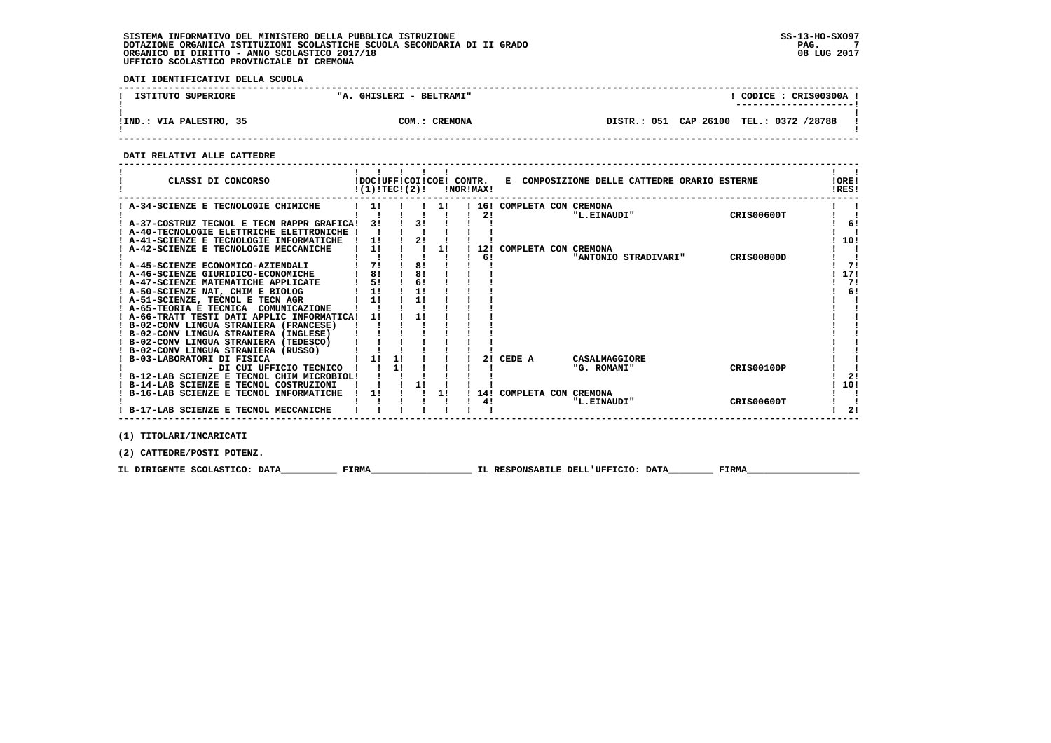**DATI IDENTIFICATIVI DELLA SCUOLA**

| ISTITUTO SUPERIORE      | "A. GHISLERI - BELTRAMI" | CODICE: CRIS00300A<br>---------------------- |
|-------------------------|--------------------------|----------------------------------------------|
| !IND.: VIA PALESTRO, 35 | COM.: CREMONA            | DISTR.: 051 CAP 26100 TEL.: 0372 /28788      |

 **------------------------------------------------------------------------------------------------------------------------------------**

### **DATI RELATIVI ALLE CATTEDRE**

| A-34-SCIENZE E TECNOLOGIE CHIMICHE<br>COMPLETA CON CREMONA<br>16!<br>CRIS00600T<br>21<br>"L.EINAUDI"<br>3!<br>A-37-COSTRUZ TECNOL E TECN RAPPR GRAFICA! |     |
|---------------------------------------------------------------------------------------------------------------------------------------------------------|-----|
|                                                                                                                                                         |     |
|                                                                                                                                                         |     |
|                                                                                                                                                         | -61 |
| A-40-TECNOLOGIE ELETTRICHE ELETTRONICHE                                                                                                                 |     |
| A-41-SCIENZE E TECNOLOGIE INFORMATICHE                                                                                                                  | 10! |
| A-42-SCIENZE E TECNOLOGIE MECCANICHE<br>1!<br>11<br>COMPLETA CON CREMONA<br>12!                                                                         |     |
| 6!<br><b>CRIS00800D</b><br>"ANTONIO STRADIVARI"                                                                                                         |     |
| 8!<br>7!<br>! A-45-SCIENZE ECONOMICO-AZIENDALI                                                                                                          | 71  |
| 81<br>8!<br>A-46-SCIENZE GIURIDICO-ECONOMICHE                                                                                                           | 17! |
| 5!<br>6!<br>A-47-SCIENZE MATEMATICHE APPLICATE                                                                                                          | 71  |
| 1!<br>! A-50-SCIENZE NAT, CHIM E BIOLOG                                                                                                                 | 6!  |
| 1!<br>! A-51-SCIENZE, TECNOL E TECN AGR                                                                                                                 |     |
| ! A-65-TEORIA E TECNICA<br>COMUNICAZIONE                                                                                                                |     |
| A-66-TRATT TESTI DATI APPLIC INFORMATICA!                                                                                                               |     |
| ! B-02-CONV LINGUA STRANIERA (FRANCESE)                                                                                                                 |     |
| ! B-02-CONV LINGUA STRANIERA (INGLESE)                                                                                                                  |     |
| ! B-02-CONV LINGUA STRANIERA (TEDESCO)                                                                                                                  |     |
| B-02-CONV LINGUA STRANIERA (RUSSO)                                                                                                                      |     |
| B-03-LABORATORI DI FISICA<br>2!<br>CEDE A<br>11<br>CASALMAGGIORE                                                                                        |     |
| 1!<br><b>CRIS00100P</b><br>- DI CUI UFFICIO TECNICO<br>"G. ROMANI"                                                                                      |     |
| ! B-12-LAB SCIENZE E TECNOL CHIM MICROBIOL!                                                                                                             | 2!  |
| B-14-LAB SCIENZE E TECNOL COSTRUZIONI                                                                                                                   | 10! |
| B-16-LAB SCIENZE E TECNOL INFORMATICHE<br>1!<br>1!<br>COMPLETA CON CREMONA<br>14!                                                                       |     |
| 4!<br><b>CRIS00600T</b><br>"L.EINAUDI"                                                                                                                  |     |
| ! B-17-LAB SCIENZE E TECNOL MECCANICHE                                                                                                                  | 2!  |

 **(1) TITOLARI/INCARICATI**

 **(2) CATTEDRE/POSTI POTENZ.**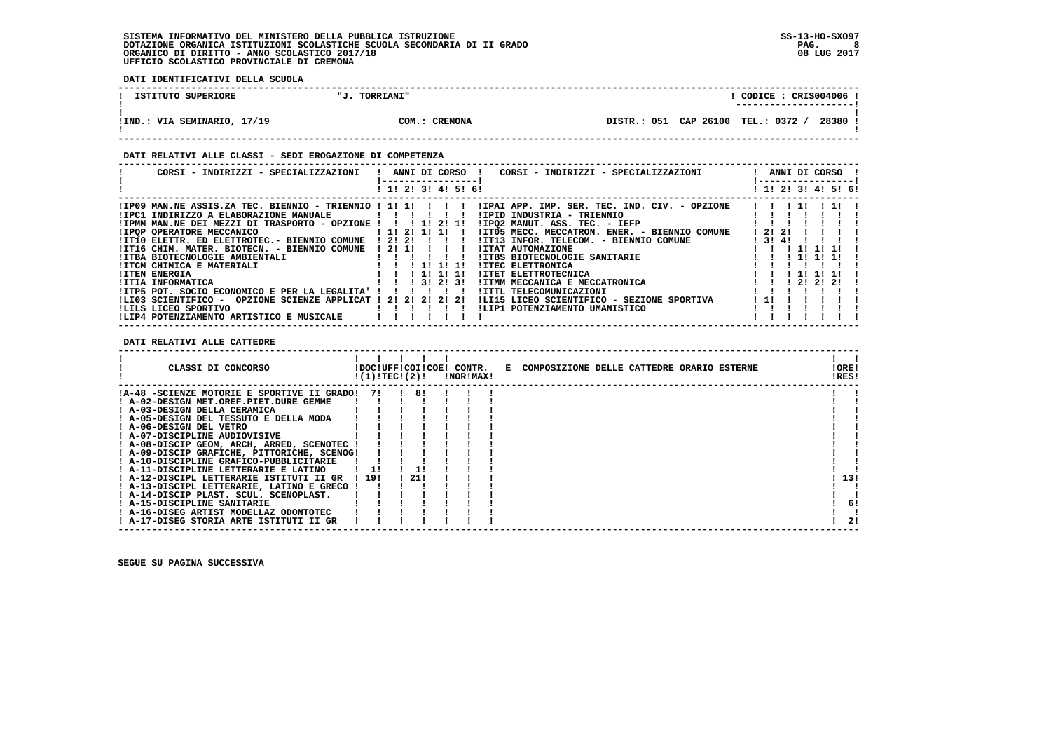**DATI IDENTIFICATIVI DELLA SCUOLA**

| ISTITUTO SUPERIORE          | <b>TORRIANI"</b><br>п,т | CODICE: CRIS004006                               |
|-----------------------------|-------------------------|--------------------------------------------------|
| !IND.: VIA SEMINARIO, 17/19 | COM.: CREMONA           | 28380 !<br>CAP 26100 TEL.: 0372 /<br>DISTR.: 051 |

### **DATI RELATIVI ALLE CLASSI - SEDI EROGAZIONE DI COMPETENZA**

| CORSI - INDIRIZZI - SPECIALIZZAZIONI                                                                                                                 | ANNI DI CORSO !<br>CORSI - INDIRIZZI - SPECIALIZZAZIONI                                                      | ANNI DI CORSO !     |
|------------------------------------------------------------------------------------------------------------------------------------------------------|--------------------------------------------------------------------------------------------------------------|---------------------|
|                                                                                                                                                      | ! 1! 2! 3! 4! 5! 6!                                                                                          | ! 1! 2! 3! 4! 5! 6! |
|                                                                                                                                                      | IIP09 MAN.NE ASSIS.ZA TEC. BIENNIO - TRIENNIO ! 1! 1! ! ! ! ! IIPAI APP. IMP. SER. TEC. IND. CIV. - OPZIONE! | 111<br>.            |
| !IPC1 INDIRIZZO A ELABORAZIONE MANUALE                                                                                                               | !IPID INDUSTRIA - TRIENNIO<br>.                                                                              |                     |
| !IPMM MAN.NE DEI MEZZI DI TRASPORTO - OPZIONE !!!!!!!!!!                                                                                             | IIPQ2 MANUT. ASS. TEC. - IEFP                                                                                |                     |
| <b>!IPOP OPERATORE MECCANICO</b><br>1121111                                                                                                          | !IT05 MECC. MECCATRON. ENER. - BIENNIO COMUNE                                                                | 1 2 1 2 1           |
| !IT10 ELETTR. ED ELETTROTEC.- BIENNIO COMUNE                                                                                                         | !IT13 INFOR. TELECOM. - BIENNIO COMUNE<br>! 2! 2!<br>.                                                       | 13!4!               |
| !IT16 CHIM. MATER. BIOTECN. - BIENNIO COMUNE                                                                                                         | ! 2! 1!<br><b>!ITAT AUTOMAZIONE</b>                                                                          |                     |
| $\mathbf{1}$ and $\mathbf{1}$ and $\mathbf{1}$ and $\mathbf{1}$ and $\mathbf{1}$ and $\mathbf{1}$ and $\mathbf{1}$<br>!ITBA BIOTECNOLOGIE AMBIENTALI | <b>!ITBS BIOTECNOLOGIE SANITARIE</b>                                                                         | -11                 |
| !ITCM CHIMICA E MATERIALI                                                                                                                            | !ITEC ELETTRONICA<br>! 1! 1! 1!                                                                              |                     |
| <b>!ITEN ENERGIA</b>                                                                                                                                 | !ITET ELETTROTECNICA<br>! 1! 1! 1!                                                                           |                     |
| !ITIA INFORMATICA                                                                                                                                    | 1 3 1 2 1 3 1<br>!ITMM MECCANICA E MECCATRONICA                                                              | 2121<br>-21         |
| !ITP5 POT. SOCIO ECONOMICO E PER LA LEGALITA' !!!!!                                                                                                  | !ITTL TELECOMUNICAZIONI                                                                                      |                     |
| OPZIONE SCIENZE APPLICAT ! 2! 2! 2! 2! 2!<br>!LI03 SCIENTIFICO -                                                                                     | !LI15 LICEO SCIENTIFICO - SEZIONE SPORTIVA                                                                   | ! 1!                |
| ILILS LICEO SPORTIVO                                                                                                                                 | !LIP1 POTENZIAMENTO UMANISTICO                                                                               |                     |
| !LIP4 POTENZIAMENTO ARTISTICO E MUSICALE                                                                                                             |                                                                                                              |                     |

 **DATI RELATIVI ALLE CATTEDRE**

| CLASSI DI CONCORSO                          | $!(1)!TEC!(2)!$ $INORIMAX!$ |      |  |  | !DOC!UFF!COI!COE! CONTR. E COMPOSIZIONE DELLE CATTEDRE ORARIO ESTERNE | !ORE!<br>!RES! |     |
|---------------------------------------------|-----------------------------|------|--|--|-----------------------------------------------------------------------|----------------|-----|
| !A-48 -SCIENZE MOTORIE E SPORTIVE II GRADO! | 71                          | 81   |  |  |                                                                       |                |     |
| ! A-02-DESIGN MET.OREF.PIET.DURE GEMME      |                             |      |  |  |                                                                       |                |     |
| ! A-03-DESIGN DELLA CERAMICA                |                             |      |  |  |                                                                       |                |     |
| ! A-05-DESIGN DEL TESSUTO E DELLA MODA      |                             |      |  |  |                                                                       |                |     |
| ! A-06-DESIGN DEL VETRO                     |                             |      |  |  |                                                                       |                |     |
| ! A-07-DISCIPLINE AUDIOVISIVE               |                             |      |  |  |                                                                       |                |     |
| ! A-08-DISCIP GEOM, ARCH, ARRED, SCENOTEC ! |                             |      |  |  |                                                                       |                |     |
| ! A-09-DISCIP GRAFICHE, PITTORICHE, SCENOG! |                             |      |  |  |                                                                       |                |     |
| ! A-10-DISCIPLINE GRAFICO-PUBBLICITARIE     |                             |      |  |  |                                                                       |                |     |
| ! A-11-DISCIPLINE LETTERARIE E LATINO       |                             |      |  |  |                                                                       |                |     |
| ! A-12-DISCIPL LETTERARIE ISTITUTI II GR    | ! 19!                       | 1211 |  |  |                                                                       | 13!            |     |
| ! A-13-DISCIPL LETTERARIE, LATINO E GRECO   |                             |      |  |  |                                                                       |                |     |
| ! A-14-DISCIP PLAST. SCUL. SCENOPLAST.      |                             |      |  |  |                                                                       |                |     |
| ! A-15-DISCIPLINE SANITARIE                 |                             |      |  |  |                                                                       |                | 6!  |
| ! A-16-DISEG ARTIST MODELLAZ ODONTOTEC      |                             |      |  |  |                                                                       |                |     |
| ! A-17-DISEG STORIA ARTE ISTITUTI II GR     |                             |      |  |  |                                                                       |                | -21 |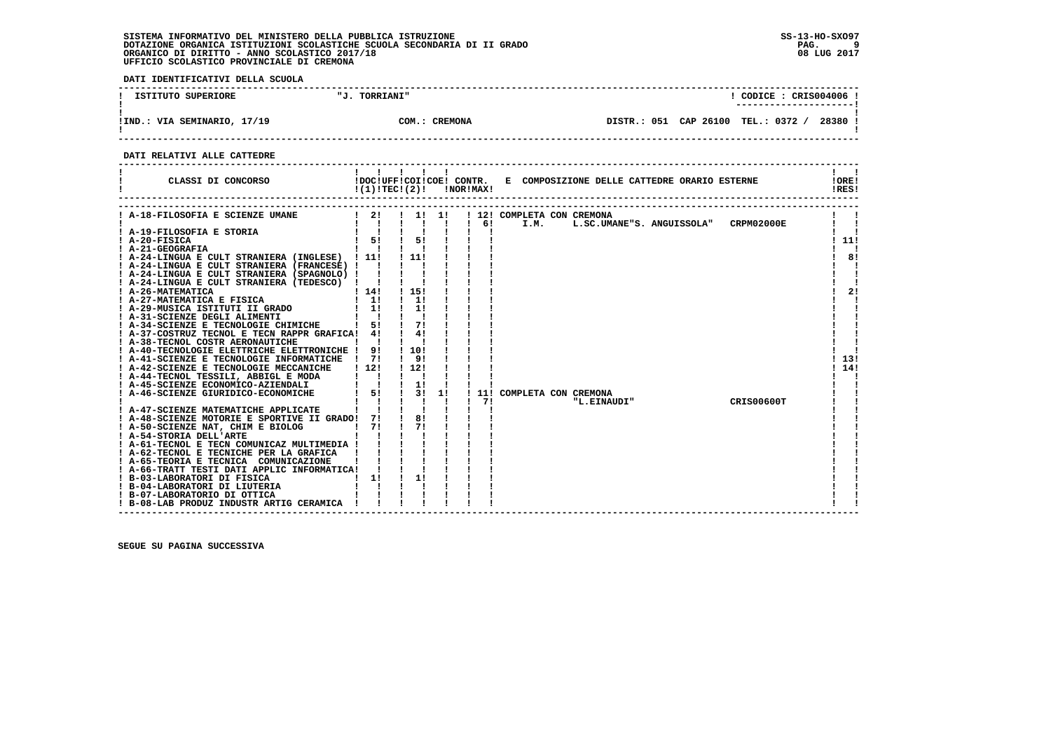**DATI IDENTIFICATIVI DELLA SCUOLA**

| SUPERIORE<br>ISTITUTO<br>- 50. | <b>TORRIANI"</b>             |                |           | CODICE :   | CRIS004006 |  |
|--------------------------------|------------------------------|----------------|-----------|------------|------------|--|
|                                |                              |                |           |            |            |  |
| VIA SEMINARIO, 17/19<br>!IND.  | <b>CREMONA</b><br>$\neg$ OM. | 051<br>DISTR.: | CAP 26100 | TEL.: 0372 | 28380      |  |

 **------------------------------------------------------------------------------------------------------------------------------------**

 **DATI RELATIVI ALLE CATTEDRE**

| CLASSI DI CONCORSO                                                                            | $!(1)!TEC!(2)!$ $INORIMAX!$                                             |                                           |          |    |              |      | !DOC!UFF!COI!COE! CONTR. E COMPOSIZIONE DELLE CATTEDRE ORARIO ESTERNE |            | !ORE!<br>!RES! |
|-----------------------------------------------------------------------------------------------|-------------------------------------------------------------------------|-------------------------------------------|----------|----|--------------|------|-----------------------------------------------------------------------|------------|----------------|
| A-18-FILOSOFIA E SCIENZE UMANE                                                                | $1 \quad 2! \quad 1 \quad 1! \quad 1!$<br>$\mathbf{I}$ $\mathbf{I}$     | $\frac{1}{2}$ $\frac{1}{2}$ $\frac{1}{2}$ |          |    | $1 \quad 61$ | I.M. | ! 12! COMPLETA CON CREMONA<br>L.SC.UMANE"S. ANGUISSOLA" CRPM02000E    |            |                |
|                                                                                               | $\begin{array}{ccccccc}\n1 & 1 & 1 & 1 \\ 1 & 51 & 1 & 51\n\end{array}$ |                                           |          |    |              |      |                                                                       |            |                |
| ! A-19-FILOSOFIA E STORIA<br>! A-20-FISICA<br>! A-21-GEOGRAFIA                                |                                                                         |                                           |          |    |              |      |                                                                       |            | 111            |
|                                                                                               | $\mathbf{I}$ $\mathbf{I}$                                               |                                           |          |    |              |      |                                                                       |            |                |
| ! A-24-LINGUA E CULT STRANIERA (INGLESE) ! 11!                                                |                                                                         | $\frac{1}{1}$                             |          |    |              |      |                                                                       |            | 81             |
| ! A-24-LINGUA E CULT STRANIERA (FRANCESE) !                                                   |                                                                         |                                           |          |    |              |      |                                                                       |            |                |
| A-24-LINGUA E CULT STRANIERA (SPAGNOLO) !                                                     |                                                                         |                                           |          |    |              |      |                                                                       |            |                |
| ! A-24-LINGUA E CULT STRANIERA (TEDESCO) !                                                    |                                                                         |                                           |          |    |              |      |                                                                       |            |                |
| ! A-26-MATEMATICA                                                                             | 1141                                                                    | 1 15!                                     |          |    |              |      |                                                                       |            | 2!             |
| ! A-27-MATEMATICA E FISICA                                                                    | $1 \quad 11$                                                            | $\frac{1}{1}$                             |          |    |              |      |                                                                       |            |                |
| A-29-MUSICA ISTITUTI II GRADO                                                                 | $1 \quad 11$                                                            |                                           | 11       |    |              |      |                                                                       |            |                |
| ! A-31-SCIENZE DEGLI ALIMENTI<br>! A-34-SCIENZE E TECNOLOGIE CHIMICHE                         |                                                                         |                                           |          |    |              |      |                                                                       |            |                |
|                                                                                               | 5!                                                                      |                                           |          |    |              |      |                                                                       |            |                |
| ! A-37-COSTRUZ TECNOL E TECN RAPPR GRAFICA! 4!                                                |                                                                         |                                           | 41       |    |              |      |                                                                       |            |                |
| ! A-38-TECNOL COSTR AERONAUTICHE                                                              |                                                                         |                                           |          |    |              |      |                                                                       |            |                |
| ! A-40-TECNOLOGIE ELETTRICHE ELETTRONICHE ! 9!                                                |                                                                         | 1 10 1                                    |          |    |              |      |                                                                       |            |                |
| ! A-41-SCIENZE E TECNOLOGIE INFORMATICHE ! 7!                                                 |                                                                         |                                           | 91       |    |              |      |                                                                       |            | 13!            |
| ! A-42-SCIENZE E TECNOLOGIE MECCANICHE                                                        | 112!                                                                    | ! 12!                                     |          |    |              |      |                                                                       |            | 14!            |
| ! A-44-TECNOL TESSILI, ABBIGL E MODA<br>! A-45-SCIENZE ECONOMICO-AZIENDALI                    |                                                                         |                                           |          |    |              |      |                                                                       |            |                |
|                                                                                               | $\mathbf{I}$                                                            | $\frac{1}{1}$                             |          |    |              |      |                                                                       |            |                |
| ! A-46-SCIENZE GIURIDICO-ECONOMICHE                                                           | 51                                                                      |                                           | 3!       | 1! |              |      | 11! COMPLETA CON CREMONA                                              |            |                |
|                                                                                               |                                                                         |                                           |          |    | 71           |      | "L.EINAUDI"                                                           | CRIS00600T |                |
| ! A-47-SCIENZE MATEMATICHE APPLICATE                                                          |                                                                         |                                           |          |    |              |      |                                                                       |            |                |
| ! A-48-SCIENZE MOTORIE E SPORTIVE II GRADO! 7!                                                |                                                                         |                                           | 8!<br>71 |    |              |      |                                                                       |            |                |
| 1 71<br>! A-50-SCIENZE NAT, CHIM E BIOLOG<br>! A-54-STORIA DELL'ARTE                          |                                                                         |                                           |          |    |              |      |                                                                       |            |                |
| ! A-61-TECNOL E TECN COMUNICAZ MULTIMEDIA !                                                   |                                                                         |                                           |          |    |              |      |                                                                       |            |                |
|                                                                                               |                                                                         |                                           |          |    |              |      |                                                                       |            |                |
| ! A-62-TECNOL E TECNICHE PER LA GRAFICA<br>! A-65-TEORIA E TECNICA COMUNICAZIONE              |                                                                         |                                           |          |    |              |      |                                                                       |            |                |
| ! A-66-TRATT TESTI DATI APPLIC INFORMATICA!                                                   |                                                                         |                                           |          |    |              |      |                                                                       |            |                |
|                                                                                               | $1 \quad 11$                                                            |                                           | 11       |    |              |      |                                                                       |            |                |
| ! B-03-LABORATORI DI FISICA<br>! B-04-LABORATORI DI LIUTERIA<br>! B-04-LABORATORI DI LIUTERIA |                                                                         |                                           |          |    |              |      |                                                                       |            |                |
| ! B-07-LABORATORIO DI OTTICA                                                                  |                                                                         |                                           |          |    |              |      |                                                                       |            |                |
| ! B-08-LAB PRODUZ INDUSTR ARTIG CERAMICA                                                      |                                                                         |                                           |          |    |              |      |                                                                       |            |                |
|                                                                                               |                                                                         |                                           |          |    |              |      |                                                                       |            |                |

 **------------------------------------------------------------------------------------------------------------------------------------**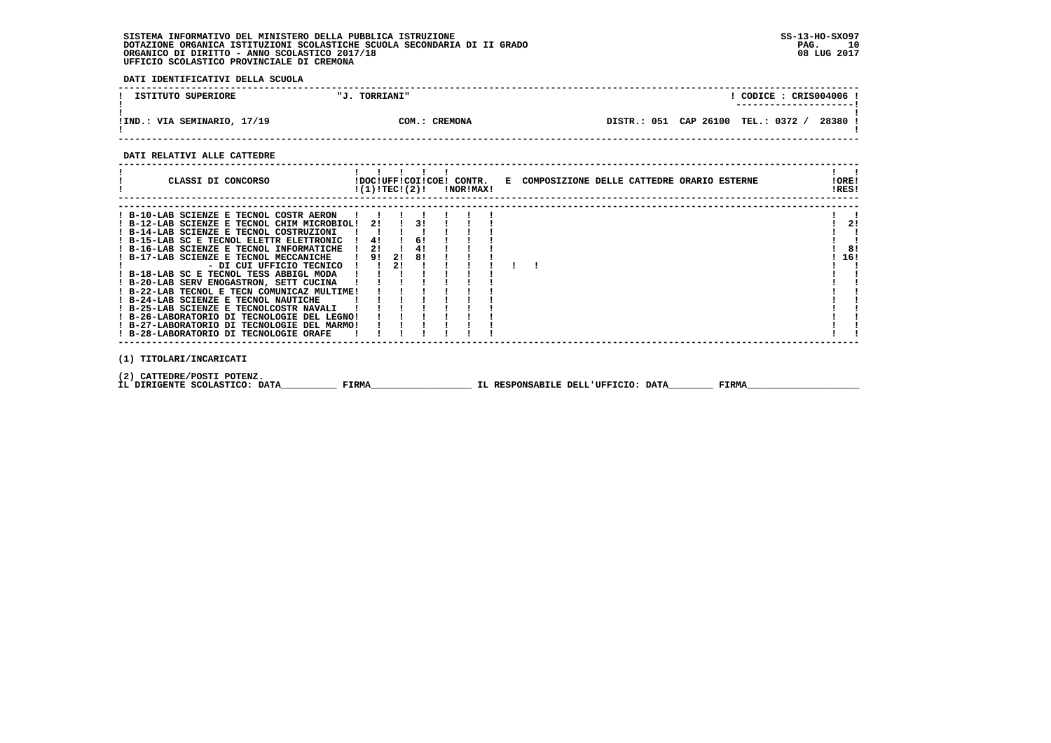**DATI IDENTIFICATIVI DELLA SCUOLA**

| ISTITUTO SUPERIORE            | <b>TORRIANI"</b> | CODICE: CRIS004006!                                |
|-------------------------------|------------------|----------------------------------------------------|
| VIA SEMINARIO, 17/19<br>!IND. | CREMONA<br>COM.: | 28380<br>TEL.: 0372<br>CAP 26100<br>051<br>DISTR.: |

 **------------------------------------------------------------------------------------------------------------------------------------**

### **DATI RELATIVI ALLE CATTEDRE**

|                         | CLASSI DI CONCORSO                                                                                                                                                                                                                                                                                                                                                                                                                                                                                                                                                                                                                                              |                                                   |          |                                | $!(1)!TEC!(2)!$ $INORIMAX!$ |  | !DOC!UFF!COI!COE! CONTR. E COMPOSIZIONE DELLE CATTEDRE ORARIO ESTERNE |  |  | !ORE!<br>!RES!  |
|-------------------------|-----------------------------------------------------------------------------------------------------------------------------------------------------------------------------------------------------------------------------------------------------------------------------------------------------------------------------------------------------------------------------------------------------------------------------------------------------------------------------------------------------------------------------------------------------------------------------------------------------------------------------------------------------------------|---------------------------------------------------|----------|--------------------------------|-----------------------------|--|-----------------------------------------------------------------------|--|--|-----------------|
|                         | ! B-10-LAB SCIENZE E TECNOL COSTR AERON<br>! B-12-LAB SCIENZE E TECNOL CHIM MICROBIOL!<br>! B-14-LAB SCIENZE E TECNOL COSTRUZIONI<br>! B-15-LAB SC E TECNOL ELETTR ELETTRONIC<br>! B-16-LAB SCIENZE E TECNOL INFORMATICHE<br>! B-17-LAB SCIENZE E TECNOL MECCANICHE<br>- DI CUI UFFICIO TECNICO<br>! B-18-LAB SC E TECNOL TESS ABBIGL MODA<br>! B-20-LAB SERV ENOGASTRON, SETT CUCINA<br>! B-22-LAB TECNOL E TECN COMUNICAZ MULTIME!<br>! B-24-LAB SCIENZE E TECNOL NAUTICHE<br>! B-25-LAB SCIENZE E TECNOLCOSTR NAVALI<br>! B-26-LABORATORIO DI TECNOLOGIE DEL LEGNO!<br>! B-27-LABORATORIO DI TECNOLOGIE DEL MARMO!<br>! B-28-LABORATORIO DI TECNOLOGIE ORAFE | 21<br>$\frac{1}{4}$<br>21<br>9!<br>$\blacksquare$ | 21<br>21 | $1 \quad 31$<br>61<br>4!<br>81 |                             |  |                                                                       |  |  | 21<br>8!<br>16! |
| (1) TITOLARI/INCARICATI |                                                                                                                                                                                                                                                                                                                                                                                                                                                                                                                                                                                                                                                                 |                                                   |          |                                |                             |  |                                                                       |  |  |                 |

 **(2) CATTEDRE/POSTI POTENZ.**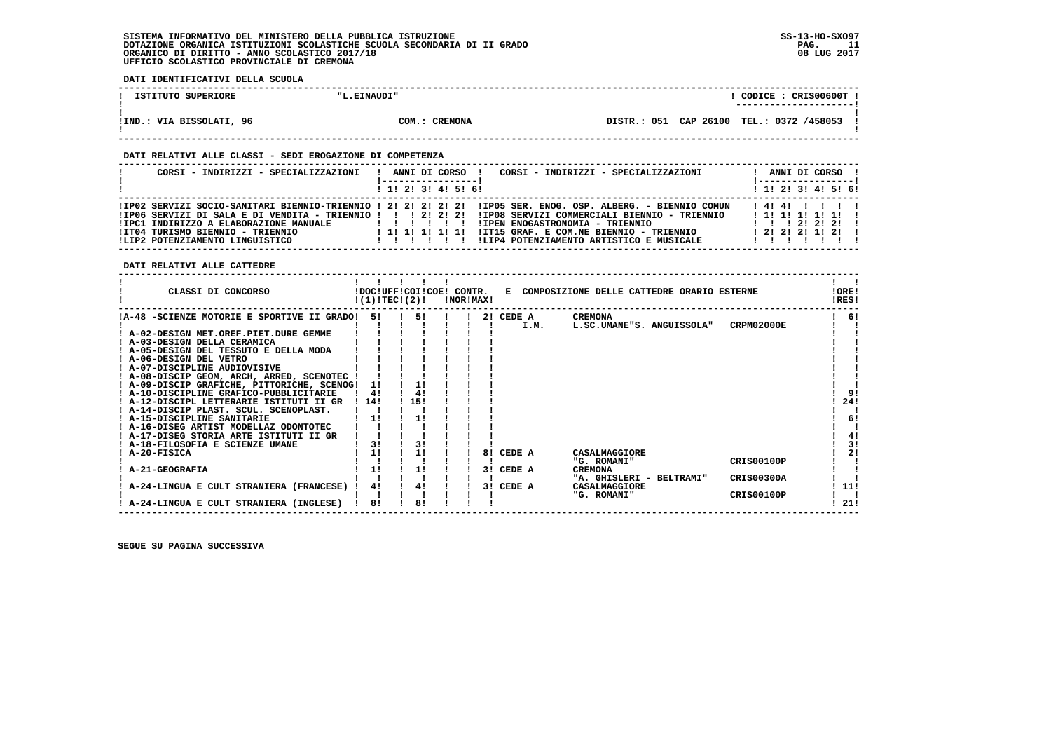$\mathbf{I}$ 

  **------------------------------------------------------------------------------------------------------------------------------------**! CODICE: CRIS00600T ! **1 ISTITUTO SUPERIORE : ISTITUTO II.EINAUDI" ! ---------------------! ! ! !IND.: VIA BISSOLATI, 96 COM.: CREMONA DISTR.: 051 CAP 26100 TEL.: 0372 /458053 ! ! ! ------------------------------------------------------------------------------------------------------------------------------------ DATI RELATIVI ALLE CLASSI - SEDI EROGAZIONE DI COMPETENZA**

| CORSI - INDIRIZZI - SPECIALIZZAZIONI                                                                                                                                        | CORSI - INDIRIZZI - SPECIALIZZAZIONI<br>ANNI DI CORSO !                                                                                                                                                                                                                                          |                                                                      |  | ANNI DI CORSO !                  |  |
|-----------------------------------------------------------------------------------------------------------------------------------------------------------------------------|--------------------------------------------------------------------------------------------------------------------------------------------------------------------------------------------------------------------------------------------------------------------------------------------------|----------------------------------------------------------------------|--|----------------------------------|--|
|                                                                                                                                                                             | 1 1 1 2 1 3 1 4 1 5 1 6 1                                                                                                                                                                                                                                                                        |                                                                      |  | ! 1! 2! 3! 4! 5! 6!              |  |
| !IP06 SERVIZI DI SALA E DI VENDITA - TRIENNIO !!! 2! 2! 2!<br>!IPC1 INDIRIZZO A ELABORAZIONE MANUALE<br>!IT04 TURISMO BIENNIO - TRIENNIO<br>!LIP2 POTENZIAMENTO LINGUISTICO | IIP02 SERVIZI SOCIO-SANITARI BIENNIO-TRIENNIO ! 2! 2! 2! 2! 2! IIP05 SER. ENOG. OSP. ALBERG. - BIENNIO COMUN<br>!IP08 SERVIZI COMMERCIALI BIENNIO - TRIENNIO<br>!IPEN ENOGASTRONOMIA - TRIENNIO<br>!IT15 GRAF. E COM.NE BIENNIO - TRIENNIO<br>!LIP4 POTENZIAMENTO ARTISTICO E MUSICALE<br>111111 | $1 \quad 1 \quad 1 \quad 21 \quad 21 \quad 21$<br>$1$ 2! 2! 2! 1! 2! |  | 14141111<br>$1$ 1! 1! 1! 1! 1! 1 |  |

 **DATI RELATIVI ALLE CATTEDRE**

 **DATI IDENTIFICATIVI DELLA SCUOLA**

| <b>CREMONA</b><br>6!<br>!A-48 -SCIENZE MOTORIE E SPORTIVE II GRADO!<br>51<br>51<br>2! CEDE A<br>CRPM02000E<br>I.M.<br>L.SC.UMANE"S. ANGUISSOLA"<br>! A-02-DESIGN MET.OREF.PIET.DURE GEMME<br>! A-03-DESIGN DELLA CERAMICA<br>! A-05-DESIGN DEL TESSUTO E DELLA MODA<br>! A-06-DESIGN DEL VETRO<br>! A-07-DISCIPLINE AUDIOVISIVE<br>! A-08-DISCIP GEOM, ARCH, ARRED, SCENOTEC !<br>! A-09-DISCIP GRAFICHE, PITTORICHE, SCENOG!<br>11<br>! A-10-DISCIPLINE GRAFICO-PUBBLICITARIE<br>41<br>41<br>91<br>24!<br>15!<br>114!<br>! A-12-DISCIPL LETTERARIE ISTITUTI II GR<br>! A-14-DISCIP PLAST. SCUL. SCENOPLAST.<br>6!<br>! A-15-DISCIPLINE SANITARIE<br>! A-16-DISEG ARTIST MODELLAZ ODONTOTEC<br>4!<br>! A-17-DISEG STORIA ARTE ISTITUTI II GR<br>3!<br>31<br>31<br>! A-18-FILOSOFIA E SCIENZE UMANE<br>2!<br>! A-20-FISICA<br>CEDE A<br>CASALMAGGIORE<br>81<br><b>CRIS00100P</b><br>"G. ROMANI"<br>A-21-GEOGRAFIA<br>CEDE A<br>31<br><b>CREMONA</b><br><b>CRIS00300A</b><br>"A. GHISLERI - BELTRAMI"<br>11!<br>4!<br>CEDE A<br>A-24-LINGUA E CULT STRANIERA (FRANCESE)<br>4!<br>CASALMAGGIORE<br>31 | CLASSI DI CONCORSO | !(1)!TECI(2)! |  | !NOR!MAX! |  | !DOC!UFF!COI!COE! CONTR. E COMPOSIZIONE DELLE CATTEDRE ORARIO ESTERNE |            | !ORE!<br>!RES! |
|----------------------------------------------------------------------------------------------------------------------------------------------------------------------------------------------------------------------------------------------------------------------------------------------------------------------------------------------------------------------------------------------------------------------------------------------------------------------------------------------------------------------------------------------------------------------------------------------------------------------------------------------------------------------------------------------------------------------------------------------------------------------------------------------------------------------------------------------------------------------------------------------------------------------------------------------------------------------------------------------------------------------------------------------------------------------------------------------------|--------------------|---------------|--|-----------|--|-----------------------------------------------------------------------|------------|----------------|
|                                                                                                                                                                                                                                                                                                                                                                                                                                                                                                                                                                                                                                                                                                                                                                                                                                                                                                                                                                                                                                                                                                    |                    |               |  |           |  |                                                                       |            |                |
|                                                                                                                                                                                                                                                                                                                                                                                                                                                                                                                                                                                                                                                                                                                                                                                                                                                                                                                                                                                                                                                                                                    |                    |               |  |           |  |                                                                       |            |                |
|                                                                                                                                                                                                                                                                                                                                                                                                                                                                                                                                                                                                                                                                                                                                                                                                                                                                                                                                                                                                                                                                                                    |                    |               |  |           |  |                                                                       |            |                |
|                                                                                                                                                                                                                                                                                                                                                                                                                                                                                                                                                                                                                                                                                                                                                                                                                                                                                                                                                                                                                                                                                                    |                    |               |  |           |  |                                                                       |            |                |
|                                                                                                                                                                                                                                                                                                                                                                                                                                                                                                                                                                                                                                                                                                                                                                                                                                                                                                                                                                                                                                                                                                    |                    |               |  |           |  |                                                                       |            |                |
|                                                                                                                                                                                                                                                                                                                                                                                                                                                                                                                                                                                                                                                                                                                                                                                                                                                                                                                                                                                                                                                                                                    |                    |               |  |           |  |                                                                       |            |                |
|                                                                                                                                                                                                                                                                                                                                                                                                                                                                                                                                                                                                                                                                                                                                                                                                                                                                                                                                                                                                                                                                                                    |                    |               |  |           |  |                                                                       |            |                |
|                                                                                                                                                                                                                                                                                                                                                                                                                                                                                                                                                                                                                                                                                                                                                                                                                                                                                                                                                                                                                                                                                                    |                    |               |  |           |  |                                                                       |            |                |
|                                                                                                                                                                                                                                                                                                                                                                                                                                                                                                                                                                                                                                                                                                                                                                                                                                                                                                                                                                                                                                                                                                    |                    |               |  |           |  |                                                                       |            |                |
|                                                                                                                                                                                                                                                                                                                                                                                                                                                                                                                                                                                                                                                                                                                                                                                                                                                                                                                                                                                                                                                                                                    |                    |               |  |           |  |                                                                       |            |                |
|                                                                                                                                                                                                                                                                                                                                                                                                                                                                                                                                                                                                                                                                                                                                                                                                                                                                                                                                                                                                                                                                                                    |                    |               |  |           |  |                                                                       |            |                |
|                                                                                                                                                                                                                                                                                                                                                                                                                                                                                                                                                                                                                                                                                                                                                                                                                                                                                                                                                                                                                                                                                                    |                    |               |  |           |  |                                                                       |            |                |
|                                                                                                                                                                                                                                                                                                                                                                                                                                                                                                                                                                                                                                                                                                                                                                                                                                                                                                                                                                                                                                                                                                    |                    |               |  |           |  |                                                                       |            |                |
|                                                                                                                                                                                                                                                                                                                                                                                                                                                                                                                                                                                                                                                                                                                                                                                                                                                                                                                                                                                                                                                                                                    |                    |               |  |           |  |                                                                       |            |                |
|                                                                                                                                                                                                                                                                                                                                                                                                                                                                                                                                                                                                                                                                                                                                                                                                                                                                                                                                                                                                                                                                                                    |                    |               |  |           |  |                                                                       |            |                |
|                                                                                                                                                                                                                                                                                                                                                                                                                                                                                                                                                                                                                                                                                                                                                                                                                                                                                                                                                                                                                                                                                                    |                    |               |  |           |  |                                                                       |            |                |
|                                                                                                                                                                                                                                                                                                                                                                                                                                                                                                                                                                                                                                                                                                                                                                                                                                                                                                                                                                                                                                                                                                    |                    |               |  |           |  |                                                                       |            |                |
|                                                                                                                                                                                                                                                                                                                                                                                                                                                                                                                                                                                                                                                                                                                                                                                                                                                                                                                                                                                                                                                                                                    |                    |               |  |           |  |                                                                       |            |                |
|                                                                                                                                                                                                                                                                                                                                                                                                                                                                                                                                                                                                                                                                                                                                                                                                                                                                                                                                                                                                                                                                                                    |                    |               |  |           |  |                                                                       |            |                |
|                                                                                                                                                                                                                                                                                                                                                                                                                                                                                                                                                                                                                                                                                                                                                                                                                                                                                                                                                                                                                                                                                                    |                    |               |  |           |  |                                                                       |            |                |
|                                                                                                                                                                                                                                                                                                                                                                                                                                                                                                                                                                                                                                                                                                                                                                                                                                                                                                                                                                                                                                                                                                    |                    |               |  |           |  |                                                                       |            |                |
|                                                                                                                                                                                                                                                                                                                                                                                                                                                                                                                                                                                                                                                                                                                                                                                                                                                                                                                                                                                                                                                                                                    |                    |               |  |           |  | "G. ROMANI"                                                           | CRIS00100P |                |
| 81<br>81<br>21!<br>! A-24-LINGUA E CULT STRANIERA (INGLESE)                                                                                                                                                                                                                                                                                                                                                                                                                                                                                                                                                                                                                                                                                                                                                                                                                                                                                                                                                                                                                                        |                    |               |  |           |  |                                                                       |            |                |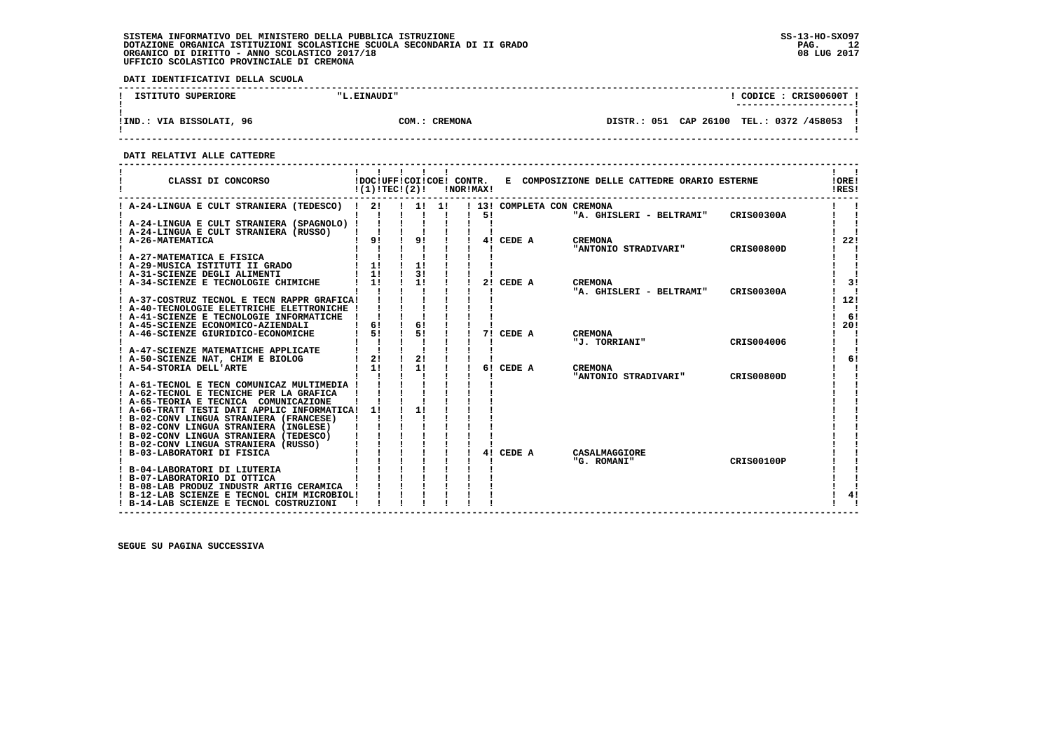**DATI IDENTIFICATIVI DELLA SCUOLA**

| ISTITUTO SUPERIORE          | "L.EINAUDI"            | CODICE: CRIS00600T                             |  |
|-----------------------------|------------------------|------------------------------------------------|--|
| VIA BISSOLATI, 96<br>! IND. | <b>CREMONA</b><br>COM. | DISTR.: 051 CAP 26100<br>0372 /458053<br>TEL.: |  |

 **------------------------------------------------------------------------------------------------------------------------------------**

 **DATI RELATIVI ALLE CATTEDRE**

| CLASSI DI CONCORSO                                                                    | !(1)!TECI(2)! |    |       | !NOR!MAX! |    |                            | !DOC!UFF!COI!COE! CONTR. E COMPOSIZIONE DELLE CATTEDRE ORARIO ESTERNE |                   | !ORE!<br>!RES! |
|---------------------------------------------------------------------------------------|---------------|----|-------|-----------|----|----------------------------|-----------------------------------------------------------------------|-------------------|----------------|
| ! A-24-LINGUA E CULT STRANIERA (TEDESCO) !                                            | 21            |    | 1! 1! |           |    | ! 13! COMPLETA CON CREMONA |                                                                       |                   |                |
|                                                                                       |               |    |       |           | 51 |                            | "A. GHISLERI - BELTRAMI"                                              | <b>CRIS00300A</b> |                |
| ! A-24-LINGUA E CULT STRANIERA (SPAGNOLO) !<br>! A-24-LINGUA E CULT STRANIERA (RUSSO) |               |    |       |           |    |                            |                                                                       |                   |                |
| ! A-26-MATEMATICA                                                                     | 9!            | 9! |       |           |    | 4! CEDE A                  | <b>CREMONA</b>                                                        |                   | 22!            |
|                                                                                       |               |    |       |           |    |                            | "ANTONIO STRADIVARI"                                                  | CRIS00800D        |                |
| ! A-27-MATEMATICA E FISICA                                                            |               |    |       |           |    |                            |                                                                       |                   |                |
| ! A-29-MUSICA ISTITUTI II GRADO                                                       | $1 \quad 1!$  | 1! |       |           |    |                            |                                                                       |                   |                |
| ! A-31-SCIENZE DEGLI ALIMENTI                                                         | $1 \quad 11$  | 3! |       |           |    |                            |                                                                       |                   |                |
| ! A-34-SCIENZE E TECNOLOGIE CHIMICHE                                                  | 11            | 1! |       |           |    | 2! CEDE A                  | <b>CREMONA</b><br>"A. GHISLERI - BELTRAMI"                            | <b>CRIS00300A</b> | 3!             |
| ! A-37-COSTRUZ TECNOL E TECN RAPPR GRAFICA!                                           |               |    |       |           |    |                            |                                                                       |                   | 12!            |
| ! A-40-TECNOLOGIE ELETTRICHE ELETTRONICHE !                                           |               |    |       |           |    |                            |                                                                       |                   |                |
| ! A-41-SCIENZE E TECNOLOGIE INFORMATICHE                                              |               |    |       |           |    |                            |                                                                       |                   | - 61           |
| ! A-45-SCIENZE ECONOMICO-AZIENDALI                                                    | 6!            | 6! |       |           |    |                            |                                                                       |                   | 20!            |
| ! A-46-SCIENZE GIURIDICO-ECONOMICHE                                                   | 51            | 51 |       |           | 71 | CEDE A                     | <b>CREMONA</b>                                                        |                   |                |
| ! A-47-SCIENZE MATEMATICHE APPLICATE                                                  |               |    |       |           |    |                            | "J. TORRIANI"                                                         | CRIS004006        |                |
| ! A-50-SCIENZE NAT, CHIM E BIOLOG                                                     | 2!            | 2! |       |           |    |                            |                                                                       |                   | 6!             |
| ! A-54-STORIA DELL'ARTE                                                               | 11            | 11 |       |           |    | 6! CEDE A                  | <b>CREMONA</b>                                                        |                   |                |
|                                                                                       |               |    |       |           |    |                            | "ANTONIO STRADIVARI"                                                  | CRIS00800D        |                |
| ! A-61-TECNOL E TECN COMUNICAZ MULTIMEDIA !                                           |               |    |       |           |    |                            |                                                                       |                   |                |
| ! A-62-TECNOL E TECNICHE PER LA GRAFICA                                               |               |    |       |           |    |                            |                                                                       |                   |                |
| ! A-65-TEORIA E TECNICA COMUNICAZIONE<br>! A-66-TRATT TESTI DATI APPLIC INFORMATICA!  | 11            | 11 |       |           |    |                            |                                                                       |                   |                |
| ! B-02-CONV LINGUA STRANIERA (FRANCESE)                                               |               |    |       |           |    |                            |                                                                       |                   |                |
| ! B-02-CONV LINGUA STRANIERA (INGLESE)                                                |               |    |       |           |    |                            |                                                                       |                   |                |
| ! B-02-CONV LINGUA STRANIERA (TEDESCO)                                                |               |    |       |           |    |                            |                                                                       |                   |                |
| ! B-02-CONV LINGUA STRANIERA (RUSSO)                                                  |               |    |       |           |    |                            |                                                                       |                   |                |
| ! B-03-LABORATORI DI FISICA                                                           |               |    |       |           |    | 4! CEDE A                  | CASALMAGGIORE                                                         |                   |                |
|                                                                                       |               |    |       |           |    |                            | "G. ROMANI"                                                           | <b>CRIS00100P</b> |                |
| B-04-LABORATORI DI LIUTERIA<br>! B-07-LABORATORIO DI OTTICA                           |               |    |       |           |    |                            |                                                                       |                   |                |
| ! B-08-LAB PRODUZ INDUSTR ARTIG CERAMICA                                              |               |    |       |           |    |                            |                                                                       |                   |                |
| ! B-12-LAB SCIENZE E TECNOL CHIM MICROBIOL!                                           |               |    |       |           |    |                            |                                                                       |                   | 41             |
| ! B-14-LAB SCIENZE E TECNOL COSTRUZIONI                                               |               |    |       |           |    |                            |                                                                       |                   |                |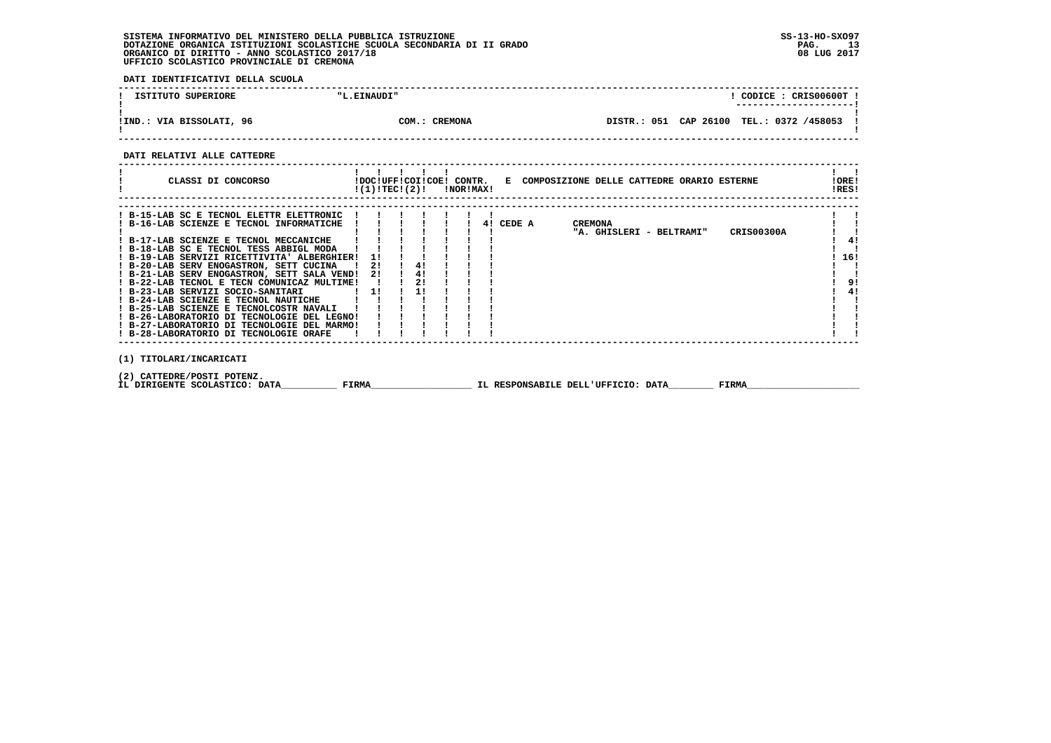**DATI IDENTIFICATIVI DELLA SCUOLA**

| ISTITUTO SUPERIORE       | "L.EINAUDI"             |                          | CODICE: CRIS00600T! |
|--------------------------|-------------------------|--------------------------|---------------------|
| !IND.: VIA BISSOLATI, 96 | <b>CREMONA</b><br>COM.: | CAP 26100<br>DISTR.: 051 | TEL.: 0372 /458053  |

 **------------------------------------------------------------------------------------------------------------------------------------**

 **DATI RELATIVI ALLE CATTEDRE**

| CLASSI DI CONCORSO                                                                                                                                                                                                                                                                                                                                                                                                                                                                                                                                                                                                                |              | $!(1)!TEC!(2)!$ $INORIMAX!$ |                      |  |           | !DOC!UFF!COI!COE! CONTR. E COMPOSIZIONE DELLE CATTEDRE ORARIO ESTERNE | !ORE!<br>!RES!        |
|-----------------------------------------------------------------------------------------------------------------------------------------------------------------------------------------------------------------------------------------------------------------------------------------------------------------------------------------------------------------------------------------------------------------------------------------------------------------------------------------------------------------------------------------------------------------------------------------------------------------------------------|--------------|-----------------------------|----------------------|--|-----------|-----------------------------------------------------------------------|-----------------------|
| ! B-15-LAB SC E TECNOL ELETTR ELETTRONIC<br>! B-16-LAB SCIENZE E TECNOL INFORMATICHE<br>! B-17-LAB SCIENZE E TECNOL MECCANICHE<br>! B-18-LAB SC E TECNOL TESS ABBIGL MODA<br>! B-19-LAB SERVIZI RICETTIVITA' ALBERGHIER!<br>! B-20-LAB SERV ENOGASTRON, SETT CUCINA<br>! B-21-LAB SERV ENOGASTRON, SETT SALA VEND!<br>! B-22-LAB TECNOL E TECN COMUNICAZ MULTIME!<br>! B-23-LAB SERVIZI SOCIO-SANITARI<br>! B-24-LAB SCIENZE E TECNOL NAUTICHE<br>! B-25-LAB SCIENZE E TECNOLCOSTR NAVALI<br>! B-26-LABORATORIO DI TECNOLOGIE DEL LEGNO!<br>! B-27-LABORATORIO DI TECNOLOGIE DEL MARMO!<br>! B-28-LABORATORIO DI TECNOLOGIE ORAFE |              | 11<br>21<br>21<br>11        | 4!<br>4!<br>2!<br>11 |  | 4! CEDE A | <b>CREMONA</b><br>CRIS00300A<br>"A. GHISLERI - BELTRAMI"              | 4!<br>16!<br>9!<br>4! |
| (1) TITOLARI/INCARICATI<br>(2) CATTEDRE/POSTI POTENZ.<br>IL DIRIGENTE SCOLASTICO: DATA                                                                                                                                                                                                                                                                                                                                                                                                                                                                                                                                            | <b>FIRMA</b> |                             |                      |  |           | FIRMA<br>IL RESPONSABILE DELL'UFFICIO: DATA                           |                       |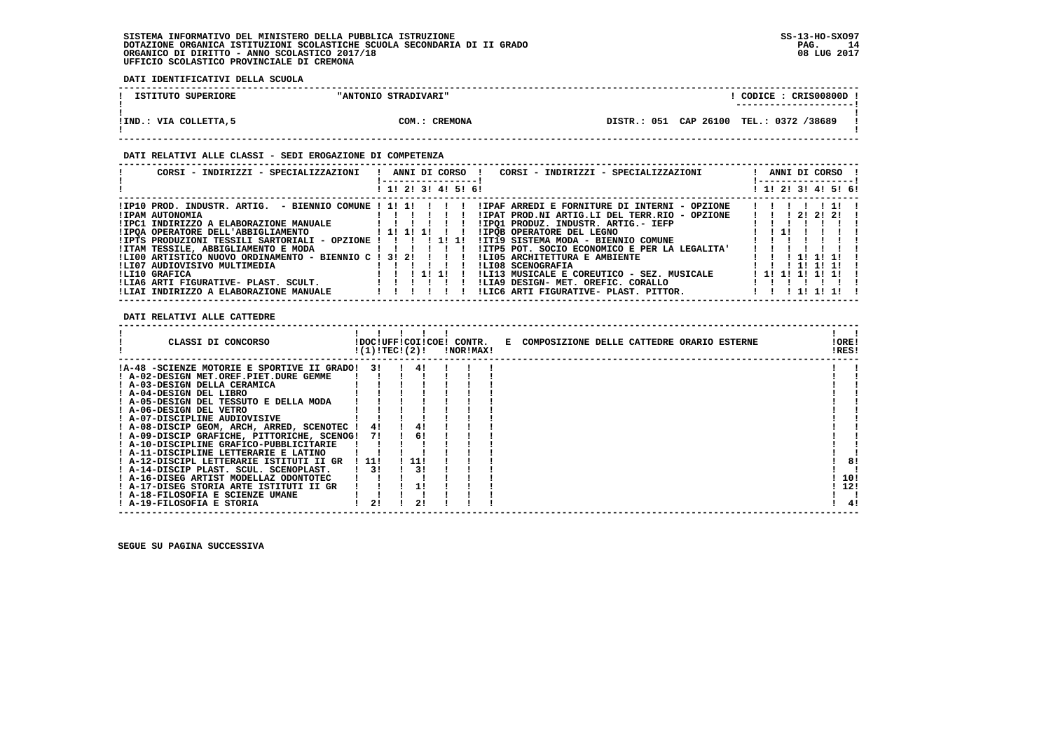**DATI IDENTIFICATIVI DELLA SCUOLA**

| ISTITUTO SUPERIORE    | "ANTONIO STRADIVARI" | CODICE: CRISO0800D<br>----------------------  |  |
|-----------------------|----------------------|-----------------------------------------------|--|
| IIND.: VIA COLLETTA,5 | COM.: CREMONA        | CAP 26100<br>TEL.: 0372 /38689<br>DISTR.: 051 |  |

 **------------------------------------------------------------------------------------------------------------------------------------**

### **DATI RELATIVI ALLE CLASSI - SEDI EROGAZIONE DI COMPETENZA**

| CORSI - INDIRIZZI - SPECIALIZZAZIONI                            | ANNI DI CORSO !<br>CORSI - INDIRIZZI - SPECIALIZZAZIONI | ANNI DI CORSO !<br>------------------ |
|-----------------------------------------------------------------|---------------------------------------------------------|---------------------------------------|
|                                                                 | ! 1! 2! 3! 4! 5! 6!                                     | ! 1! 2! 3! 4! 5! 6!                   |
|                                                                 | IIPAF ARREDI E FORNITURE DI INTERNI - OPZIONE           | 11111111                              |
| !IPAM AUTONOMIA                                                 | !IPAT PROD.NI ARTIG.LI DEL TERR.RIO - OPZIONE           | 1 1 1 2 1 2 1 2 1                     |
| !IPC1 INDIRIZZO A ELABORAZIONE MANUALE [ !!! !                  | !IPO1 PRODUZ. INDUSTR. ARTIG.- IEFP                     |                                       |
| !IPOA OPERATORE DELL'ABBIGLIAMENTO                   ! 1! 1! 1! | !IPOB OPERATORE DEL LEGNO                               | $1 \quad 1 \quad 11$                  |
| !IPTS PRODUZIONI TESSILI SARTORIALI - OPZIONE ! ! ! ! 1! 1!     | !IT19 SISTEMA MODA - BIENNIO COMUNE                     |                                       |
| !ITAM TESSILE, ABBIGLIAMENTO E MODA [ !!!!!!                    | !ITP5 POT, SOCIO ECONOMICO E PER LA LEGALITA!           |                                       |
| !LI00 ARTISTICO NUOVO ORDINAMENTO - BIENNIO C ! 3! 2! ! ! !     | !LI05 ARCHITETTURA E AMBIENTE                           | 111111                                |
| ILI07 AUDIOVISIVO MULTIMEDIA                                    | !LI08 SCENOGRAFIA                                       | 1 1 1 1 1 1 1 1 1                     |
| ILI10 GRAFICA                                                   | !LI13 MUSICALE E COREUTICO - SEZ. MUSICALE<br>1111      | 1 1 1 1 1 1 1 1 1                     |
| !LIA6 ARTI FIGURATIVE- PLAST. SCULT.                            | ILIA9 DESIGN- MET. OREFIC. CORALLO                      |                                       |
| !LIAI INDIRIZZO A ELABORAZIONE MANUALE                          | !LIC6 ARTI FIGURATIVE- PLAST. PITTOR.                   | 1 1 1 1 1 1 1 1                       |

 **DATI RELATIVI ALLE CATTEDRE**

| !A-48 -SCIENZE MOTORIE E SPORTIVE II GRADO!<br>31<br>! A-02-DESIGN MET.OREF.PIET.DURE GEMME<br>! A-03-DESIGN DELLA CERAMICA |
|-----------------------------------------------------------------------------------------------------------------------------|
|                                                                                                                             |
|                                                                                                                             |
|                                                                                                                             |
| ! A-04-DESIGN DEL LIBRO                                                                                                     |
| ! A-05-DESIGN DEL TESSUTO E DELLA MODA                                                                                      |
| ! A-06-DESIGN DEL VETRO                                                                                                     |
| ! A-07-DISCIPLINE AUDIOVISIVE                                                                                               |
| ! A-08-DISCIP GEOM, ARCH, ARRED, SCENOTEC !<br>4!<br>41                                                                     |
| 6!<br>! A-09-DISCIP GRAFICHE, PITTORICHE, SCENOG!<br>71                                                                     |
| ! A-10-DISCIPLINE GRAFICO-PUBBLICITARIE                                                                                     |
| ! A-11-DISCIPLINE LETTERARIE E LATINO                                                                                       |
| $-111$<br>8!<br>! A-12-DISCIPL LETTERARIE ISTITUTI II GR<br>! 11!                                                           |
| 3!<br>31<br>! A-14-DISCIP PLAST. SCUL. SCENOPLAST.                                                                          |
| 10!<br>! A-16-DISEG ARTIST MODELLAZ ODONTOTEC                                                                               |
| 12!<br>! A-17-DISEG STORIA ARTE ISTITUTI II GR                                                                              |
| ! A-18-FILOSOFIA E SCIENZE UMANE                                                                                            |
| 21<br>! A-19-FILOSOFIA E STORIA<br>4!                                                                                       |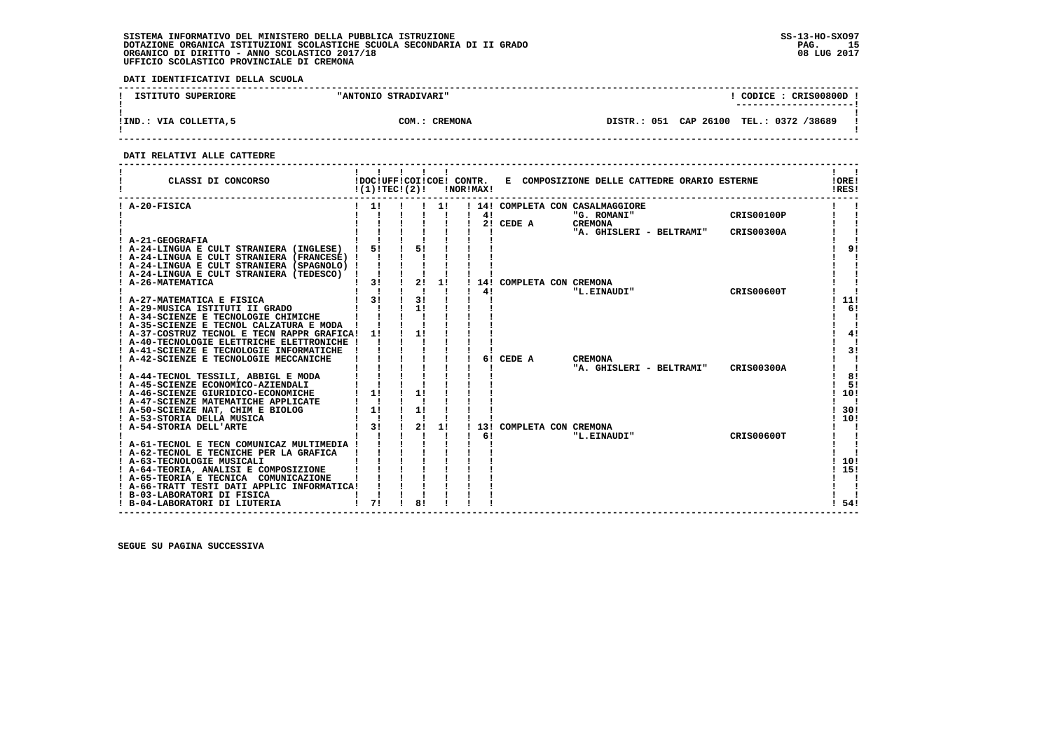**DATI IDENTIFICATIVI DELLA SCUOLA**

| ISTITUTO SUPERIORE     | "ANTONIO STRADIVARI" | CODICE: CRIS00800D<br>---------------------- |  |
|------------------------|----------------------|----------------------------------------------|--|
| IIND.: VIA COLLETTA, 5 | COM.: CREMONA        | DISTR.: 051 CAP 26100 TEL.: 0372 /38689      |  |

 **------------------------------------------------------------------------------------------------------------------------------------**

### **DATI RELATIVI ALLE CATTEDRE**

| CLASSI DI CONCORSO                                                          | !DOC!UFF!COI!COE! CONTR.<br>!(1)!TECI(2)! |    |    | !NOR!MAX! |     |                          | E COMPOSIZIONE DELLE CATTEDRE ORARIO ESTERNE    |                   | !ORE!<br>!RES! |
|-----------------------------------------------------------------------------|-------------------------------------------|----|----|-----------|-----|--------------------------|-------------------------------------------------|-------------------|----------------|
| ! A-20-FISICA                                                               |                                           |    |    |           | 4!  |                          | ! 14! COMPLETA CON CASALMAGGIORE<br>"G. ROMANI" | <b>CRIS00100P</b> |                |
|                                                                             |                                           |    |    |           |     | 2! CEDE A                | <b>CREMONA</b>                                  |                   |                |
|                                                                             |                                           |    |    |           |     |                          | "A. GHISLERI - BELTRAMI"                        | <b>CRIS00300A</b> |                |
| A-21-GEOGRAFIA                                                              |                                           |    |    |           |     |                          |                                                 |                   |                |
| A-24-LINGUA E CULT STRANIERA (INGLESE)                                      | 51                                        | 51 |    |           |     |                          |                                                 |                   | 9 <sub>1</sub> |
| ! A-24-LINGUA E CULT STRANIERA (FRANCESE) !                                 |                                           |    |    |           |     |                          |                                                 |                   |                |
| ! A-24-LINGUA E CULT STRANIERA (SPAGNOLO) !                                 |                                           |    |    |           |     |                          |                                                 |                   |                |
| ! A-24-LINGUA E CULT STRANIERA (TEDESCO)                                    |                                           |    |    |           |     |                          |                                                 |                   |                |
| ! A-26-MATEMATICA                                                           | 3!                                        | 2! | 1! |           |     | 14! COMPLETA CON CREMONA |                                                 |                   |                |
|                                                                             | 31                                        | 3! |    |           | 41  |                          | "L.EINAUDI"                                     | <b>CRIS00600T</b> | 11!            |
| A-27-MATEMATICA E FISICA<br>A-29-MUSICA ISTITUTI II GRADO                   |                                           | 1! |    |           |     |                          |                                                 |                   | 6!             |
| ! A-34-SCIENZE E TECNOLOGIE CHIMICHE                                        |                                           |    |    |           |     |                          |                                                 |                   |                |
| ! A-35-SCIENZE E TECNOL CALZATURA E MODA                                    |                                           |    |    |           |     |                          |                                                 |                   |                |
| ! A-37-COSTRUZ TECNOL E TECN RAPPR GRAFICA!                                 | 11                                        | 11 |    |           |     |                          |                                                 |                   | 4!             |
| A-40-TECNOLOGIE ELETTRICHE ELETTRONICHE                                     |                                           |    |    |           |     |                          |                                                 |                   |                |
| ! A-41-SCIENZE E TECNOLOGIE INFORMATICHE                                    |                                           |    |    |           |     |                          |                                                 |                   | 31             |
| ! A-42-SCIENZE E TECNOLOGIE MECCANICHE                                      |                                           |    |    |           | 6 ! | CEDE A                   | <b>CREMONA</b>                                  |                   |                |
|                                                                             |                                           |    |    |           |     |                          | "A. GHISLERI - BELTRAMI"                        | <b>CRIS00300A</b> |                |
| A-44-TECNOL TESSILI, ABBIGL E MODA                                          |                                           |    |    |           |     |                          |                                                 |                   | 8!             |
| ! A-45-SCIENZE ECONOMICO-AZIENDALI                                          |                                           |    |    |           |     |                          |                                                 |                   | 5!             |
| ! A-46-SCIENZE GIURIDICO-ECONOMICHE<br>! A-47-SCIENZE MATEMATICHE APPLICATE | 11                                        |    |    |           |     |                          |                                                 |                   | 10!            |
| ! A-50-SCIENZE NAT, CHIM E BIOLOG                                           | 1!                                        | 1! |    |           |     |                          |                                                 |                   | 30!            |
| ! A-53-STORIA DELLA MUSICA                                                  |                                           |    |    |           |     |                          |                                                 |                   | 10!            |
| A-54-STORIA DELL'ARTE                                                       | 31                                        | 21 | 1! | 131       |     |                          | COMPLETA CON CREMONA                            |                   |                |
|                                                                             |                                           |    |    |           | 6!  |                          | "L.EINAUDI"                                     | CRIS00600T        |                |
| ! A-61-TECNOL E TECN COMUNICAZ MULTIMEDIA !                                 |                                           |    |    |           |     |                          |                                                 |                   |                |
| ! A-62-TECNOL E TECNICHE PER LA GRAFICA                                     |                                           |    |    |           |     |                          |                                                 |                   |                |
| ! A-63-TECNOLOGIE MUSICALI                                                  |                                           |    |    |           |     |                          |                                                 |                   | 10!            |
| ! A-64-TEORIA, ANALISI E COMPOSIZIONE                                       |                                           |    |    |           |     |                          |                                                 |                   | 15!            |
| A-65-TEORIA E TECNICA COMUNICAZIONE                                         |                                           |    |    |           |     |                          |                                                 |                   |                |
| ! A-66-TRATT TESTI DATI APPLIC INFORMATICA!                                 |                                           |    |    |           |     |                          |                                                 |                   |                |
| ! B-03-LABORATORI DI FISICA<br>! B-04-LABORATORI DI LIUTERIA                | 71                                        | 8! |    |           |     |                          |                                                 |                   | 54!            |
|                                                                             |                                           |    |    |           |     |                          |                                                 |                   |                |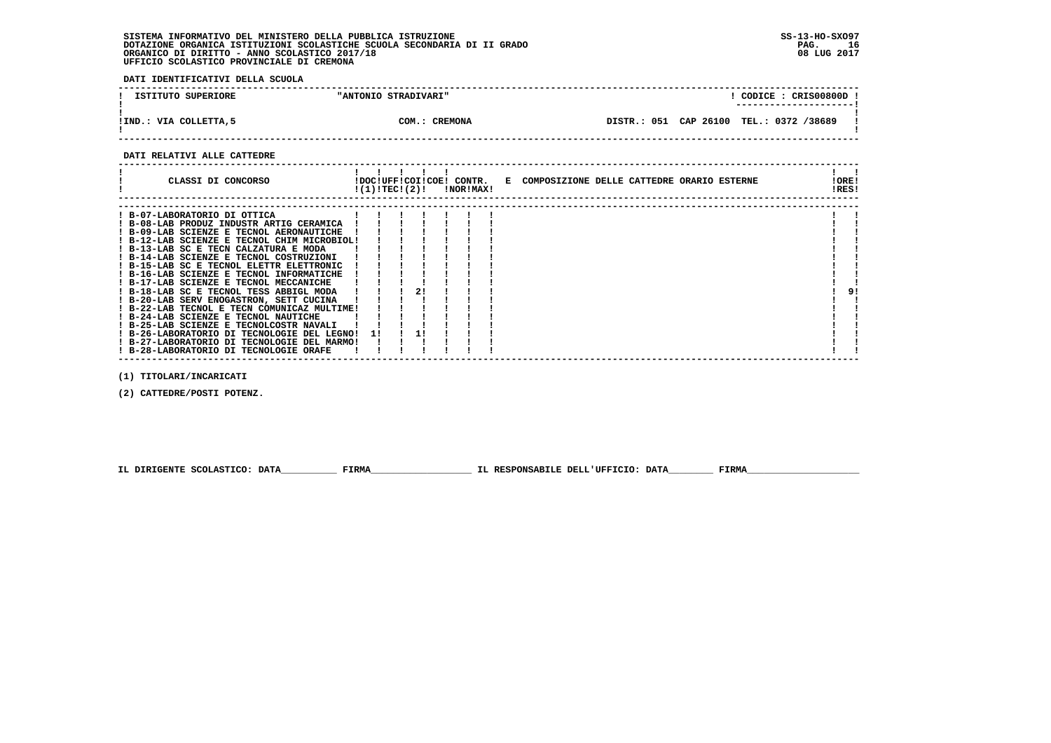**DATI IDENTIFICATIVI DELLA SCUOLA**

| ISTITUTO SUPERIORE     | "ANTONIO STRADIVARI" | CODICE: CRISO0800D !<br>---------------------- |
|------------------------|----------------------|------------------------------------------------|
| IIND.: VIA COLLETTA, 5 | COM.: CREMONA        | DISTR.: 051 CAP 26100 TEL.: 0372 /38689        |

 **------------------------------------------------------------------------------------------------------------------------------------**

#### **DATI RELATIVI ALLE CATTEDRE**

| CLASSI DI CONCORSO                                                                                                                                                                                                                                                                                                                                                                                                                                                                                                                                                     | !(1)!TEC!(2)! |    | !DOC!UFF!COI!COE! CONTR.<br>!NOR!MAX! | E COMPOSIZIONE DELLE CATTEDRE ORARIO ESTERNE | !ORE!<br>!RES! |
|------------------------------------------------------------------------------------------------------------------------------------------------------------------------------------------------------------------------------------------------------------------------------------------------------------------------------------------------------------------------------------------------------------------------------------------------------------------------------------------------------------------------------------------------------------------------|---------------|----|---------------------------------------|----------------------------------------------|----------------|
| ! B-07-LABORATORIO DI OTTICA<br>! B-08-LAB PRODUZ INDUSTR ARTIG CERAMICA<br>! B-09-LAB SCIENZE E TECNOL AERONAUTICHE<br>! B-12-LAB SCIENZE E TECNOL CHIM MICROBIOL!<br>! B-13-LAB SC E TECN CALZATURA E MODA<br>! B-14-LAB SCIENZE E TECNOL COSTRUZIONI<br>! B-15-LAB SC E TECNOL ELETTR ELETTRONIC<br>! B-16-LAB SCIENZE E TECNOL INFORMATICHE<br>! B-17-LAB SCIENZE E TECNOL MECCANICHE<br>! B-18-LAB SC E TECNOL TESS ABBIGL MODA<br>! B-20-LAB SERV ENOGASTRON, SETT CUCINA<br>! B-22-LAB TECNOL E TECN COMUNICAZ MULTIME!<br>! B-24-LAB SCIENZE E TECNOL NAUTICHE |               | 21 |                                       |                                              | 91             |
| ! B-25-LAB SCIENZE E TECNOLCOSTR NAVALI<br>! B-26-LABORATORIO DI TECNOLOGIE DEL LEGNO!<br>! B-27-LABORATORIO DI TECNOLOGIE DEL MARMO!<br>! B-28-LABORATORIO DI TECNOLOGIE ORAFE                                                                                                                                                                                                                                                                                                                                                                                        | 11            |    |                                       |                                              |                |

 **(1) TITOLARI/INCARICATI**

 **(2) CATTEDRE/POSTI POTENZ.**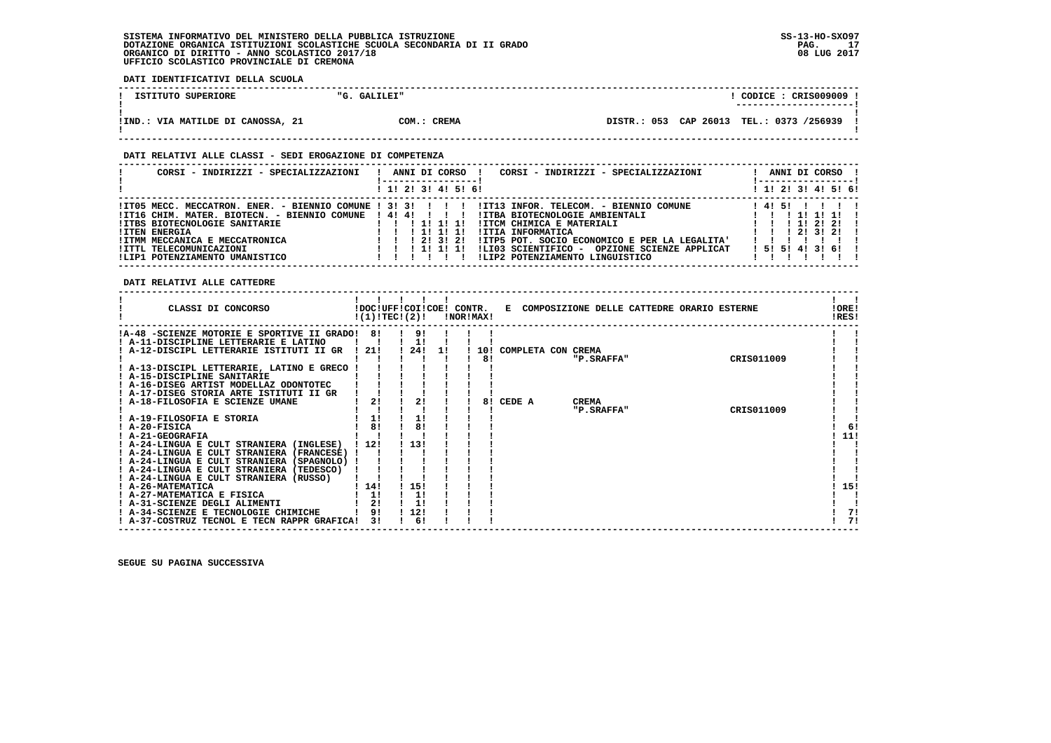**DATI IDENTIFICATIVI DELLA SCUOLA**

| ISTITUTO SUPERIORE                | "G. GALILEI" | $CODE: CRIS009009$ !                     |
|-----------------------------------|--------------|------------------------------------------|
| !IND.: VIA MATILDE DI CANOSSA, 21 | COM.: CREMA  | DISTR.: 053 CAP 26013 TEL.: 0373 /256939 |

### **DATI RELATIVI ALLE CLASSI - SEDI EROGAZIONE DI COMPETENZA**

| CORSI - INDIRIZZI - SPECIALIZZAZIONI                                                                                                                                                                                 | CORSI - INDIRIZZI - SPECIALIZZAZIONI<br>ANNI DI CORSO                                                                                                                                                                                                                                                                                                                                       | ANNI DI CORSO<br>-----------------                                               |
|----------------------------------------------------------------------------------------------------------------------------------------------------------------------------------------------------------------------|---------------------------------------------------------------------------------------------------------------------------------------------------------------------------------------------------------------------------------------------------------------------------------------------------------------------------------------------------------------------------------------------|----------------------------------------------------------------------------------|
|                                                                                                                                                                                                                      | ! 1! 2! 3! 4! 5! 6!                                                                                                                                                                                                                                                                                                                                                                         | ! 1! 2! 3! 4! 5! 6!                                                              |
| !IT16 CHIM. MATER. BIOTECN. - BIENNIO COMUNE ! 4! 4! ! ! ! !<br>!ITBS BIOTECNOLOGIE SANITARIE<br><b>!ITEN ENERGIA</b><br>!ITMM MECCANICA E MECCATRONICA<br>!ITTL TELECOMUNICAZIONI<br>!LIP1 POTENZIAMENTO UMANISTICO | ITT05 MECC. MECCATRON. ENER. - BIENNIO COMUNE ! 3! 3! ! ! !IT13 INFOR. TELECOM. - BIENNIO COMUNE<br>!ITBA BIOTECNOLOGIE AMBIENTALI<br>!ITCM CHIMICA E MATERIALI<br>111111<br>1 11 11 11<br>!ITIA INFORMATICA<br>!ITP5 POT. SOCIO ECONOMICO E PER LA LEGALITA'<br>1 1 1 2 1 3 1 2 1<br>ILI03 SCIENTIFICO -<br>OPZIONE SCIENZE APPLICAT<br>1 1 1 1 1 1 1 1<br>!LIP2 POTENZIAMENTO LINGUISTICO | 14151<br>1 11 11 11<br>1 1 1 2 1 2 1<br>1 1 1 2 1 3 1 2 1 1<br>! 5! 5! 4! 3! 6!! |

### **DATI RELATIVI ALLE CATTEDRE**

| CLASSI DI CONCORSO                           |          | !DOC!UFF!COI!COE! CONTR.<br>!(1)!TEC!(2)! |    | !NOR!MAX! |                    | E COMPOSIZIONE DELLE CATTEDRE ORARIO ESTERNE |            | !ORE!<br>!RES! |
|----------------------------------------------|----------|-------------------------------------------|----|-----------|--------------------|----------------------------------------------|------------|----------------|
| !A-48 -SCIENZE MOTORIE E SPORTIVE II GRADO!  | -81      | 91                                        |    |           |                    |                                              |            |                |
| ! A-11-DISCIPLINE LETTERARIE E LATINO        |          |                                           |    |           |                    |                                              |            |                |
| A-12-DISCIPL LETTERARIE ISTITUTI II GR       | -21!     | 24!                                       | 11 | 10!       | COMPLETA CON CREMA |                                              |            |                |
|                                              |          |                                           |    | 8!        |                    | "P.SRAFFA"                                   | CRIS011009 |                |
| ! A-13-DISCIPL LETTERARIE, LATINO E GRECO    |          |                                           |    |           |                    |                                              |            |                |
| ! A-15-DISCIPLINE SANITARIE                  |          |                                           |    |           |                    |                                              |            |                |
| ! A-16-DISEG ARTIST MODELLAZ ODONTOTEC       |          |                                           |    |           |                    |                                              |            |                |
| ! A-17-DISEG STORIA ARTE ISTITUTI II GR      |          |                                           |    |           |                    |                                              |            |                |
| A-18-FILOSOFIA E SCIENZE UMANE               |          | 2!                                        |    | 81        | CEDE A             | <b>CREMA</b>                                 |            |                |
|                                              |          |                                           |    |           |                    | "P.SRAFFA"                                   | CRIS011009 |                |
| ! A-19-FILOSOFIA E STORIA                    | 1!       | 1!                                        |    |           |                    |                                              |            |                |
| ! A-20-FISICA                                | 81       | 8!                                        |    |           |                    |                                              |            | -61            |
| ! A-21-GEOGRAFIA                             |          |                                           |    |           |                    |                                              |            | 11!            |
| ! A-24-LINGUA E CULT STRANIERA (INGLESE)     | ! 12!    | 13!                                       |    |           |                    |                                              |            |                |
| ! A-24-LINGUA E CULT STRANIERA<br>(FRANCESE) |          |                                           |    |           |                    |                                              |            |                |
| ! A-24-LINGUA E CULT STRANIERA (SPAGNOLO)    |          |                                           |    |           |                    |                                              |            |                |
| ! A-24-LINGUA E CULT STRANIERA (TEDESCO)     |          |                                           |    |           |                    |                                              |            |                |
| A-24-LINGUA E CULT STRANIERA (RUSSO)         |          |                                           |    |           |                    |                                              |            |                |
| ! A-26-MATEMATICA                            | 14!      | ! 15!                                     |    |           |                    |                                              |            | 15!            |
| ! A-27-MATEMATICA E FISICA                   | 1!       | 1!                                        |    |           |                    |                                              |            |                |
| ! A-31-SCIENZE DEGLI ALIMENTI                | 21<br>91 | 1!                                        |    |           |                    |                                              |            |                |
| A-34-SCIENZE E TECNOLOGIE CHIMICHE           |          | 12!                                       |    |           |                    |                                              |            | 7!             |
| ! A-37-COSTRUZ TECNOL E TECN RAPPR GRAFICA!  | 31       | 6!                                        |    |           |                    |                                              |            | 71             |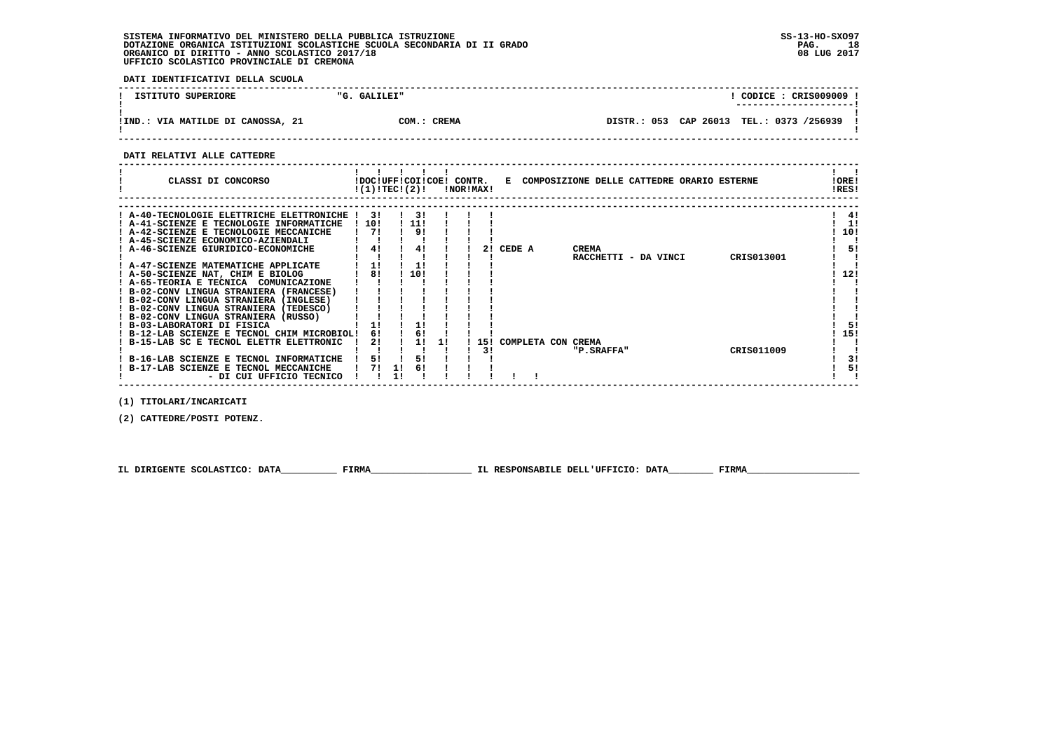**DATI IDENTIFICATIVI DELLA SCUOLA**

| ISTITUTO SUPERIORE                | "G. GALILEI" | CODICE: CRIS009009 !<br>---------------------- |
|-----------------------------------|--------------|------------------------------------------------|
| !IND.: VIA MATILDE DI CANOSSA, 21 | COM.: CREMA  | DISTR.: 053 CAP 26013 TEL.: 0373 /256939       |

 **------------------------------------------------------------------------------------------------------------------------------------**

 **DATI RELATIVI ALLE CATTEDRE**

| CLASSI DI CONCORSO                          | !(1)!TEC!(2)! |     | !DOC!UFF!COI!COE! CONTR. | !NOR!MAX! | Е      |                    |              | COMPOSIZIONE DELLE CATTEDRE ORARIO ESTERNE |            | !ORE!<br>!RES! |
|---------------------------------------------|---------------|-----|--------------------------|-----------|--------|--------------------|--------------|--------------------------------------------|------------|----------------|
|                                             |               |     |                          |           |        |                    |              |                                            |            |                |
| ! A-40-TECNOLOGIE ELETTRICHE ELETTRONICHE ! | 3 I           | 3 I |                          |           |        |                    |              |                                            |            | -41            |
| A-41-SCIENZE E TECNOLOGIE INFORMATICHE      | 10!           | 11! |                          |           |        |                    |              |                                            |            | 1!             |
| ! A-42-SCIENZE E TECNOLOGIE MECCANICHE      | 71            | 91  |                          |           |        |                    |              |                                            |            | 10!            |
| A-45-SCIENZE ECONOMICO-AZIENDALI            |               |     |                          |           |        |                    |              |                                            |            |                |
| A-46-SCIENZE GIURIDICO-ECONOMICHE           | 4!            | 41  |                          |           | CEDE A |                    | <b>CREMA</b> |                                            |            | 51             |
|                                             |               |     |                          |           |        |                    |              | RACCHETTI - DA VINCI                       | CRIS013001 |                |
| ! A-47-SCIENZE MATEMATICHE APPLICATE        |               |     |                          |           |        |                    |              |                                            |            |                |
| ! A-50-SCIENZE NAT, CHIM E BIOLOG           | 81            | 10! |                          |           |        |                    |              |                                            |            | 12!            |
| ! A-65-TEORIA E TECNICA<br>COMUNICAZIONE    |               |     |                          |           |        |                    |              |                                            |            |                |
| ! B-02-CONV LINGUA STRANIERA (FRANCESE)     |               |     |                          |           |        |                    |              |                                            |            |                |
| ! B-02-CONV LINGUA STRANIERA (INGLESE)      |               |     |                          |           |        |                    |              |                                            |            |                |
| ! B-02-CONV LINGUA STRANIERA (TEDESCO)      |               |     |                          |           |        |                    |              |                                            |            |                |
| B-02-CONV LINGUA STRANIERA (RUSSO)          |               |     |                          |           |        |                    |              |                                            |            |                |
| ! B-03-LABORATORI DI FISICA                 |               |     |                          |           |        |                    |              |                                            |            | 51             |
| B-12-LAB SCIENZE E TECNOL CHIM MICROBIOL!   | 6!            |     |                          |           |        |                    |              |                                            |            | 15!            |
| ! B-15-LAB SC E TECNOL ELETTR ELETTRONIC    | 21            |     |                          | 151       |        | COMPLETA CON CREMA |              |                                            |            |                |
|                                             |               |     |                          |           |        |                    | "P.SRAFFA"   |                                            | CRIS011009 |                |
| ! B-16-LAB SCIENZE E TECNOL INFORMATICHE    | 51            | 51  |                          |           |        |                    |              |                                            |            | 3!             |
| B-17-LAB SCIENZE E TECNOL MECCANICHE        |               | 6!  |                          |           |        |                    |              |                                            |            | 5!             |
| - DI CUI UFFICIO TECNICO                    |               |     |                          |           |        |                    |              |                                            |            |                |

 **(1) TITOLARI/INCARICATI**

 **(2) CATTEDRE/POSTI POTENZ.**

 **IL DIRIGENTE SCOLASTICO: DATA\_\_\_\_\_\_\_\_\_\_ FIRMA\_\_\_\_\_\_\_\_\_\_\_\_\_\_\_\_\_\_ IL RESPONSABILE DELL'UFFICIO: DATA\_\_\_\_\_\_\_\_ FIRMA\_\_\_\_\_\_\_\_\_\_\_\_\_\_\_\_\_\_\_\_**

 **------------------------------------------------------------------------------------------------------------------------------------**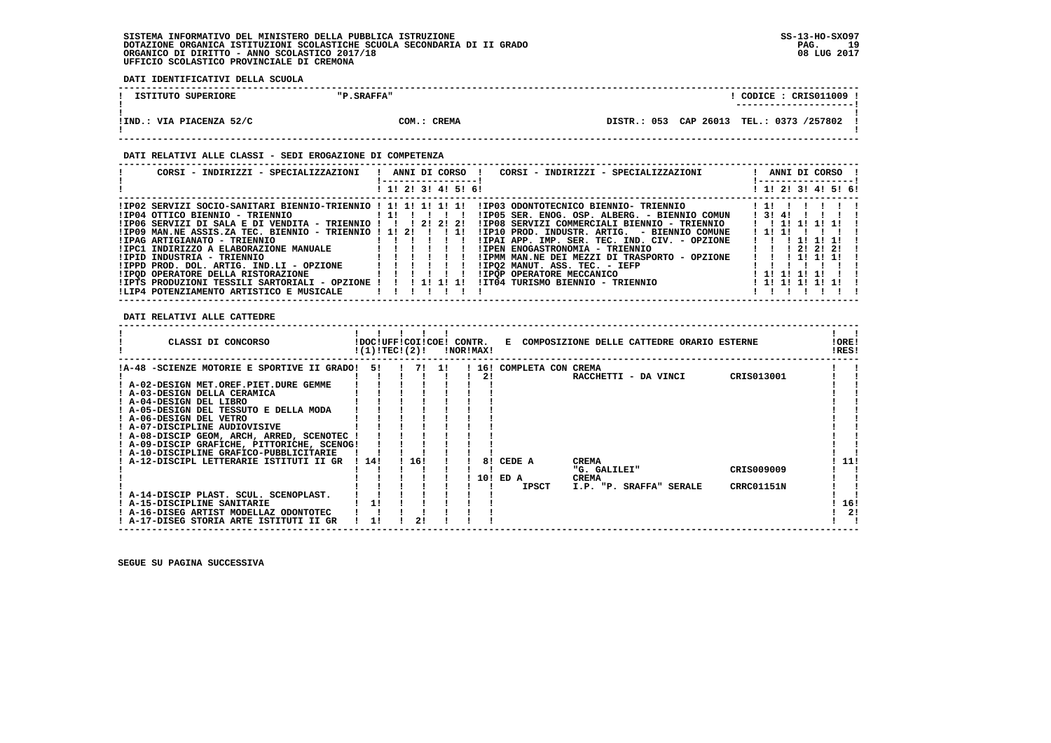**DATI IDENTIFICATIVI DELLA SCUOLA**

| ISTITUTO SUPERIORE       | "P.SRAFFA"  |                                          | $\texttt{CODE}: \texttt{CRIS011009}$ |
|--------------------------|-------------|------------------------------------------|--------------------------------------|
| !IND.: VIA PIACENZA 52/C | COM.: CREMA | DISTR.: 053 CAP 26013 TEL.: 0373 /257802 |                                      |

### **DATI RELATIVI ALLE CLASSI - SEDI EROGAZIONE DI COMPETENZA**

| CORSI - INDIRIZZI - SPECIALIZZAZIONI   !  ANNI DI CORSO  !     | CORSI - INDIRIZZI - SPECIALIZZAZIONI<br>-----------------                                             | ANNI DI CORSO !<br>!------------------!        |
|----------------------------------------------------------------|-------------------------------------------------------------------------------------------------------|------------------------------------------------|
|                                                                | ! 1! 2! 3! 4! 5! 6!                                                                                   | ! 1! 2! 3! 4! 5! 6!                            |
|                                                                | IIPO2 SERVIZI SOCIO-SANITARI BIENNIO-TRIENNIO ! 1! 1! 1! 1! 1! IIPO3 ODONTOTECNICO BIENNIO- TRIENNIO! | 11111                                          |
| IIP04 OTTICO BIENNIO - TRIENNIO                                | !IP05 SER. ENOG. OSP. ALBERG. - BIENNIO COMUN<br>$11!$ $11!$ $11!$ $11!$                              | 1314111                                        |
| $IIP06$ SERVIZI DI SALA E DI VENDITA - TRIENNIO !!! 2! 2! 2!   | !IP08 SERVIZI COMMERCIALI BIENNIO - TRIENNIO                                                          | 1 1 1 1 1 1 1 1 1                              |
| $IIP09$ MAN.NE ASSIS.ZA TEC. BIENNIO - TRIENNIO ! 1! 2! ! ! 1! | IIP10 PROD. INDUSTR. ARTIG. - BIENNIO COMUNE                                                          | 1111                                           |
| !IPAG ARTIGIANATO - TRIENNIO                                   | !IPAI APP. IMP. SER. TEC. IND. CIV. - OPZIONE                                                         | 11111111                                       |
|                                                                | !IPEN ENOGASTRONOMIA - TRIENNIO                                                                       | $1 \quad 1 \quad 1 \quad 21 \quad 21 \quad 21$ |
| !IPID INDUSTRIA - TRIENNIO                                     | !IPMM MAN.NE DEI MEZZI DI TRASPORTO - OPZIONE                                                         | 1 1 1 1 1 1 1 1                                |
| !IPPD PROD. DOL. ARTIG. IND.LI - OPZIONE                       | !IPO2 MANUT. ASS. TEC. - IEFP                                                                         |                                                |
|                                                                | <b>!IPOP OPERATORE MECCANICO</b>                                                                      | 1111111                                        |
| !IPTS PRODUZIONI TESSILI SARTORIALI - OPZIONE ! ! ! 1! 1! 1!   | !IT04 TURISMO BIENNIO - TRIENNIO                                                                      | 1 11 11 11 11 11                               |
| !LIP4 POTENZIAMENTO ARTISTICO E MUSICALE                       |                                                                                                       |                                                |

 **DATI RELATIVI ALLE CATTEDRE**

| CLASSI DI CONCORSO                          | !DOC!UFF!COI!COE! CONTR.<br>!(1)!TEC!(2)! |      |       | !NOR!MAX! |                          | E COMPOSIZIONE DELLE CATTEDRE ORARIO ESTERNE | !ORE!<br>!RES! |
|---------------------------------------------|-------------------------------------------|------|-------|-----------|--------------------------|----------------------------------------------|----------------|
| !A-48 -SCIENZE MOTORIE E SPORTIVE II GRADO! | 51                                        |      | 7! 1! |           | ! 16! COMPLETA CON CREMA |                                              |                |
|                                             |                                           |      |       | 21        |                          | CRIS013001<br>RACCHETTI - DA VINCI           |                |
| ! A-02-DESIGN MET.OREF.PIET.DURE GEMME      |                                           |      |       |           |                          |                                              |                |
| ! A-03-DESIGN DELLA CERAMICA                |                                           |      |       |           |                          |                                              |                |
| ! A-04-DESIGN DEL LIBRO                     |                                           |      |       |           |                          |                                              |                |
| ! A-05-DESIGN DEL TESSUTO E DELLA MODA      |                                           |      |       |           |                          |                                              |                |
| ! A-06-DESIGN DEL VETRO                     |                                           |      |       |           |                          |                                              |                |
| ! A-07-DISCIPLINE AUDIOVISIVE               |                                           |      |       |           |                          |                                              |                |
| ! A-08-DISCIP GEOM, ARCH, ARRED, SCENOTEC   |                                           |      |       |           |                          |                                              |                |
| ! A-09-DISCIP GRAFICHE, PITTORICHE, SCENOG! |                                           |      |       |           |                          |                                              |                |
| ! A-10-DISCIPLINE GRAFICO-PUBBLICITARIE     |                                           |      |       |           |                          |                                              |                |
| ! A-12-DISCIPL LETTERARIE ISTITUTI II GR    | 1141                                      | '16! |       | 81        | CEDE A                   | <b>CREMA</b>                                 | 11!            |
|                                             |                                           |      |       |           |                          | CRIS009009<br>"G. GALILEI"                   |                |
|                                             |                                           |      |       |           | 10! ED A                 | <b>CREMA</b>                                 |                |
|                                             |                                           |      |       |           | <b>IPSCT</b>             | CRRC01151N<br>I.P. "P. SRAFFA" SERALE        |                |
| ! A-14-DISCIP PLAST. SCUL. SCENOPLAST.      |                                           |      |       |           |                          |                                              |                |
| ! A-15-DISCIPLINE SANITARIE                 |                                           |      |       |           |                          |                                              | 16!            |
| ! A-16-DISEG ARTIST MODELLAZ ODONTOTEC      |                                           |      |       |           |                          |                                              | -21            |
| ! A-17-DISEG STORIA ARTE ISTITUTI II GR     |                                           |      |       |           |                          |                                              |                |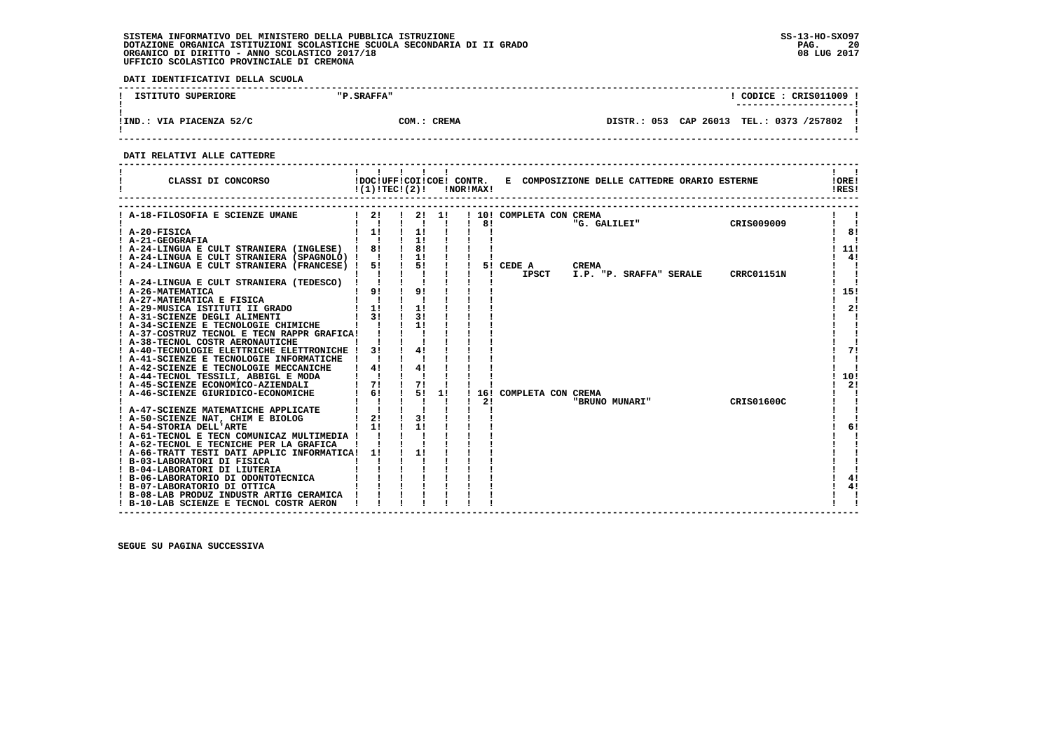**DATI IDENTIFICATIVI DELLA SCUOLA**

| ISTITUTO SUPERIORE       | "P.SRAFFA"  |  | CODICE: CRIS011009<br>---------------------- |  |
|--------------------------|-------------|--|----------------------------------------------|--|
| !IND.: VIA PIACENZA 52/C | COM.: CREMA |  | DISTR.: 053 CAP 26013 TEL.: 0373 /257802     |  |

 **------------------------------------------------------------------------------------------------------------------------------------**

 **DATI RELATIVI ALLE CATTEDRE**

| $1 \quad 2! \quad 1 \quad 2! \quad 1!$<br>A-18-FILOSOFIA E SCIENZE UMANE<br>! 10! COMPLETA CON CREMA<br>"G. GALILEI"<br>CRIS009009<br>$\blacksquare$<br>81<br>$1 \quad 11$<br>1!<br>$I$ A-20-FISICA<br>8!<br>1!<br>$\mathbf{I}$ $\mathbf{I}$<br><b>A-21-GEOGRAFIA</b><br>! A-24-LINGUA E CULT STRANIERA (INGLESE) ! 8!<br>8!<br>11!<br>1!<br>4!<br>! A-24-LINGUA E CULT STRANIERA (SPAGNOLO) !!<br>5!<br>A-24-LINGUA E CULT STRANIERA (FRANCESE) !<br>51<br>5! CEDE A<br><b>CREMA</b><br><b>IPSCT</b><br>I.P. "P. SRAFFA" SERALE<br>CRRC01151N<br>A-24-LINGUA E CULT STRANIERA (TEDESCO)<br>9!<br>91<br>15!<br>! A-26-MATEMATICA<br>$\mathbf{I}$ $\mathbf{I}$<br>A-27-MATEMATICA E FISICA<br>$1 \quad 11$<br>11<br>-21<br>A-29-MUSICA ISTITUTI II GRADO<br>31<br>31<br>A-31-SCIENZE DEGLI ALIMENTI<br>11<br>A-34-SCIENZE E TECNOLOGIE CHIMICHE<br>! A-37-COSTRUZ TECNOL E TECN RAPPR GRAFICA!<br>! A-38-TECNOL COSTR AERONAUTICHE<br>31<br>41<br>71<br>A-40-TECNOLOGIE ELETTRICHE ELETTRONICHE !<br>A-41-SCIENZE E TECNOLOGIE INFORMATICHE<br>41<br>4!<br>! A-42-SCIENZE E TECNOLOGIE MECCANICHE<br>10!<br>! A-44-TECNOL TESSILI, ABBIGL E MODA<br>71<br>71<br>2!<br>! A-45-SCIENZE ECONOMICO-AZIENDALI<br>6!<br>51<br>! A-46-SCIENZE GIURIDICO-ECONOMICHE<br>1!<br>16! COMPLETA CON CREMA<br>2!<br>"BRUNO MUNARI"<br>CRIS01600C<br>A-47-SCIENZE MATEMATICHE APPLICATE<br>3!<br>2!<br>A-50-SCIENZE NAT, CHIM E BIOLOG<br>11<br>11<br>6!<br>! A-54-STORIA DELL'ARTE<br>! A-61-TECNOL E TECN COMUNICAZ MULTIMEDIA !<br>! A-62-TECNOL E TECNICHE PER LA GRAFICA<br>! A-66-TRATT TESTI DATI APPLIC INFORMATICA!<br>11<br>11<br>! B-03-LABORATORI DI FISICA<br>B-04-LABORATORI DI LIUTERIA<br>4!<br>B-06-LABORATORIO DI ODONTOTECNICA<br>4!<br>! B-07-LABORATORIO DI OTTICA<br>! B-08-LAB PRODUZ INDUSTR ARTIG CERAMICA<br>! B-10-LAB SCIENZE E TECNOL COSTR AERON | CLASSI DI CONCORSO | !DOC!UFF!COI!COE! CONTR.<br>!(1)!TEC!(2)! |  |  | !NOR!MAX! |  | E COMPOSIZIONE DELLE CATTEDRE ORARIO ESTERNE |  | !ORE!<br>!RES! |
|---------------------------------------------------------------------------------------------------------------------------------------------------------------------------------------------------------------------------------------------------------------------------------------------------------------------------------------------------------------------------------------------------------------------------------------------------------------------------------------------------------------------------------------------------------------------------------------------------------------------------------------------------------------------------------------------------------------------------------------------------------------------------------------------------------------------------------------------------------------------------------------------------------------------------------------------------------------------------------------------------------------------------------------------------------------------------------------------------------------------------------------------------------------------------------------------------------------------------------------------------------------------------------------------------------------------------------------------------------------------------------------------------------------------------------------------------------------------------------------------------------------------------------------------------------------------------------------------------------------------------------------------------------------------------------------------------------------------------------------------------------------------------------------------------------------------------------------------------------------|--------------------|-------------------------------------------|--|--|-----------|--|----------------------------------------------|--|----------------|
|                                                                                                                                                                                                                                                                                                                                                                                                                                                                                                                                                                                                                                                                                                                                                                                                                                                                                                                                                                                                                                                                                                                                                                                                                                                                                                                                                                                                                                                                                                                                                                                                                                                                                                                                                                                                                                                               |                    |                                           |  |  |           |  |                                              |  |                |
|                                                                                                                                                                                                                                                                                                                                                                                                                                                                                                                                                                                                                                                                                                                                                                                                                                                                                                                                                                                                                                                                                                                                                                                                                                                                                                                                                                                                                                                                                                                                                                                                                                                                                                                                                                                                                                                               |                    |                                           |  |  |           |  |                                              |  |                |
|                                                                                                                                                                                                                                                                                                                                                                                                                                                                                                                                                                                                                                                                                                                                                                                                                                                                                                                                                                                                                                                                                                                                                                                                                                                                                                                                                                                                                                                                                                                                                                                                                                                                                                                                                                                                                                                               |                    |                                           |  |  |           |  |                                              |  |                |
|                                                                                                                                                                                                                                                                                                                                                                                                                                                                                                                                                                                                                                                                                                                                                                                                                                                                                                                                                                                                                                                                                                                                                                                                                                                                                                                                                                                                                                                                                                                                                                                                                                                                                                                                                                                                                                                               |                    |                                           |  |  |           |  |                                              |  |                |
|                                                                                                                                                                                                                                                                                                                                                                                                                                                                                                                                                                                                                                                                                                                                                                                                                                                                                                                                                                                                                                                                                                                                                                                                                                                                                                                                                                                                                                                                                                                                                                                                                                                                                                                                                                                                                                                               |                    |                                           |  |  |           |  |                                              |  |                |
|                                                                                                                                                                                                                                                                                                                                                                                                                                                                                                                                                                                                                                                                                                                                                                                                                                                                                                                                                                                                                                                                                                                                                                                                                                                                                                                                                                                                                                                                                                                                                                                                                                                                                                                                                                                                                                                               |                    |                                           |  |  |           |  |                                              |  |                |
|                                                                                                                                                                                                                                                                                                                                                                                                                                                                                                                                                                                                                                                                                                                                                                                                                                                                                                                                                                                                                                                                                                                                                                                                                                                                                                                                                                                                                                                                                                                                                                                                                                                                                                                                                                                                                                                               |                    |                                           |  |  |           |  |                                              |  |                |
|                                                                                                                                                                                                                                                                                                                                                                                                                                                                                                                                                                                                                                                                                                                                                                                                                                                                                                                                                                                                                                                                                                                                                                                                                                                                                                                                                                                                                                                                                                                                                                                                                                                                                                                                                                                                                                                               |                    |                                           |  |  |           |  |                                              |  |                |
|                                                                                                                                                                                                                                                                                                                                                                                                                                                                                                                                                                                                                                                                                                                                                                                                                                                                                                                                                                                                                                                                                                                                                                                                                                                                                                                                                                                                                                                                                                                                                                                                                                                                                                                                                                                                                                                               |                    |                                           |  |  |           |  |                                              |  |                |
|                                                                                                                                                                                                                                                                                                                                                                                                                                                                                                                                                                                                                                                                                                                                                                                                                                                                                                                                                                                                                                                                                                                                                                                                                                                                                                                                                                                                                                                                                                                                                                                                                                                                                                                                                                                                                                                               |                    |                                           |  |  |           |  |                                              |  |                |
|                                                                                                                                                                                                                                                                                                                                                                                                                                                                                                                                                                                                                                                                                                                                                                                                                                                                                                                                                                                                                                                                                                                                                                                                                                                                                                                                                                                                                                                                                                                                                                                                                                                                                                                                                                                                                                                               |                    |                                           |  |  |           |  |                                              |  |                |
|                                                                                                                                                                                                                                                                                                                                                                                                                                                                                                                                                                                                                                                                                                                                                                                                                                                                                                                                                                                                                                                                                                                                                                                                                                                                                                                                                                                                                                                                                                                                                                                                                                                                                                                                                                                                                                                               |                    |                                           |  |  |           |  |                                              |  |                |
|                                                                                                                                                                                                                                                                                                                                                                                                                                                                                                                                                                                                                                                                                                                                                                                                                                                                                                                                                                                                                                                                                                                                                                                                                                                                                                                                                                                                                                                                                                                                                                                                                                                                                                                                                                                                                                                               |                    |                                           |  |  |           |  |                                              |  |                |
|                                                                                                                                                                                                                                                                                                                                                                                                                                                                                                                                                                                                                                                                                                                                                                                                                                                                                                                                                                                                                                                                                                                                                                                                                                                                                                                                                                                                                                                                                                                                                                                                                                                                                                                                                                                                                                                               |                    |                                           |  |  |           |  |                                              |  |                |
|                                                                                                                                                                                                                                                                                                                                                                                                                                                                                                                                                                                                                                                                                                                                                                                                                                                                                                                                                                                                                                                                                                                                                                                                                                                                                                                                                                                                                                                                                                                                                                                                                                                                                                                                                                                                                                                               |                    |                                           |  |  |           |  |                                              |  |                |
|                                                                                                                                                                                                                                                                                                                                                                                                                                                                                                                                                                                                                                                                                                                                                                                                                                                                                                                                                                                                                                                                                                                                                                                                                                                                                                                                                                                                                                                                                                                                                                                                                                                                                                                                                                                                                                                               |                    |                                           |  |  |           |  |                                              |  |                |
|                                                                                                                                                                                                                                                                                                                                                                                                                                                                                                                                                                                                                                                                                                                                                                                                                                                                                                                                                                                                                                                                                                                                                                                                                                                                                                                                                                                                                                                                                                                                                                                                                                                                                                                                                                                                                                                               |                    |                                           |  |  |           |  |                                              |  |                |
|                                                                                                                                                                                                                                                                                                                                                                                                                                                                                                                                                                                                                                                                                                                                                                                                                                                                                                                                                                                                                                                                                                                                                                                                                                                                                                                                                                                                                                                                                                                                                                                                                                                                                                                                                                                                                                                               |                    |                                           |  |  |           |  |                                              |  |                |
|                                                                                                                                                                                                                                                                                                                                                                                                                                                                                                                                                                                                                                                                                                                                                                                                                                                                                                                                                                                                                                                                                                                                                                                                                                                                                                                                                                                                                                                                                                                                                                                                                                                                                                                                                                                                                                                               |                    |                                           |  |  |           |  |                                              |  |                |
|                                                                                                                                                                                                                                                                                                                                                                                                                                                                                                                                                                                                                                                                                                                                                                                                                                                                                                                                                                                                                                                                                                                                                                                                                                                                                                                                                                                                                                                                                                                                                                                                                                                                                                                                                                                                                                                               |                    |                                           |  |  |           |  |                                              |  |                |
|                                                                                                                                                                                                                                                                                                                                                                                                                                                                                                                                                                                                                                                                                                                                                                                                                                                                                                                                                                                                                                                                                                                                                                                                                                                                                                                                                                                                                                                                                                                                                                                                                                                                                                                                                                                                                                                               |                    |                                           |  |  |           |  |                                              |  |                |
|                                                                                                                                                                                                                                                                                                                                                                                                                                                                                                                                                                                                                                                                                                                                                                                                                                                                                                                                                                                                                                                                                                                                                                                                                                                                                                                                                                                                                                                                                                                                                                                                                                                                                                                                                                                                                                                               |                    |                                           |  |  |           |  |                                              |  |                |
|                                                                                                                                                                                                                                                                                                                                                                                                                                                                                                                                                                                                                                                                                                                                                                                                                                                                                                                                                                                                                                                                                                                                                                                                                                                                                                                                                                                                                                                                                                                                                                                                                                                                                                                                                                                                                                                               |                    |                                           |  |  |           |  |                                              |  |                |
|                                                                                                                                                                                                                                                                                                                                                                                                                                                                                                                                                                                                                                                                                                                                                                                                                                                                                                                                                                                                                                                                                                                                                                                                                                                                                                                                                                                                                                                                                                                                                                                                                                                                                                                                                                                                                                                               |                    |                                           |  |  |           |  |                                              |  |                |
|                                                                                                                                                                                                                                                                                                                                                                                                                                                                                                                                                                                                                                                                                                                                                                                                                                                                                                                                                                                                                                                                                                                                                                                                                                                                                                                                                                                                                                                                                                                                                                                                                                                                                                                                                                                                                                                               |                    |                                           |  |  |           |  |                                              |  |                |
|                                                                                                                                                                                                                                                                                                                                                                                                                                                                                                                                                                                                                                                                                                                                                                                                                                                                                                                                                                                                                                                                                                                                                                                                                                                                                                                                                                                                                                                                                                                                                                                                                                                                                                                                                                                                                                                               |                    |                                           |  |  |           |  |                                              |  |                |
|                                                                                                                                                                                                                                                                                                                                                                                                                                                                                                                                                                                                                                                                                                                                                                                                                                                                                                                                                                                                                                                                                                                                                                                                                                                                                                                                                                                                                                                                                                                                                                                                                                                                                                                                                                                                                                                               |                    |                                           |  |  |           |  |                                              |  |                |
|                                                                                                                                                                                                                                                                                                                                                                                                                                                                                                                                                                                                                                                                                                                                                                                                                                                                                                                                                                                                                                                                                                                                                                                                                                                                                                                                                                                                                                                                                                                                                                                                                                                                                                                                                                                                                                                               |                    |                                           |  |  |           |  |                                              |  |                |
|                                                                                                                                                                                                                                                                                                                                                                                                                                                                                                                                                                                                                                                                                                                                                                                                                                                                                                                                                                                                                                                                                                                                                                                                                                                                                                                                                                                                                                                                                                                                                                                                                                                                                                                                                                                                                                                               |                    |                                           |  |  |           |  |                                              |  |                |
|                                                                                                                                                                                                                                                                                                                                                                                                                                                                                                                                                                                                                                                                                                                                                                                                                                                                                                                                                                                                                                                                                                                                                                                                                                                                                                                                                                                                                                                                                                                                                                                                                                                                                                                                                                                                                                                               |                    |                                           |  |  |           |  |                                              |  |                |
|                                                                                                                                                                                                                                                                                                                                                                                                                                                                                                                                                                                                                                                                                                                                                                                                                                                                                                                                                                                                                                                                                                                                                                                                                                                                                                                                                                                                                                                                                                                                                                                                                                                                                                                                                                                                                                                               |                    |                                           |  |  |           |  |                                              |  |                |
|                                                                                                                                                                                                                                                                                                                                                                                                                                                                                                                                                                                                                                                                                                                                                                                                                                                                                                                                                                                                                                                                                                                                                                                                                                                                                                                                                                                                                                                                                                                                                                                                                                                                                                                                                                                                                                                               |                    |                                           |  |  |           |  |                                              |  |                |
|                                                                                                                                                                                                                                                                                                                                                                                                                                                                                                                                                                                                                                                                                                                                                                                                                                                                                                                                                                                                                                                                                                                                                                                                                                                                                                                                                                                                                                                                                                                                                                                                                                                                                                                                                                                                                                                               |                    |                                           |  |  |           |  |                                              |  |                |
|                                                                                                                                                                                                                                                                                                                                                                                                                                                                                                                                                                                                                                                                                                                                                                                                                                                                                                                                                                                                                                                                                                                                                                                                                                                                                                                                                                                                                                                                                                                                                                                                                                                                                                                                                                                                                                                               |                    |                                           |  |  |           |  |                                              |  |                |

 **------------------------------------------------------------------------------------------------------------------------------------**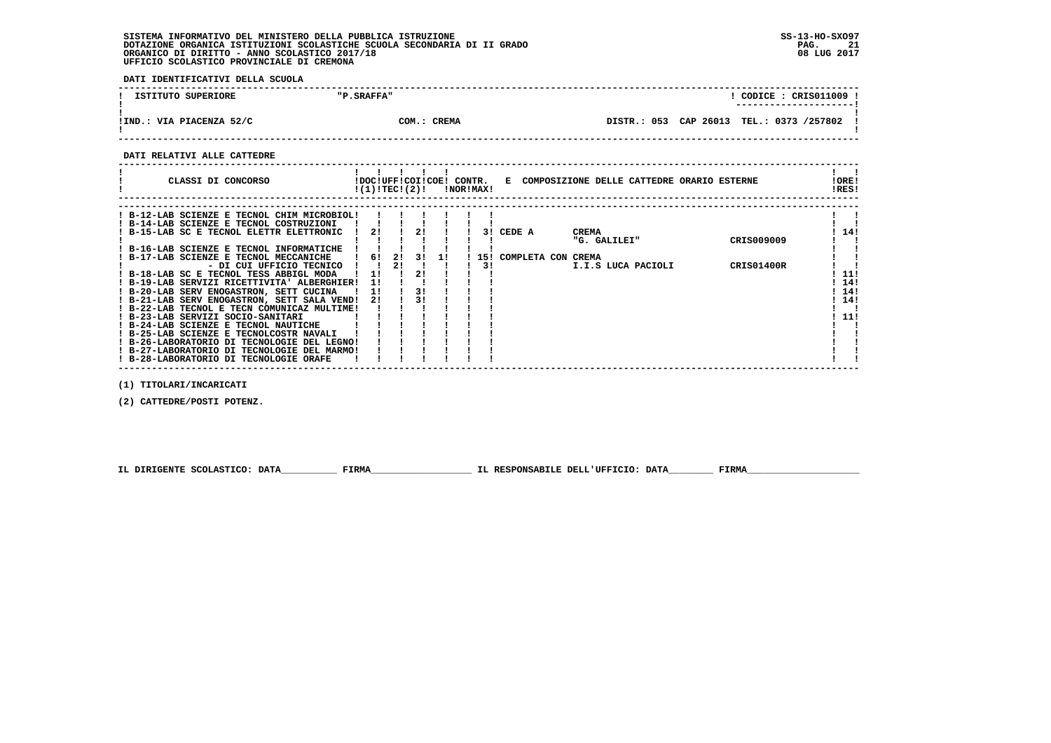**DATI IDENTIFICATIVI DELLA SCUOLA**

| ISTITUTO SUPERIORE       | "P.SRAFFA"  |  | CODICE: CRIS011009 !<br>---------------------- |
|--------------------------|-------------|--|------------------------------------------------|
| !IND.: VIA PIACENZA 52/C | COM.: CREMA |  | DISTR.: 053 CAP 26013 TEL.: 0373 /257802       |

 **------------------------------------------------------------------------------------------------------------------------------------**

### **DATI RELATIVI ALLE CATTEDRE**

| CLASSI DI CONCORSO                                                                         |    | !DOC!UFF!COI!COE! CONTR.<br>!(1)!TEC!(2)! |    |    | !NOR!MAX! |    |                        | E COMPOSIZIONE DELLE CATTEDRE ORARIO ESTERNE |            | ! ORE!<br>!RES! |
|--------------------------------------------------------------------------------------------|----|-------------------------------------------|----|----|-----------|----|------------------------|----------------------------------------------|------------|-----------------|
| ! B-12-LAB SCIENZE E TECNOL CHIM MICROBIOL!                                                |    |                                           |    |    |           |    |                        |                                              |            |                 |
| ! B-14-LAB SCIENZE E TECNOL COSTRUZIONI                                                    |    |                                           |    |    |           |    |                        |                                              |            |                 |
| ! B-15-LAB SC E TECNOL ELETTR ELETTRONIC                                                   | 21 |                                           | 21 |    |           |    | 3! CEDE A              | <b>CREMA</b>                                 |            | 14!             |
| ! B-16-LAB SCIENZE E TECNOL INFORMATICHE                                                   |    |                                           |    |    |           |    |                        | "G. GALILEI"                                 | CRIS009009 |                 |
| ! B-17-LAB SCIENZE E TECNOL MECCANICHE                                                     | 6! | 21                                        | 31 | 11 |           |    | 15! COMPLETA CON CREMA |                                              |            |                 |
| - DI CUI UFFICIO TECNICO                                                                   |    | 21                                        |    |    |           | 31 |                        | I.I.S LUCA PACIOLI                           | CRIS01400R |                 |
| ! B-18-LAB SC E TECNOL TESS ABBIGL MODA                                                    |    |                                           | 21 |    |           |    |                        |                                              |            | 11!             |
| ! B-19-LAB SERVIZI RICETTIVITA' ALBERGHIER!                                                | 11 |                                           |    |    |           |    |                        |                                              |            | 14!             |
| ! B-20-LAB SERV ENOGASTRON, SETT CUCINA                                                    | 11 |                                           |    |    |           |    |                        |                                              |            | 14!             |
| ! B-21-LAB SERV ENOGASTRON, SETT SALA VEND!                                                | 21 |                                           |    |    |           |    |                        |                                              |            | 14!             |
| ! B-22-LAB TECNOL E TECN COMUNICAZ MULTIME!                                                |    |                                           |    |    |           |    |                        |                                              |            |                 |
| ! B-23-LAB SERVIZI SOCIO-SANITARI                                                          |    |                                           |    |    |           |    |                        |                                              |            | -11!            |
| ! B-24-LAB SCIENZE E TECNOL NAUTICHE                                                       |    |                                           |    |    |           |    |                        |                                              |            |                 |
| ! B-25-LAB SCIENZE E TECNOLCOSTR NAVALI                                                    |    |                                           |    |    |           |    |                        |                                              |            |                 |
| ! B-26-LABORATORIO DI TECNOLOGIE DEL LEGNO!<br>! B-27-LABORATORIO DI TECNOLOGIE DEL MARMO! |    |                                           |    |    |           |    |                        |                                              |            |                 |
| ! B-28-LABORATORIO DI TECNOLOGIE ORAFE                                                     |    |                                           |    |    |           |    |                        |                                              |            |                 |
|                                                                                            |    |                                           |    |    |           |    |                        |                                              |            |                 |

 **(1) TITOLARI/INCARICATI**

 **(2) CATTEDRE/POSTI POTENZ.**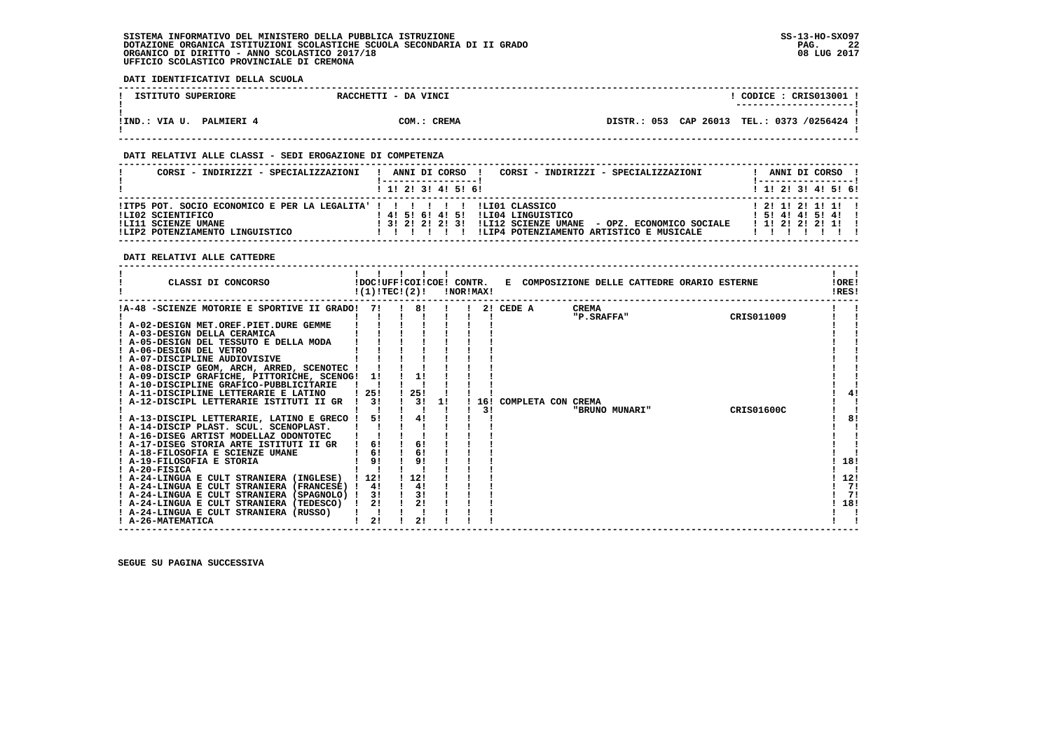**DATI IDENTIFICATIVI DELLA SCUOLA**

| ISTITUTO SUPERIORE                 | RACCHETTI - DA VINCI | CODICE : CRIS013001 !<br>----------------------- |
|------------------------------------|----------------------|--------------------------------------------------|
|                                    |                      |                                                  |
| !IND.: VIA U.<br><b>PALMIERI 4</b> | COM.: CREMA          | DISTR.: 053 CAP 26013 TEL.: 0373 /0256424 !      |

 **------------------------------------------------------------------------------------------------------------------------------------**

### **DATI RELATIVI ALLE CLASSI - SEDI EROGAZIONE DI COMPETENZA**

| CORSI - INDIRIZZI - SPECIALIZZAZIONI                                                                                                                       | CORSI - INDIRIZZI - SPECIALIZZAZIONI<br>ANNI DI CORSO !                                                                                                           |  |  | ANNI DI CORSO !                                                        |  |
|------------------------------------------------------------------------------------------------------------------------------------------------------------|-------------------------------------------------------------------------------------------------------------------------------------------------------------------|--|--|------------------------------------------------------------------------|--|
|                                                                                                                                                            | 1 1 2 3 3 4 5 5 6                                                                                                                                                 |  |  | $1$ , 1!, 2!, 3!, 4!, 5!, 6!                                           |  |
| !ITP5 POT. SOCIO ECONOMICO E PER LA LEGALITA' ! ! ! ! ! ! ! ! LIO1 CLASSICO<br>ILI02 SCIENTIFICO<br>ILI11 SCIENZE UMANE<br>!LIP2 POTENZIAMENTO LINGUISTICO | ILI04 LINGUISTICO<br>! 4! 5! 6! 4! 5!<br>! 3! 2! 2! 2! 3! !LI12 SCIENZE UMANE - OPZ. ECONOMICO SOCIALE<br>!LIP4 POTENZIAMENTO ARTISTICO E MUSICALE<br>, , , , , , |  |  | 1 2 1 1 2 1 1 1 1<br>$1\ 51\ 41\ 41\ 51\ 41\ 1$<br>$1$ 1! 2! 2! 2! 1!! |  |

 **DATI RELATIVI ALLE CATTEDRE**

| CLASSI DI CONCORSO                                                                                                                                                                                                                                                                                                                                                                                                                                                                                 | !DOC!UFF!COI!COE! CONTR.<br>!(1)!TEC!(2)!                      |     |                                        | !NOR!MAX! |                 |        | E COMPOSIZIONE DELLE CATTEDRE ORARIO ESTERNE                        |                          | !ORE!<br>!RES!                |
|----------------------------------------------------------------------------------------------------------------------------------------------------------------------------------------------------------------------------------------------------------------------------------------------------------------------------------------------------------------------------------------------------------------------------------------------------------------------------------------------------|----------------------------------------------------------------|-----|----------------------------------------|-----------|-----------------|--------|---------------------------------------------------------------------|--------------------------|-------------------------------|
| !A-48 -SCIENZE MOTORIE E SPORTIVE II GRADO!<br>! A-02-DESIGN MET.OREF.PIET.DURE GEMME<br>! A-03-DESIGN DELLA CERAMICA<br>! A-05-DESIGN DEL TESSUTO E DELLA MODA<br>A-06-DESIGN DEL VETRO<br>! A-07-DISCIPLINE AUDIOVISIVE<br>! A-08-DISCIP GEOM, ARCH, ARRED, SCENOTEC !<br>! A-09-DISCIP GRAFICHE, PITTORICHE, SCENOG!<br>! A-10-DISCIPLINE GRAFICO-PUBBLICITARIE<br>A-11-DISCIPLINE LETTERARIE E LATINO<br>A-12-DISCIPL LETTERARIE ISTITUTI II GR<br>! A-13-DISCIPL LETTERARIE, LATINO E GRECO ! | 71<br>11<br>-25!<br>3!<br>51                                   | 25! | 81<br>1!<br>31<br>11<br>41             |           | 2!<br>16!<br>31 | CEDE A | <b>CREMA</b><br>"P. SRAFFA"<br>COMPLETA CON CREMA<br>"BRUNO MUNARI" | CRIS011009<br>CRIS01600C | 41<br>8!                      |
| ! A-14-DISCIP PLAST. SCUL. SCENOPLAST.<br>! A-16-DISEG ARTIST MODELLAZ ODONTOTEC<br>A-17-DISEG STORIA ARTE ISTITUTI II GR<br>! A-18-FILOSOFIA E SCIENZE UMANE<br>! A-19-FILOSOFIA E STORIA<br>! A-20-FISICA<br>! A-24-LINGUA E CULT STRANIERA (INGLESE)<br>! A-24-LINGUA E CULT STRANIERA (FRANCESE) !<br>! A-24-LINGUA E CULT STRANIERA (SPAGNOLO) !<br>! A-24-LINGUA E CULT STRANIERA (TEDESCO)<br>A-24-LINGUA E CULT STRANIERA (RUSSO)<br>! A-26-MATEMATICA                                     | 61<br>6!<br>91<br>1121<br>41<br>3!<br>2!<br>$\mathbf{I}$<br>2! | 12! | 6!<br>6!<br>91<br>4!<br>3!<br>21<br>2! |           |                 |        |                                                                     |                          | 18!<br>12!<br>71<br>71<br>18! |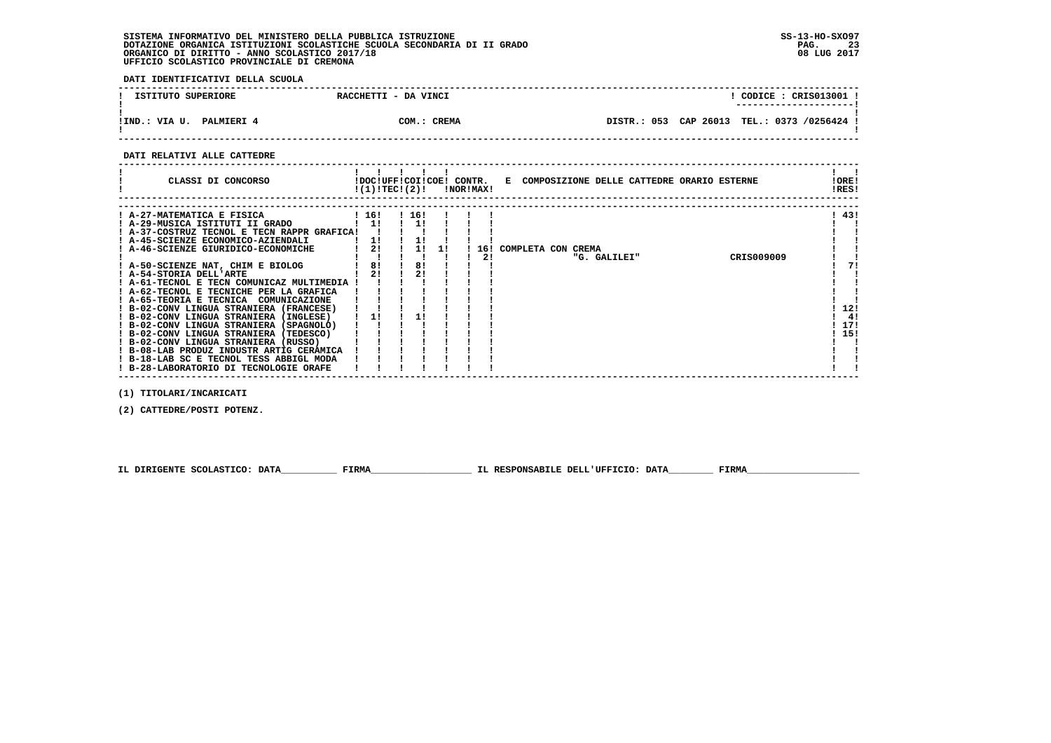**DATI IDENTIFICATIVI DELLA SCUOLA**

| ISTITUTO SUPERIORE                 | RACCHETTI - DA VINCI | CODICE : CRIS013001 !                       |
|------------------------------------|----------------------|---------------------------------------------|
|                                    |                      | ----------------------                      |
| !IND.: VIA U.<br><b>PALMIERI 4</b> | COM.: CREMA          | DISTR.: 053 CAP 26013 TEL.: 0373 /0256424 ! |

 **------------------------------------------------------------------------------------------------------------------------------------**

 **DATI RELATIVI ALLE CATTEDRE**

| CLASSI DI CONCORSO                                                                  |       | !DOC!UFF!COI!COE! CONTR.<br>!(1)!TECI(2)! |       |  | !NOR!MAX! |  |                    |              |  | E COMPOSIZIONE DELLE CATTEDRE ORARIO ESTERNE | ! ORE!<br>!RES! |    |
|-------------------------------------------------------------------------------------|-------|-------------------------------------------|-------|--|-----------|--|--------------------|--------------|--|----------------------------------------------|-----------------|----|
| ! A-27-MATEMATICA E FISICA                                                          | ! 16! |                                           | ! 16! |  |           |  |                    |              |  |                                              | ! 43!           |    |
| ! A-29-MUSICA ISTITUTI II GRADO                                                     |       | 11                                        |       |  |           |  |                    |              |  |                                              |                 |    |
| ! A-37-COSTRUZ TECNOL E TECN RAPPR GRAFICA!                                         |       |                                           |       |  |           |  |                    |              |  |                                              |                 |    |
| ! A-45-SCIENZE ECONOMICO-AZIENDALI                                                  |       |                                           |       |  |           |  |                    |              |  |                                              |                 |    |
| A-46-SCIENZE GIURIDICO-ECONOMICHE                                                   |       | 2!                                        |       |  | 16!       |  | COMPLETA CON CREMA |              |  |                                              |                 |    |
|                                                                                     |       |                                           |       |  | 2!        |  |                    | "G. GALILEI" |  | CRIS009009                                   |                 |    |
| ! A-50-SCIENZE NAT, CHIM E BIOLOG                                                   |       | 8!                                        | 8!    |  |           |  |                    |              |  |                                              |                 | 71 |
| ! A-54-STORIA DELL'ARTE                                                             |       | 21                                        | 21    |  |           |  |                    |              |  |                                              |                 |    |
| A-61-TECNOL E TECN COMUNICAZ MULTIMEDIA                                             |       |                                           |       |  |           |  |                    |              |  |                                              |                 |    |
| ! A-62-TECNOL E TECNICHE PER LA GRAFICA                                             |       |                                           |       |  |           |  |                    |              |  |                                              |                 |    |
| ! A-65-TEORIA E TECNICA<br>COMUNICAZIONE<br>! B-02-CONV LINGUA STRANIERA (FRANCESE) |       |                                           |       |  |           |  |                    |              |  |                                              | 12!             |    |
| ! B-02-CONV LINGUA STRANIERA (INGLESE)                                              |       |                                           |       |  |           |  |                    |              |  |                                              |                 | 4! |
| ! B-02-CONV LINGUA STRANIERA (SPAGNOLO)                                             |       |                                           |       |  |           |  |                    |              |  |                                              | -171            |    |
| ! B-02-CONV LINGUA STRANIERA (TEDESCO)                                              |       |                                           |       |  |           |  |                    |              |  |                                              | ! 15!           |    |
| ! B-02-CONV LINGUA STRANIERA (RUSSO)                                                |       |                                           |       |  |           |  |                    |              |  |                                              |                 |    |
| ! B-08-LAB PRODUZ INDUSTR ARTIG CERAMICA                                            |       |                                           |       |  |           |  |                    |              |  |                                              |                 |    |
| ! B-18-LAB SC E TECNOL TESS ABBIGL MODA                                             |       |                                           |       |  |           |  |                    |              |  |                                              |                 |    |
| ! B-28-LABORATORIO DI TECNOLOGIE ORAFE                                              |       |                                           |       |  |           |  |                    |              |  |                                              |                 |    |

 **(1) TITOLARI/INCARICATI**

 **(2) CATTEDRE/POSTI POTENZ.**

 **IL DIRIGENTE SCOLASTICO: DATA\_\_\_\_\_\_\_\_\_\_ FIRMA\_\_\_\_\_\_\_\_\_\_\_\_\_\_\_\_\_\_ IL RESPONSABILE DELL'UFFICIO: DATA\_\_\_\_\_\_\_\_ FIRMA\_\_\_\_\_\_\_\_\_\_\_\_\_\_\_\_\_\_\_\_**

 **------------------------------------------------------------------------------------------------------------------------------------**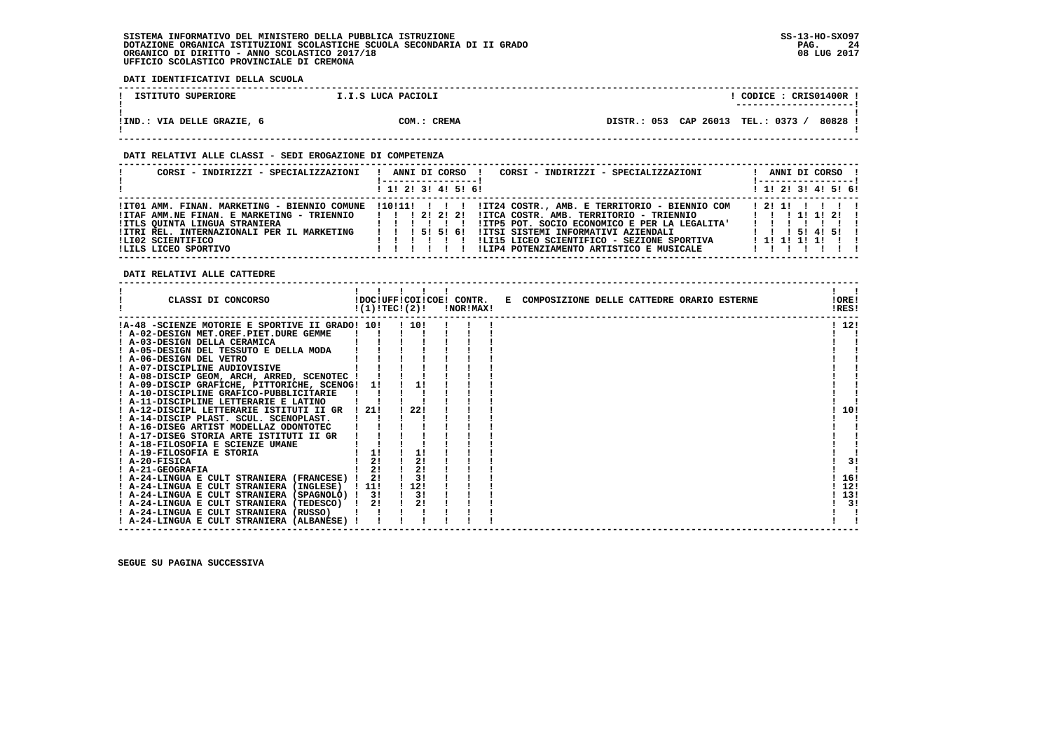**DATI IDENTIFICATIVI DELLA SCUOLA**

| ISTITUTO SUPERIORE         | I.I.S LUCA PACIOLI | CODICE: CRIS01400R !                         |
|----------------------------|--------------------|----------------------------------------------|
|                            |                    | ----------------------                       |
|                            |                    |                                              |
| IIND.: VIA DELLE GRAZIE, 6 | COM.: CREMA        | 80828<br>DISTR.: 053 CAP 26013<br>TEL.: 0373 |
|                            |                    |                                              |

 **------------------------------------------------------------------------------------------------------------------------------------**

### **DATI RELATIVI ALLE CLASSI - SEDI EROGAZIONE DI COMPETENZA**

| CORSI - INDIRIZZI - SPECIALIZZAZIONI                                                                                                                                                                                   | CORSI - INDIRIZZI - SPECIALIZZAZIONI<br>ANNI DI CORSO !<br>1 1! 2! 3! 4! 5! 6!                                                                                                                                                                                                                                                                                          | ANNI DI CORSO !<br>$1$ 1! 2! 3! 4! 5! 6!                  |
|------------------------------------------------------------------------------------------------------------------------------------------------------------------------------------------------------------------------|-------------------------------------------------------------------------------------------------------------------------------------------------------------------------------------------------------------------------------------------------------------------------------------------------------------------------------------------------------------------------|-----------------------------------------------------------|
| !IT01 AMM. FINAN. MARKETING - BIENNIO COMUNE<br>!ITAF AMM.NE FINAN. E MARKETING - TRIENNIO<br>!ITLS OUINTA LINGUA STRANIERA<br>!ITRI REL. INTERNAZIONALI PER IL MARKETING<br>ILI02 SCIENTIFICO<br>ILILS LICEO SPORTIVO | $110!11!$ ! ! $11124$ COSTR., AMB. E TERRITORIO - BIENNIO COM<br>1 1 1 2 1 2 1 2 1<br>$IITCA COSTR. AMB. TERRITORIO - TRIENNIO$ $I I I I I I 2 I I$<br>!ITP5 POT. SOCIO ECONOMICO E PER LA LEGALITA'<br>IITSI SISTEMI INFORMATIVI AZIENDALI<br>1 1 1 5 1 5 1 6 1<br>!LI15 LICEO SCIENTIFICO - SEZIONE SPORTIVA<br>!LIP4 POTENZIAMENTO ARTISTICO E MUSICALE<br>1 1 1 1 1 | 12111 1 1 1 1<br>1 1 1 5 1 4 1 5 1 1<br>1 1 1 1 1 1 1 1 1 |

 **DATI RELATIVI ALLE CATTEDRE**

| CLASSI DI CONCORSO                              |       | !DOC!UFF!COI!COE! CONTR.<br>!(1)!TEC!(2)! | !NOR!MAX! | E COMPOSIZIONE DELLE CATTEDRE ORARIO ESTERNE | !ORE!<br>!RES! |
|-------------------------------------------------|-------|-------------------------------------------|-----------|----------------------------------------------|----------------|
| !A-48 -SCIENZE MOTORIE E SPORTIVE II GRADO! 10! |       | 110!                                      |           |                                              | ! 12!          |
| ! A-02-DESIGN MET.OREF.PIET.DURE GEMME          |       |                                           |           |                                              |                |
| ! A-03-DESIGN DELLA CERAMICA                    |       |                                           |           |                                              |                |
| ! A-05-DESIGN DEL TESSUTO E DELLA MODA          |       |                                           |           |                                              |                |
| ! A-06-DESIGN DEL VETRO                         |       |                                           |           |                                              |                |
| ! A-07-DISCIPLINE AUDIOVISIVE                   |       |                                           |           |                                              |                |
| ! A-08-DISCIP GEOM, ARCH, ARRED, SCENOTEC !     |       |                                           |           |                                              |                |
| ! A-09-DISCIP GRAFICHE, PITTORICHE, SCENOG! 1!  |       | 11                                        |           |                                              |                |
| ! A-10-DISCIPLINE GRAFICO-PUBBLICITARIE         |       |                                           |           |                                              |                |
| ! A-11-DISCIPLINE LETTERARIE E LATINO           |       |                                           |           |                                              |                |
| A-12-DISCIPL LETTERARIE ISTITUTI II GR          | ! 21! | 22!                                       |           |                                              | 10!            |
| ! A-14-DISCIP PLAST. SCUL. SCENOPLAST.          |       |                                           |           |                                              |                |
| ! A-16-DISEG ARTIST MODELLAZ ODONTOTEC          |       |                                           |           |                                              |                |
| ! A-17-DISEG STORIA ARTE ISTITUTI II GR         |       |                                           |           |                                              |                |
| A-18-FILOSOFIA E SCIENZE UMANE                  |       |                                           |           |                                              |                |
| ! A-19-FILOSOFIA E STORIA                       |       |                                           |           |                                              |                |
| $I$ A-20-FISICA                                 | 2!    | 2!                                        |           |                                              | 3!             |
| ! A-21-GEOGRAFIA                                | 21    | 2!                                        |           |                                              |                |
| ! A-24-LINGUA E CULT STRANIERA (FRANCESE) !     | 2!    | 3!                                        |           |                                              | 16!            |
| ! A-24-LINGUA E CULT STRANIERA (INGLESE)        | ! 11! | 112!                                      |           |                                              | 12!            |
| ! A-24-LINGUA E CULT STRANIERA (SPAGNOLO) !     | -31   | 3!                                        |           |                                              | 13!            |
| ! A-24-LINGUA E CULT STRANIERA (TEDESCO)        | 2!    | 2!                                        |           |                                              | 3!             |
| ! A-24-LINGUA E CULT STRANIERA (RUSSO)          |       |                                           |           |                                              |                |
| ! A-24-LINGUA E CULT STRANIERA (ALBANESE)       |       |                                           |           |                                              |                |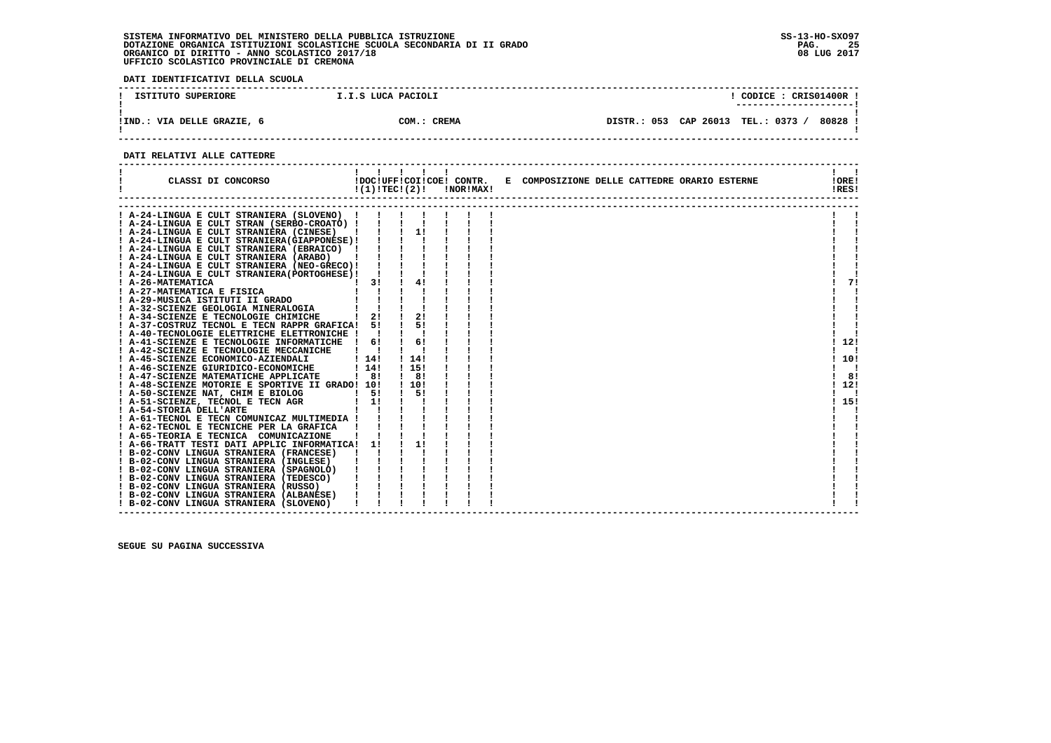**DATI IDENTIFICATIVI DELLA SCUOLA**

| ISTITUTO SUPERIORE        | I.I.S LUCA PACIOLI | CODICE: CRIS01400R<br>---------------------- |
|---------------------------|--------------------|----------------------------------------------|
| IND.: VIA DELLE GRAZIE, 6 | COM.: CREMA        | 80828<br>DISTR.: 053 CAP 26013 TEL.: 0373 /  |

 **------------------------------------------------------------------------------------------------------------------------------------**

### **DATI RELATIVI ALLE CATTEDRE**

| CLASSI DI CONCORSO                                                                                                                                                                                         |                                                                                                                                                                                                                                      | $\begin{array}{ccccccccccccccccc}\n1 & 1 & 1 & 1 & 1\n\end{array}$<br>$!(1)!TEC!(2)!$ $INORIMAX!$ |  |  |  | !DOC!UFF!COI!COE! CONTR. E COMPOSIZIONE DELLE CATTEDRE ORARIO ESTERNE | !ORE!<br>!RES! |                |
|------------------------------------------------------------------------------------------------------------------------------------------------------------------------------------------------------------|--------------------------------------------------------------------------------------------------------------------------------------------------------------------------------------------------------------------------------------|---------------------------------------------------------------------------------------------------|--|--|--|-----------------------------------------------------------------------|----------------|----------------|
| ! A-24-LINGUA E CULT STRANIERA (SLOVENO) !                                                                                                                                                                 |                                                                                                                                                                                                                                      |                                                                                                   |  |  |  |                                                                       |                |                |
| PA-24-LINGUA E CULT STRANIERA (SED-CROATO)          <br>PA-24-LINGUA E CULT STRANIERA (CINESE)          <br>PA-24-LINGUA E CULT STRANIERA (CINESE)          <br>PA-24-LINGUA E CULT STRANIERA (GIAPPONESE) |                                                                                                                                                                                                                                      |                                                                                                   |  |  |  |                                                                       |                |                |
|                                                                                                                                                                                                            |                                                                                                                                                                                                                                      |                                                                                                   |  |  |  |                                                                       |                |                |
|                                                                                                                                                                                                            |                                                                                                                                                                                                                                      |                                                                                                   |  |  |  |                                                                       |                |                |
|                                                                                                                                                                                                            |                                                                                                                                                                                                                                      |                                                                                                   |  |  |  |                                                                       |                |                |
|                                                                                                                                                                                                            |                                                                                                                                                                                                                                      |                                                                                                   |  |  |  |                                                                       |                |                |
|                                                                                                                                                                                                            |                                                                                                                                                                                                                                      |                                                                                                   |  |  |  |                                                                       |                |                |
|                                                                                                                                                                                                            |                                                                                                                                                                                                                                      |                                                                                                   |  |  |  |                                                                       |                |                |
| ! A-26-MATEMATICA                                                                                                                                                                                          | $1 \quad 31 \quad 1$                                                                                                                                                                                                                 | 4!                                                                                                |  |  |  |                                                                       |                | 71             |
| ! A-27-MATEMATICA E FISICA                                                                                                                                                                                 | $\mathbf{1}$ $\mathbf{1}$                                                                                                                                                                                                            |                                                                                                   |  |  |  |                                                                       |                |                |
| A-29-MUSICA ISTITUTI II GRADO                                                                                                                                                                              |                                                                                                                                                                                                                                      |                                                                                                   |  |  |  |                                                                       |                |                |
|                                                                                                                                                                                                            |                                                                                                                                                                                                                                      |                                                                                                   |  |  |  |                                                                       |                |                |
| 1 A-29-MUSICA ISILIVII I VIET DOLOGIA    <br>1 A-32-SCIENZE GEOLOGIA MINERALOGIA    <br>21 A-821-NUTENTE FRONOLOGIE CHIMICHE   21                                                                          |                                                                                                                                                                                                                                      | $\frac{1}{2}$                                                                                     |  |  |  |                                                                       |                |                |
| ! A-37-COSTRUZ TECNOL E TECN RAPPR GRAFICA! 5!                                                                                                                                                             |                                                                                                                                                                                                                                      | 51                                                                                                |  |  |  |                                                                       |                |                |
| ! A-40-TECNOLOGIE ELETTRICHE ELETTRONICHE ! !                                                                                                                                                              |                                                                                                                                                                                                                                      |                                                                                                   |  |  |  |                                                                       |                |                |
| ! A-41-SCIENZE E TECNOLOGIE INFORMATICHE !                                                                                                                                                                 | 61                                                                                                                                                                                                                                   | 61                                                                                                |  |  |  |                                                                       |                | 12!            |
| ! A-42-SCIENZE E TECNOLOGIE MECCANICHE   !                                                                                                                                                                 |                                                                                                                                                                                                                                      |                                                                                                   |  |  |  |                                                                       |                |                |
| ! A-45-SCIENZE ECONOMICO-AZIENDALI                                                                                                                                                                         | 114!                                                                                                                                                                                                                                 | ! 14!                                                                                             |  |  |  |                                                                       | ! 10!          |                |
| ! A-46-SCIENZE GIURIDICO-ECONOMICHE                                                                                                                                                                        | $1 \; 141$                                                                                                                                                                                                                           | ! 15!                                                                                             |  |  |  |                                                                       |                | $\blacksquare$ |
| ! A-47-SCIENZE MATEMATICHE APPLICATE                                                                                                                                                                       | $\frac{1}{1}$ 8!                                                                                                                                                                                                                     | $\frac{1}{1}$ 8!                                                                                  |  |  |  |                                                                       |                | -81            |
| ! A-48-SCIENZE MOTORIE E SPORTIVE II GRADO! 10!                                                                                                                                                            |                                                                                                                                                                                                                                      | ! 10!                                                                                             |  |  |  |                                                                       | ! 12!          |                |
| ! A-50-SCIENZE NAT, CHIM E BIOLOG                                                                                                                                                                          | $1 \quad 51$                                                                                                                                                                                                                         | 51                                                                                                |  |  |  |                                                                       |                |                |
| ! A-51-SCIENZE, TECNOL E TECN AGR                                                                                                                                                                          | $\frac{1}{1}$                                                                                                                                                                                                                        |                                                                                                   |  |  |  |                                                                       | ! 15!          |                |
| ! A-54-STORIA DELL'ARTE                                                                                                                                                                                    |                                                                                                                                                                                                                                      |                                                                                                   |  |  |  |                                                                       |                |                |
| $A - 61 - TECNOL \t E TECN$ COMUNICAZ MULTIMEDIA $I$ $I$ $I$                                                                                                                                               |                                                                                                                                                                                                                                      |                                                                                                   |  |  |  |                                                                       |                |                |
| ! A-62-TECNOL E TECNICHE PER LA GRAFICA                                                                                                                                                                    | $\begin{array}{ccc} \begin{array}{ccc} \text{ } & \text{ } & \text{ } & \text{ } & \text{ } \\ \text{ } & \text{ } & \text{ } & \text{ } & \text{ } \\ \text{ } & \text{ } & \text{ } & \text{ } & \text{ } \end{array} \end{array}$ |                                                                                                   |  |  |  |                                                                       |                |                |
| ! A-65-TEORIA E TECNICA COMUNICAZIONE                                                                                                                                                                      |                                                                                                                                                                                                                                      |                                                                                                   |  |  |  |                                                                       |                |                |
| ! A-66-TRATT TESTI DATI APPLIC INFORMATICA! 1!                                                                                                                                                             |                                                                                                                                                                                                                                      | $\frac{1}{2}$                                                                                     |  |  |  |                                                                       |                |                |
| ! B-02-CONV LINGUA STRANIERA (FRANCESE)                                                                                                                                                                    |                                                                                                                                                                                                                                      |                                                                                                   |  |  |  |                                                                       |                |                |
| ! B-02-CONV LINGUA STRANIERA (INGLESE)                                                                                                                                                                     |                                                                                                                                                                                                                                      |                                                                                                   |  |  |  |                                                                       |                |                |
| ! B-02-CONV LINGUA STRANIERA (SPAGNOLO)                                                                                                                                                                    |                                                                                                                                                                                                                                      |                                                                                                   |  |  |  |                                                                       |                |                |
| ! B-02-CONV LINGUA STRANIERA (TEDESCO)                                                                                                                                                                     |                                                                                                                                                                                                                                      |                                                                                                   |  |  |  |                                                                       |                |                |
| ! B-02-CONV LINGUA STRANIERA (RUSSO)                                                                                                                                                                       |                                                                                                                                                                                                                                      |                                                                                                   |  |  |  |                                                                       |                |                |
| ! B-02-CONV LINGUA STRANIERA (ALBANESE)                                                                                                                                                                    |                                                                                                                                                                                                                                      |                                                                                                   |  |  |  |                                                                       |                |                |
| ! B-02-CONV LINGUA STRANIERA (SLOVENO)                                                                                                                                                                     |                                                                                                                                                                                                                                      |                                                                                                   |  |  |  |                                                                       |                |                |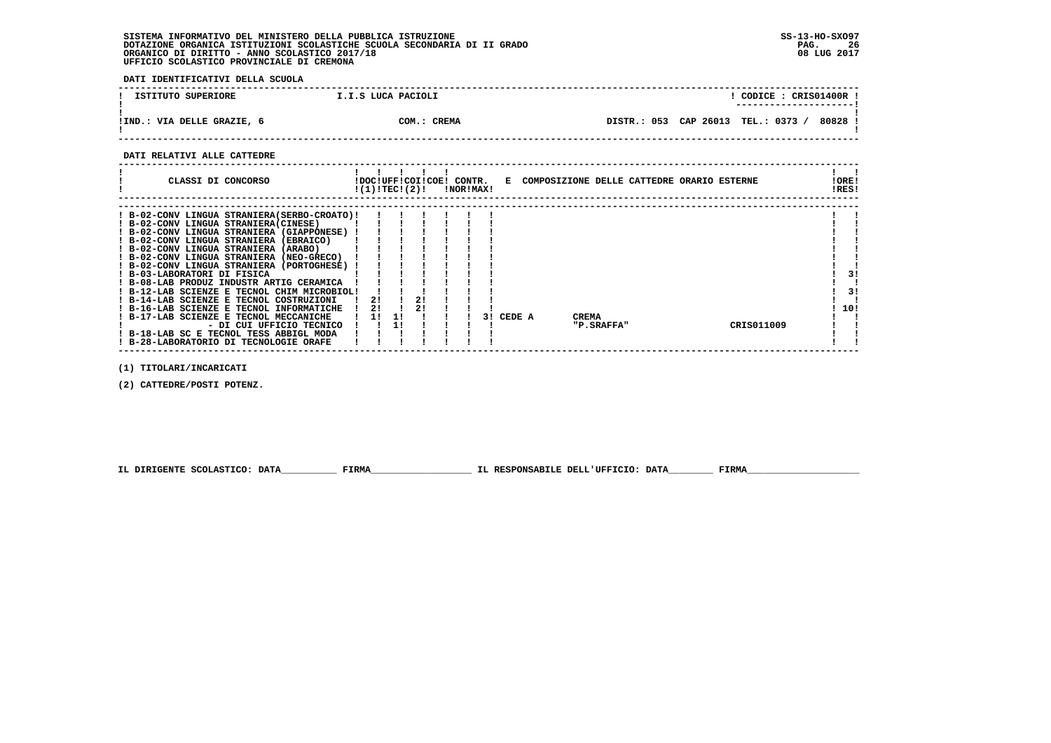**DATI IDENTIFICATIVI DELLA SCUOLA**

| ISTITUTO SUPERIORE         | I.I.S LUCA PACIOLI | CODICE: CRIS01400R                        |
|----------------------------|--------------------|-------------------------------------------|
| IIND.: VIA DELLE GRAZIE, 6 | COM.: CREMA        | 80828<br>DISTR.: 053 CAP 26013 TEL.: 0373 |

 **------------------------------------------------------------------------------------------------------------------------------------**

### **DATI RELATIVI ALLE CATTEDRE**

| CLASSI DI CONCORSO                          | !DOC!UFF!COI!COE! CONTR.<br>!(1)!TECI(2)! |    |    | !NOR!MAX! |    |        | E COMPOSIZIONE DELLE CATTEDRE ORARIO ESTERNE |            |  |            | !ORE!<br>!RES! |
|---------------------------------------------|-------------------------------------------|----|----|-----------|----|--------|----------------------------------------------|------------|--|------------|----------------|
| ! B-02-CONV LINGUA STRANIERA(SERBO-CROATO)! |                                           |    |    |           |    |        |                                              |            |  |            |                |
| ! B-02-CONV LINGUA STRANIERA(CINESE)        |                                           |    |    |           |    |        |                                              |            |  |            |                |
| ! B-02-CONV LINGUA STRANIERA (GIAPPONESE)   |                                           |    |    |           |    |        |                                              |            |  |            |                |
| ! B-02-CONV LINGUA STRANIERA (EBRAICO)      |                                           |    |    |           |    |        |                                              |            |  |            |                |
| ! B-02-CONV LINGUA STRANIERA<br>(ARABO)     |                                           |    |    |           |    |        |                                              |            |  |            |                |
| ! B-02-CONV LINGUA STRANIERA (NEO-GRECO)    |                                           |    |    |           |    |        |                                              |            |  |            |                |
| ! B-02-CONV LINGUA STRANIERA (PORTOGHESE)   |                                           |    |    |           |    |        |                                              |            |  |            |                |
| ! B-03-LABORATORI DI FISICA                 |                                           |    |    |           |    |        |                                              |            |  |            | 31             |
| ! B-08-LAB PRODUZ INDUSTR ARTIG CERAMICA    |                                           |    |    |           |    |        |                                              |            |  |            |                |
| ! B-12-LAB SCIENZE E TECNOL CHIM MICROBIOL! |                                           |    |    |           |    |        |                                              |            |  |            | 3!             |
| ! B-14-LAB SCIENZE E TECNOL COSTRUZIONI     | 21                                        |    | 21 |           |    |        |                                              |            |  |            |                |
| ! B-16-LAB SCIENZE E TECNOL INFORMATICHE    | 21                                        |    | 21 |           |    |        |                                              |            |  |            | 10!            |
| ! B-17-LAB SCIENZE E TECNOL MECCANICHE      | 11                                        | 11 |    |           | 31 | CEDE A | <b>CREMA</b>                                 |            |  |            |                |
| - DI CUI UFFICIO TECNICO                    |                                           |    |    |           |    |        |                                              | "P.SRAFFA" |  | CRIS011009 |                |
| ! B-18-LAB SC E TECNOL TESS ABBIGL MODA     |                                           |    |    |           |    |        |                                              |            |  |            |                |
| ! B-28-LABORATORIO DI TECNOLOGIE ORAFE      |                                           |    |    |           |    |        |                                              |            |  |            |                |

 **(1) TITOLARI/INCARICATI**

 **(2) CATTEDRE/POSTI POTENZ.**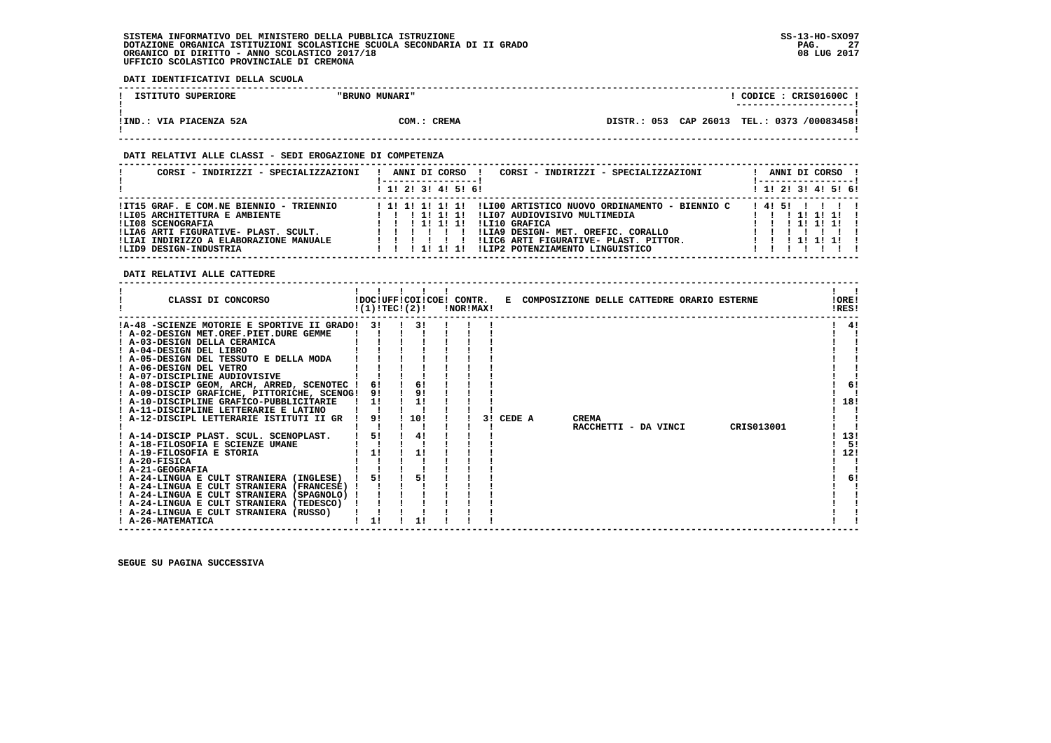**DATI IDENTIFICATIVI DELLA SCUOLA**

| ISTITUTO SUPERIORE      | "BRUNO MUNARI" | CODICE: CRIS01600C!                         |  |
|-------------------------|----------------|---------------------------------------------|--|
|                         |                | ---------------------                       |  |
|                         |                |                                             |  |
| !IND.: VIA PIACENZA 52A | COM.: CREMA    | DISTR.: 053 CAP 26013 TEL.: 0373 /00083458! |  |
|                         |                |                                             |  |

 **------------------------------------------------------------------------------------------------------------------------------------**

### **DATI RELATIVI ALLE CLASSI - SEDI EROGAZIONE DI COMPETENZA**

| CORSI - INDIRIZZI - SPECIALIZZAZIONI                                                                                                                                                                      | CORSI - INDIRIZZI - SPECIALIZZAZIONI<br>ANNI DI CORSO                                                                                                                                                                                                                           | ANNI DI CORSO                                  |  |
|-----------------------------------------------------------------------------------------------------------------------------------------------------------------------------------------------------------|---------------------------------------------------------------------------------------------------------------------------------------------------------------------------------------------------------------------------------------------------------------------------------|------------------------------------------------|--|
|                                                                                                                                                                                                           | ! 1! 2! 3! 4! 5! 6!                                                                                                                                                                                                                                                             | ! 1! 2! 3! 4! 5! 6!                            |  |
| !IT15 GRAF. E COM.NE BIENNIO - TRIENNIO<br>!LI05 ARCHITETTURA E AMBIENTE<br>!LI08 SCENOGRAFIA<br>!LIA6 ARTI FIGURATIVE- PLAST. SCULT.<br>!LIAI INDIRIZZO A ELABORAZIONE MANUALE<br>!LID9 DESIGN-INDUSTRIA | !LI00 ARTISTICO NUOVO ORDINAMENTO - BIENNIO C<br>!!!!!!!!!!!<br>!LI07 AUDIOVISIVO MULTIMEDIA<br>1 1 1 1 1 1 1 1<br>ILI10 GRAFICA<br>111111<br>!LIA9 DESIGN- MET. OREFIC. CORALLO<br>!LIC6 ARTI FIGURATIVE- PLAST. PITTOR.<br>!LIP2 POTENZIAMENTO LINGUISTICO<br>1 1 1 1 1 1 1 1 | 14151 1111<br>1111111<br>1 1 1 1 1 1<br>111111 |  |

 **DATI RELATIVI ALLE CATTEDRE**

| CLASSI DI CONCORSO                          | !(1)!TECI(2)! | !DOC!UFF!COI!COE! CONTR. | !NOR!MAX! |    |        | E COMPOSIZIONE DELLE CATTEDRE ORARIO ESTERNE |              |                      |            | !ORE!<br>!RES! |
|---------------------------------------------|---------------|--------------------------|-----------|----|--------|----------------------------------------------|--------------|----------------------|------------|----------------|
| !A-48 -SCIENZE MOTORIE E SPORTIVE II GRADO! | 3 I           | 31                       |           |    |        |                                              |              |                      |            | -41            |
| ! A-02-DESIGN MET.OREF.PIET.DURE GEMME      |               |                          |           |    |        |                                              |              |                      |            |                |
| ! A-03-DESIGN DELLA CERAMICA                |               |                          |           |    |        |                                              |              |                      |            |                |
| ! A-04-DESIGN DEL LIBRO                     |               |                          |           |    |        |                                              |              |                      |            |                |
| ! A-05-DESIGN DEL TESSUTO E DELLA MODA      |               |                          |           |    |        |                                              |              |                      |            |                |
| ! A-06-DESIGN DEL VETRO                     |               |                          |           |    |        |                                              |              |                      |            |                |
| ! A-07-DISCIPLINE AUDIOVISIVE               |               |                          |           |    |        |                                              |              |                      |            |                |
| ! A-08-DISCIP GEOM, ARCH, ARRED, SCENOTEC ! | 6!            | 6!                       |           |    |        |                                              |              |                      |            | 6!             |
| ! A-09-DISCIP GRAFICHE, PITTORICHE, SCENOG! | 91            | 9!                       |           |    |        |                                              |              |                      |            |                |
| ! A-10-DISCIPLINE GRAFICO-PUBBLICITARIE     | 11            | 1!                       |           |    |        |                                              |              |                      |            | 18!            |
| A-11-DISCIPLINE LETTERARIE E LATINO         |               |                          |           |    |        |                                              |              |                      |            |                |
| ! A-12-DISCIPL LETTERARIE ISTITUTI II GR    | 9!            | 10!                      |           | 31 | CEDE A |                                              | <b>CREMA</b> |                      |            |                |
|                                             |               |                          |           |    |        |                                              |              | RACCHETTI - DA VINCI | CRIS013001 |                |
| ! A-14-DISCIP PLAST. SCUL. SCENOPLAST.      | 51            | 4!                       |           |    |        |                                              |              |                      |            | 13!            |
| ! A-18-FILOSOFIA E SCIENZE UMANE            |               |                          |           |    |        |                                              |              |                      |            | -51            |
| ! A-19-FILOSOFIA E STORIA                   | 11            | 11                       |           |    |        |                                              |              |                      |            | 12!            |
| $I$ A-20-FISICA                             |               |                          |           |    |        |                                              |              |                      |            |                |
| ! A-21-GEOGRAFIA                            |               |                          |           |    |        |                                              |              |                      |            |                |
| ! A-24-LINGUA E CULT STRANIERA (INGLESE)    | 51            | 5!                       |           |    |        |                                              |              |                      |            | 6!             |
| ! A-24-LINGUA E CULT STRANIERA (FRANCESE)   |               |                          |           |    |        |                                              |              |                      |            |                |
| ! A-24-LINGUA E CULT STRANIERA (SPAGNOLO)   |               |                          |           |    |        |                                              |              |                      |            |                |
| ! A-24-LINGUA E CULT STRANIERA (TEDESCO)    |               |                          |           |    |        |                                              |              |                      |            |                |
| ! A-24-LINGUA E CULT STRANIERA (RUSSO)      |               |                          |           |    |        |                                              |              |                      |            |                |
| ! A-26-MATEMATICA                           |               |                          |           |    |        |                                              |              |                      |            |                |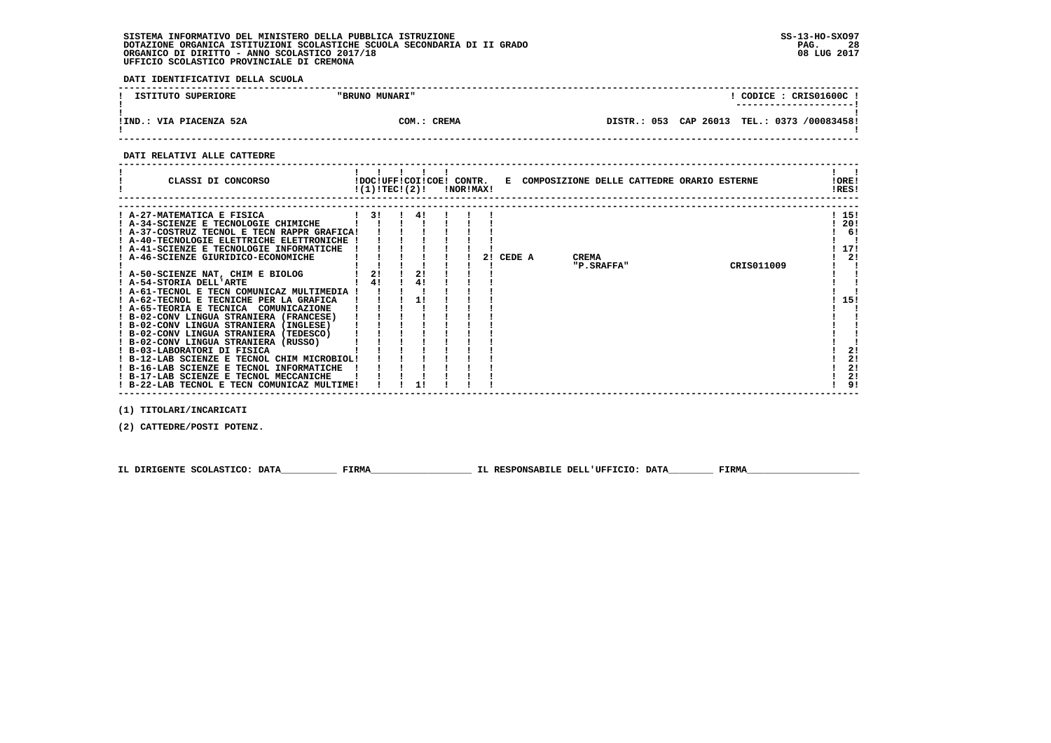**DATI IDENTIFICATIVI DELLA SCUOLA**

| ISTITUTO SUPERIORE      | "BRUNO MUNARI" | CODICE: CRIS01600C:<br>--------------------- |
|-------------------------|----------------|----------------------------------------------|
| !IND.: VIA PIACENZA 52A | COM.: CREMA    | DISTR.: 053 CAP 26013 TEL.: 0373 /00083458!  |

 **------------------------------------------------------------------------------------------------------------------------------------**

### **DATI RELATIVI ALLE CATTEDRE**

| CLASSI DI CONCORSO                          | !(1)!TEC!(2)! |    |    | !DOC!UFF!COI!COE! CONTR. | !NOR!MAX! |    |        | E COMPOSIZIONE DELLE CATTEDRE ORARIO ESTERNE |            |  |            | !ORE!<br>!RES! |
|---------------------------------------------|---------------|----|----|--------------------------|-----------|----|--------|----------------------------------------------|------------|--|------------|----------------|
|                                             |               |    |    |                          |           |    |        |                                              |            |  |            |                |
| A-27-MATEMATICA E FISICA                    |               | 31 | 41 |                          |           |    |        |                                              |            |  |            | ! 15!          |
| ! A-34-SCIENZE E TECNOLOGIE CHIMICHE        |               |    |    |                          |           |    |        |                                              |            |  |            | 20!            |
| ! A-37-COSTRUZ TECNOL E TECN RAPPR GRAFICA! |               |    |    |                          |           |    |        |                                              |            |  |            | 6!             |
| ! A-40-TECNOLOGIE ELETTRICHE ELETTRONICHE ! |               |    |    |                          |           |    |        |                                              |            |  |            |                |
| ! A-41-SCIENZE E TECNOLOGIE INFORMATICHE    |               |    |    |                          |           |    |        |                                              |            |  |            | 17!            |
| A-46-SCIENZE GIURIDICO-ECONOMICHE           |               |    |    |                          |           | 21 | CEDE A |                                              | CREMA      |  |            | 2!             |
|                                             |               |    |    |                          |           |    |        |                                              | "P.SRAFFA" |  | CRIS011009 |                |
| ! A-50-SCIENZE NAT, CHIM E BIOLOG           |               | 2! | 2! |                          |           |    |        |                                              |            |  |            |                |
| ! A-54-STORIA DELL'ARTE                     |               | 4! | 4! |                          |           |    |        |                                              |            |  |            |                |
| ! A-61-TECNOL E TECN COMUNICAZ MULTIMEDIA   |               |    |    |                          |           |    |        |                                              |            |  |            |                |
| ! A-62-TECNOL E TECNICHE PER LA GRAFICA     |               |    |    |                          |           |    |        |                                              |            |  |            | 15!            |
| ! A-65-TEORIA E TECNICA<br>COMUNICAZIONE    |               |    |    |                          |           |    |        |                                              |            |  |            |                |
| ! B-02-CONV LINGUA STRANIERA (FRANCESE)     |               |    |    |                          |           |    |        |                                              |            |  |            |                |
| ! B-02-CONV LINGUA STRANIERA (INGLESE)      |               |    |    |                          |           |    |        |                                              |            |  |            |                |
| ! B-02-CONV LINGUA STRANIERA (TEDESCO)      |               |    |    |                          |           |    |        |                                              |            |  |            |                |
| ! B-02-CONV LINGUA STRANIERA (RUSSO)        |               |    |    |                          |           |    |        |                                              |            |  |            |                |
| ! B-03-LABORATORI DI FISICA                 |               |    |    |                          |           |    |        |                                              |            |  |            | 21             |
| ! B-12-LAB SCIENZE E TECNOL CHIM MICROBIOL! |               |    |    |                          |           |    |        |                                              |            |  |            | 2!             |
| ! B-16-LAB SCIENZE E TECNOL INFORMATICHE    |               |    |    |                          |           |    |        |                                              |            |  |            | 2!             |
| ! B-17-LAB SCIENZE E TECNOL MECCANICHE      |               |    |    |                          |           |    |        |                                              |            |  |            | 2!             |
| ! B-22-LAB TECNOL E TECN COMUNICAZ MULTIME! |               |    |    |                          |           |    |        |                                              |            |  |            | 9!             |

 **(1) TITOLARI/INCARICATI**

 **(2) CATTEDRE/POSTI POTENZ.**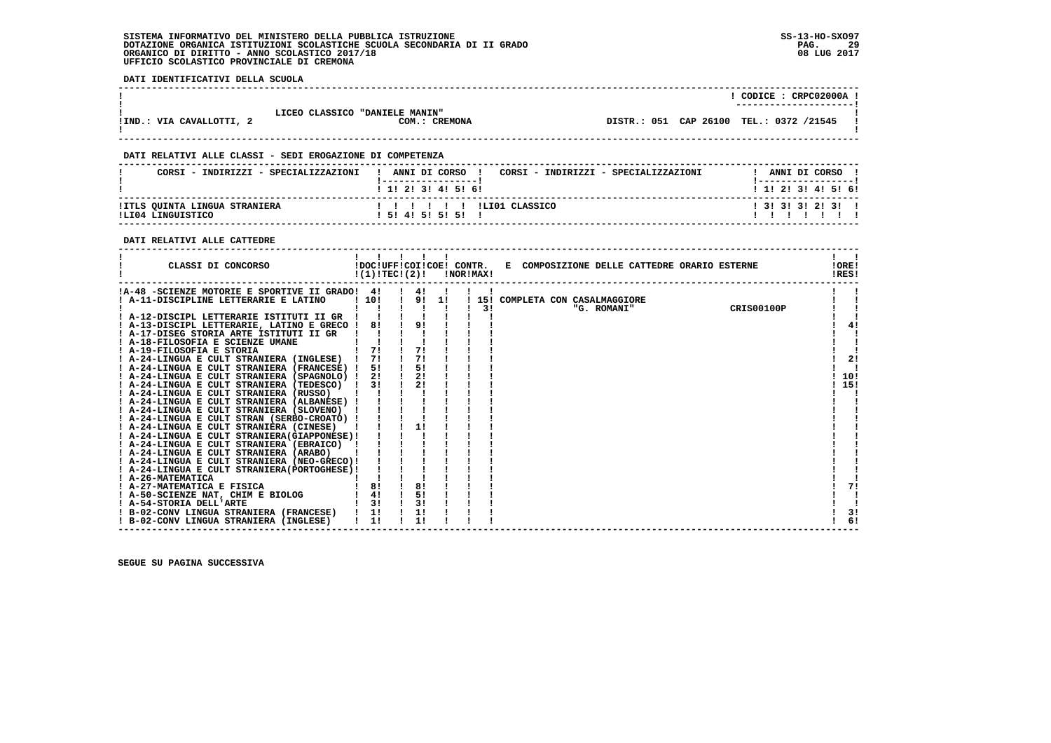**DATI IDENTIFICATIVI DELLA SCUOLA**

|                          |                                                 |  | CODICE: CRPC02000A !<br>---------------------- |
|--------------------------|-------------------------------------------------|--|------------------------------------------------|
| !IND.: VIA CAVALLOTTI, 2 | LICEO CLASSICO "DANIELE MANIN"<br>COM.: CREMONA |  | DISTR.: 051 CAP 26100 TEL.: 0372 /21545        |

 **------------------------------------------------------------------------------------------------------------------------------------**

### **DATI RELATIVI ALLE CLASSI - SEDI EROGAZIONE DI COMPETENZA**

| CORSI - INDIRIZZI - SPECIALIZZAZIONI               | ANNI DI CORSO !<br>CORSI - INDIRIZZI - SPECIALIZZAZIONI<br>1 1 1 2 1 3 1 4 1 5 1 6 1                                                                                                                                                                                                                                                                                                                                                                                                                      | ANNI DI CORSO<br>1 1 1 2 1 3 1 4 1 5 1 6 1 |
|----------------------------------------------------|-----------------------------------------------------------------------------------------------------------------------------------------------------------------------------------------------------------------------------------------------------------------------------------------------------------------------------------------------------------------------------------------------------------------------------------------------------------------------------------------------------------|--------------------------------------------|
| !ITLS QUINTA LINGUA STRANIERA<br>ILT04 LINGUISTICO | $\blacksquare$ $\blacksquare$ $\blacksquare$ $\blacksquare$ $\blacksquare$ $\blacksquare$ $\blacksquare$ $\blacksquare$ $\blacksquare$ $\blacksquare$ $\blacksquare$ $\blacksquare$ $\blacksquare$ $\blacksquare$ $\blacksquare$ $\blacksquare$ $\blacksquare$ $\blacksquare$ $\blacksquare$ $\blacksquare$ $\blacksquare$ $\blacksquare$ $\blacksquare$ $\blacksquare$ $\blacksquare$ $\blacksquare$ $\blacksquare$ $\blacksquare$ $\blacksquare$ $\blacksquare$ $\blacksquare$ $\blacks$<br>15141515151 | $1$ 31 31 31 21 31 1                       |

 **------------------------------------------------------------------------------------------------------------------------------------**

### **DATI RELATIVI ALLE CATTEDRE**

| $\blacksquare$<br>CLASSI DI CONCORSO<br>!DOC!UFF!COI!COE! CONTR.<br>E COMPOSIZIONE DELLE CATTEDRE ORARIO ESTERNE<br>!(1)!TEC!(2)!<br>!NOR!MAX! |                   | !ORE!<br>!RES! |
|------------------------------------------------------------------------------------------------------------------------------------------------|-------------------|----------------|
| !A-48 -SCIENZE MOTORIE E SPORTIVE II GRADO! 4!<br>4!                                                                                           |                   |                |
| 9! 1!<br>110!<br>! A-11-DISCIPLINE LETTERARIE E LATINO<br>15! COMPLETA CON CASALMAGGIORE                                                       |                   |                |
| 3!<br>"G. ROMANI"                                                                                                                              | <b>CRIS00100P</b> |                |
| ! A-12-DISCIPL LETTERARIE ISTITUTI II GR                                                                                                       |                   |                |
| 9!<br>81<br>! A-13-DISCIPL LETTERARIE, LATINO E GRECO !                                                                                        |                   | 41             |
| ! A-17-DISEG STORIA ARTE ISTITUTI II GR                                                                                                        |                   |                |
| ! A-18-FILOSOFIA E SCIENZE UMANE                                                                                                               |                   |                |
| 7!<br>71<br>! A-19-FILOSOFIA E STORIA                                                                                                          |                   |                |
| 71<br>71<br>! A-24-LINGUA E CULT STRANIERA (INGLESE) !                                                                                         |                   | 2!             |
| 5!<br>5!<br>! A-24-LINGUA E CULT STRANIERA (FRANCESE) !                                                                                        |                   |                |
| 2!<br>2!<br>! A-24-LINGUA E CULT STRANIERA (SPAGNOLO) !                                                                                        |                   | 10!            |
| 21<br>31<br>! A-24-LINGUA E CULT STRANIERA (TEDESCO)                                                                                           |                   | 15!            |
| ! A-24-LINGUA E CULT STRANIERA (RUSSO)                                                                                                         |                   |                |
| ! A-24-LINGUA E CULT STRANIERA (ALBANESE) !                                                                                                    |                   |                |
| ! A-24-LINGUA E CULT STRANIERA (SLOVENO)                                                                                                       |                   |                |
| ! A-24-LINGUA E CULT STRAN (SERBO-CROATO) !                                                                                                    |                   |                |
| 1!<br>! A-24-LINGUA E CULT STRANIERA (CINESE)                                                                                                  |                   |                |
| ! A-24-LINGUA E CULT STRANIERA (GIAPPONESE) !                                                                                                  |                   |                |
| ! A-24-LINGUA E CULT STRANIERA (EBRAICO) !                                                                                                     |                   |                |
| ! A-24-LINGUA E CULT STRANIERA (ARABO)                                                                                                         |                   |                |
| ! A-24-LINGUA E CULT STRANIERA (NEO-GRECO)!                                                                                                    |                   |                |
| ! A-24-LINGUA E CULT STRANIERA (PORTOGHESE) !                                                                                                  |                   |                |
| ! A-26-MATEMATICA                                                                                                                              |                   |                |
| 8!<br>8!<br>! A-27-MATEMATICA E FISICA                                                                                                         |                   | 71             |
| 5!<br>4!<br>! A-50-SCIENZE NAT, CHIM E BIOLOG                                                                                                  |                   |                |
| 3!<br>31<br>! A-54-STORIA DELL'ARTE                                                                                                            |                   |                |
| ! B-02-CONV LINGUA STRANIERA (FRANCESE) !<br>1!<br>1!                                                                                          |                   | 3!             |
| 1!<br>1!<br>! B-02-CONV LINGUA STRANIERA (INGLESE)                                                                                             |                   | 6              |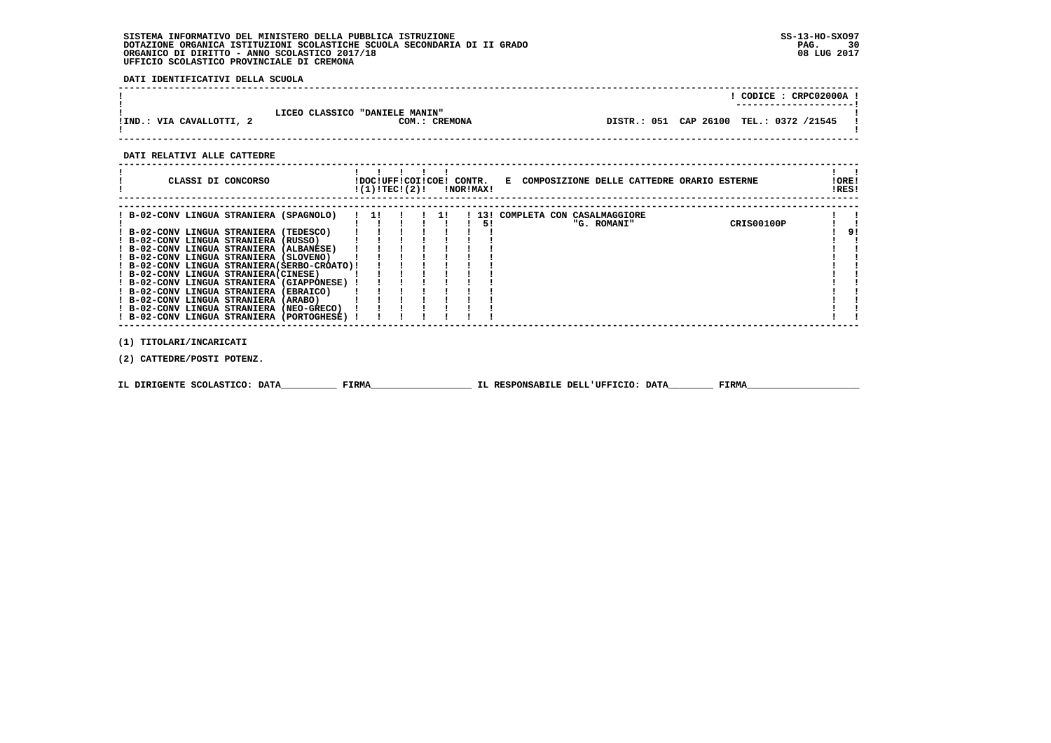**DATI IDENTIFICATIVI DELLA SCUOLA**

|                          |                                                 |  | CODICE: CRPC02000A<br>---------------------- |
|--------------------------|-------------------------------------------------|--|----------------------------------------------|
| !IND.: VIA CAVALLOTTI, 2 | LICEO CLASSICO "DANIELE MANIN"<br>COM.: CREMONA |  | DISTR.: 051 CAP 26100 TEL.: 0372 /21545      |

 **------------------------------------------------------------------------------------------------------------------------------------**

 **DATI RELATIVI ALLE CATTEDRE**

| CLASSI DI CONCORSO                                                              |  | !DOC!UFF!COI!COE! CONTR.<br>!(1)!TEC!(2)! |  |    | !NOR!MAX! |  | E COMPOSIZIONE DELLE CATTEDRE ORARIO ESTERNE |            | ! ORE!<br>!RES! |    |
|---------------------------------------------------------------------------------|--|-------------------------------------------|--|----|-----------|--|----------------------------------------------|------------|-----------------|----|
| ! B-02-CONV LINGUA STRANIERA (SPAGNOLO)                                         |  | 11                                        |  | 11 |           |  | 13! COMPLETA CON CASALMAGGIORE               |            |                 |    |
|                                                                                 |  |                                           |  |    | 51        |  | "G. ROMANI"                                  | CRIS00100P |                 |    |
| ! B-02-CONV LINGUA STRANIERA (TEDESCO)                                          |  |                                           |  |    |           |  |                                              |            |                 | 9! |
| ! B-02-CONV LINGUA STRANIERA (RUSSO)<br>! B-02-CONV LINGUA STRANIERA (ALBANESE) |  |                                           |  |    |           |  |                                              |            |                 |    |
| ! B-02-CONV LINGUA STRANIERA (SLOVENO)                                          |  |                                           |  |    |           |  |                                              |            |                 |    |
| ! B-02-CONV LINGUA STRANIERA(SERBO-CROATO)!                                     |  |                                           |  |    |           |  |                                              |            |                 |    |
| ! B-02-CONV LINGUA STRANIERA (CINESE)                                           |  |                                           |  |    |           |  |                                              |            |                 |    |
| ! B-02-CONV LINGUA STRANIERA (GIAPPONESE) !                                     |  |                                           |  |    |           |  |                                              |            |                 |    |
| ! B-02-CONV LINGUA STRANIERA (EBRAICO)                                          |  |                                           |  |    |           |  |                                              |            |                 |    |
| ! B-02-CONV LINGUA STRANIERA (ARABO)                                            |  |                                           |  |    |           |  |                                              |            |                 |    |
| ! B-02-CONV LINGUA STRANIERA (NEO-GRECO)                                        |  |                                           |  |    |           |  |                                              |            |                 |    |
| ! B-02-CONV LINGUA STRANIERA (PORTOGHESE)                                       |  |                                           |  |    |           |  |                                              |            |                 |    |
|                                                                                 |  |                                           |  |    |           |  |                                              |            |                 |    |
| (1) TITOLARI/INCARICATI                                                         |  |                                           |  |    |           |  |                                              |            |                 |    |
| (2) CATTEDRE/POSTI POTENZ.                                                      |  |                                           |  |    |           |  |                                              |            |                 |    |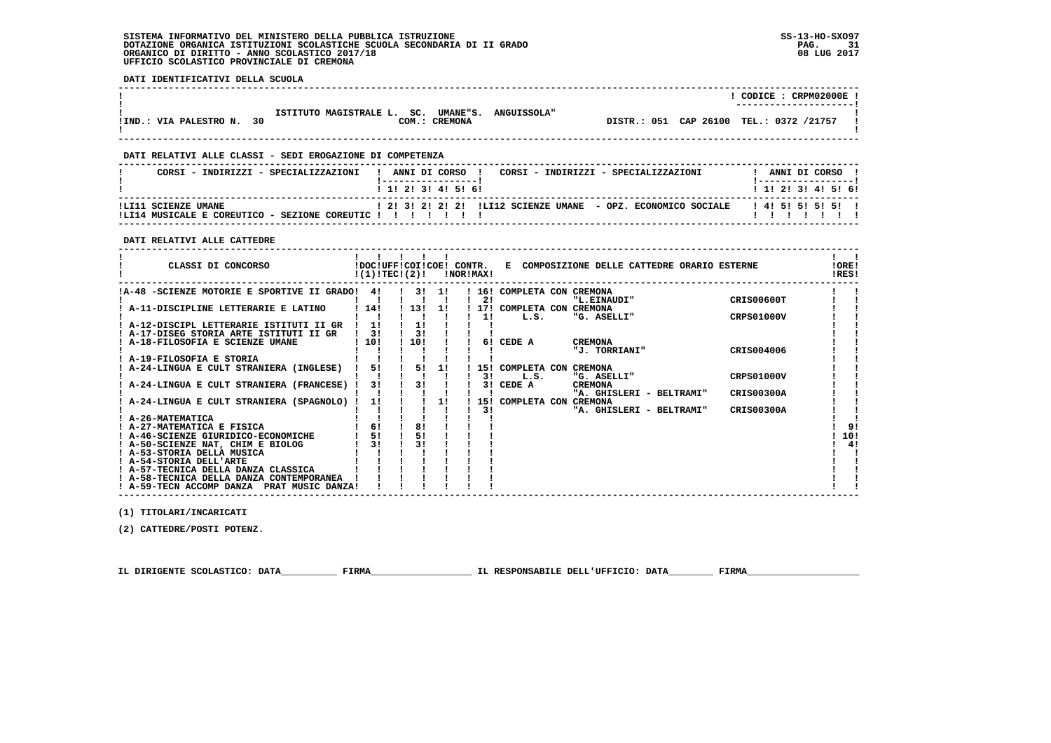**DATI IDENTIFICATIVI DELLA SCUOLA**

|                           |                                                      |                    |                                         | CODICE: CRPM02000E!<br>----------------------- |
|---------------------------|------------------------------------------------------|--------------------|-----------------------------------------|------------------------------------------------|
| IIND.: VIA PALESTRO N. 30 | ISTITUTO MAGISTRALE L. SC. UMANE"S.<br>COM.: CREMONA | <b>ANGUISSOLA"</b> | DISTR.: 051 CAP 26100 TEL.: 0372 /21757 |                                                |

### **DATI RELATIVI ALLE CLASSI - SEDI EROGAZIONE DI COMPETENZA**

| CORSI - INDIRIZZI - SPECIALIZZAZIONI                                       | CORSI - INDIRIZZI - SPECIALIZZAZIONI<br>ANNI DI CORSO<br>$1$ , 1! 2! 3! 4! 5! 6! | ANNI DI CORSO<br>1 1 1 2 1 3 1 4 1 5 1 6 1 |
|----------------------------------------------------------------------------|----------------------------------------------------------------------------------|--------------------------------------------|
| !LI11 SCIENZE UMANE<br>ILT14 MISTCALE E COREITTICO -<br>SEZIONE COREUTIC ! | ! 2! 3! 2! 2! 2! !LI12 SCIENZE UMANE - OPZ. ECONOMICO SOCIALE                    | 14151515151                                |

#### **DATI RELATIVI ALLE CATTEDRE**

| CLASSI DI CONCORSO                             | !DOC!UFF!COI!COE! CONTR.<br>!(1)!TEC!(2)! |           |    | !NOR!MAX! |                            | E COMPOSIZIONE DELLE CATTEDRE ORARIO ESTERNE |                   | !ORE!<br>!RES! |
|------------------------------------------------|-------------------------------------------|-----------|----|-----------|----------------------------|----------------------------------------------|-------------------|----------------|
| !A-48 -SCIENZE MOTORIE E SPORTIVE II GRADO! 4! |                                           | . . 3. 1. |    |           | ! 16! COMPLETA CON CREMONA |                                              |                   |                |
|                                                |                                           |           |    | 21        |                            | "L.EINAUDI"                                  | CRIS00600T        |                |
| A-11-DISCIPLINE LETTERARIE E LATINO            | 1141                                      | 113!      | 11 |           | 17! COMPLETA CON CREMONA   |                                              |                   |                |
|                                                |                                           |           |    | 11        | L.S.                       | "G. ASELLI"                                  | CRPS01000V        |                |
| ! A-12-DISCIPL LETTERARIE ISTITUTI II GR       |                                           |           |    |           |                            |                                              |                   |                |
| A-17-DISEG STORIA ARTE ISTITUTI II GR          | 31                                        | 31        |    |           |                            |                                              |                   |                |
| ! A-18-FILOSOFIA E SCIENZE UMANE               | 110!                                      | 110!      |    |           | 6! CEDE A                  | <b>CREMONA</b>                               |                   |                |
| A-19-FILOSOFIA E STORIA                        |                                           |           |    |           |                            | "J. TORRIANI"                                | CRIS004006        |                |
| A-24-LINGUA E CULT STRANIERA (INGLESE)         | 5!                                        | 5!        | 1! |           | 15! COMPLETA CON CREMONA   |                                              |                   |                |
|                                                |                                           |           |    | 31        | L.S.                       | "G. ASELLI"                                  | CRPS01000V        |                |
| A-24-LINGUA E CULT STRANIERA (FRANCESE) !      | 31                                        | 31        |    | 31        | CEDE A                     | <b>CREMONA</b>                               |                   |                |
|                                                |                                           |           |    |           |                            | "A. GHISLERI - BELTRAMI"                     | CRIS00300A        |                |
| A-24-LINGUA E CULT STRANIERA (SPAGNOLO) !      | 1!                                        |           | 1! |           | 15! COMPLETA CON CREMONA   |                                              |                   |                |
|                                                |                                           |           |    | 31        |                            | "A. GHISLERI - BELTRAMI"                     | <b>CRIS00300A</b> |                |
| A-26-MATEMATICA                                |                                           |           |    |           |                            |                                              |                   |                |
| ! A-27-MATEMATICA E FISICA                     | 6!                                        | 8!        |    |           |                            |                                              |                   | 9!             |
| ! A-46-SCIENZE GIURIDICO-ECONOMICHE            | 51                                        |           |    |           |                            |                                              |                   | 10!            |
| ! A-50-SCIENZE NAT, CHIM E BIOLOG              | 31                                        | 31        |    |           |                            |                                              |                   | 41             |
| ! A-53-STORIA DELLA MUSICA                     |                                           |           |    |           |                            |                                              |                   |                |
| ! A-54-STORIA DELL'ARTE                        |                                           |           |    |           |                            |                                              |                   |                |
| ! A-57-TECNICA DELLA DANZA CLASSICA            |                                           |           |    |           |                            |                                              |                   |                |
| ! A-58-TECNICA DELLA DANZA CONTEMPORANEA       |                                           |           |    |           |                            |                                              |                   |                |
| ! A-59-TECN ACCOMP DANZA<br>PRAT MUSIC DANZA!  |                                           |           |    |           |                            |                                              |                   |                |

 **(1) TITOLARI/INCARICATI**

 **(2) CATTEDRE/POSTI POTENZ.**

 **IL DIRIGENTE SCOLASTICO: DATA\_\_\_\_\_\_\_\_\_\_ FIRMA\_\_\_\_\_\_\_\_\_\_\_\_\_\_\_\_\_\_ IL RESPONSABILE DELL'UFFICIO: DATA\_\_\_\_\_\_\_\_ FIRMA\_\_\_\_\_\_\_\_\_\_\_\_\_\_\_\_\_\_\_\_**

 **------------------------------------------------------------------------------------------------------------------------------------**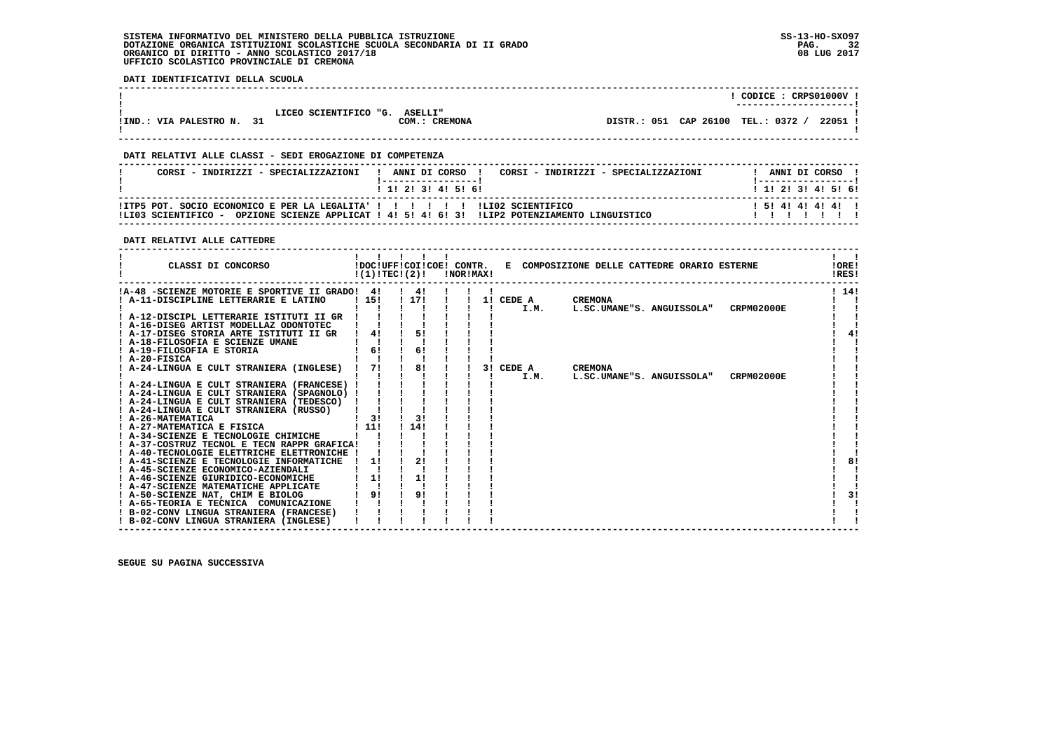**DATI IDENTIFICATIVI DELLA SCUOLA**

|                              |                       |                                 |                                    | CODICE: CRPS01000V:<br>---------------------- |
|------------------------------|-----------------------|---------------------------------|------------------------------------|-----------------------------------------------|
| 31<br>!IND.: VIA PALESTRO N. | LICEO SCIENTIFICO "G. | <b>ASELLI"</b><br>COM.: CREMONA | DISTR.: 051 CAP 26100 TEL.: 0372 / | 22051 !                                       |

### **DATI RELATIVI ALLE CLASSI - SEDI EROGAZIONE DI COMPETENZA**

| CORSI - INDIRIZZI - SPECIALIZZAZIONI                                                               | ANNI DI CORSO<br>CORSI - INDIRIZZI - SPECIALIZZAZIONI<br>1 1 1 2 1 3 1 4 1 5 1 6 1 | ANNI DI CORSO<br>1 1 1 2 1 3 1 4 1 5 1 6 1 |
|----------------------------------------------------------------------------------------------------|------------------------------------------------------------------------------------|--------------------------------------------|
| !ITP5 POT. SOCIO ECONOMICO E PER LA LEGALITA' ! ! !! !! ! !LI02 SCIENTIFICO<br>ILIO3 SCIENTIFICO - | OPZIONE SCIENZE APPLICAT ! 4! 5! 4! 6! 3! !LIP2 POTENZIAMENTO LINGUISTICO          | 15141414141                                |

 **------------------------------------------------------------------------------------------------------------------------------------**

### **DATI RELATIVI ALLE CATTEDRE**

| CLASSI DI CONCORSO                                                                                                                                                                                                                                                                                                                                                                                                                                                                                                                                                                       | 11111<br>$!(1)!TEC!(2)!$ $ NOR MAX!$ |                                    |  |                   | !DOC!UFF!COI!COE! CONTR. E COMPOSIZIONE DELLE CATTEDRE ORARIO ESTERNE | IORE <sub>1</sub><br>!RES! |
|------------------------------------------------------------------------------------------------------------------------------------------------------------------------------------------------------------------------------------------------------------------------------------------------------------------------------------------------------------------------------------------------------------------------------------------------------------------------------------------------------------------------------------------------------------------------------------------|--------------------------------------|------------------------------------|--|-------------------|-----------------------------------------------------------------------|----------------------------|
| !A-48 -SCIENZE MOTORIE E SPORTIVE II GRADO! 4!<br>! A-11-DISCIPLINE LETTERARIE E LATINO<br>! A-12-DISCIPL LETTERARIE ISTITUTI II GR<br>! A-16-DISEG ARTIST MODELLAZ ODONTOTEC<br>! A-17-DISEG STORIA ARTE ISTITUTI II GR<br>! A-18-FILOSOFIA E SCIENZE UMANE<br>! A-19-FILOSOFIA E STORIA<br>$I$ A-20-FISICA                                                                                                                                                                                                                                                                             | 115!<br>4!<br>61                     | $\frac{1}{4}$<br>! 17!<br>5!<br>61 |  | 1! CEDE A<br>I.M. | <b>CREMONA</b><br>CRPM02000E<br>L.SC.UMANE"S. ANGUISSOLA"             | 1141                       |
| ! A-24-LINGUA E CULT STRANIERA (INGLESE) !<br>! A-24-LINGUA E CULT STRANIERA (FRANCESE) !<br>! A-24-LINGUA E CULT STRANIERA (SPAGNOLO) !<br>! A-24-LINGUA E CULT STRANIERA (TEDESCO)<br>! A-24-LINGUA E CULT STRANIERA (RUSSO)<br>! A-26-MATEMATICA<br>! A-27-MATEMATICA E FISICA<br>! A-34-SCIENZE E TECNOLOGIE CHIMICHE<br>! A-37-COSTRUZ TECNOL E TECN RAPPR GRAFICA!<br>! A-40-TECNOLOGIE ELETTRICHE ELETTRONICHE !<br>! A-41-SCIENZE E TECNOLOGIE INFORMATICHE<br>! A-45-SCIENZE ECONOMICO-AZIENDALI<br>! A-46-SCIENZE GIURIDICO-ECONOMICHE<br>! A-47-SCIENZE MATEMATICHE APPLICATE | 71<br>31<br>111<br>1!<br>1!          | 8!<br>31<br>114!<br>2!<br>1!       |  | 3! CEDE A<br>I.M. | <b>CREMONA</b><br>CRPM02000E<br>L.SC.UMANE"S. ANGUISSOLA"             | 8!                         |
| ! A-50-SCIENZE NAT, CHIM E BIOLOG<br>! A-65-TEORIA E TECNICA COMUNICAZIONE<br>! B-02-CONV LINGUA STRANIERA (FRANCESE)<br>! B-02-CONV LINGUA STRANIERA (INGLESE)                                                                                                                                                                                                                                                                                                                                                                                                                          | 91                                   | 9!                                 |  |                   |                                                                       | 31                         |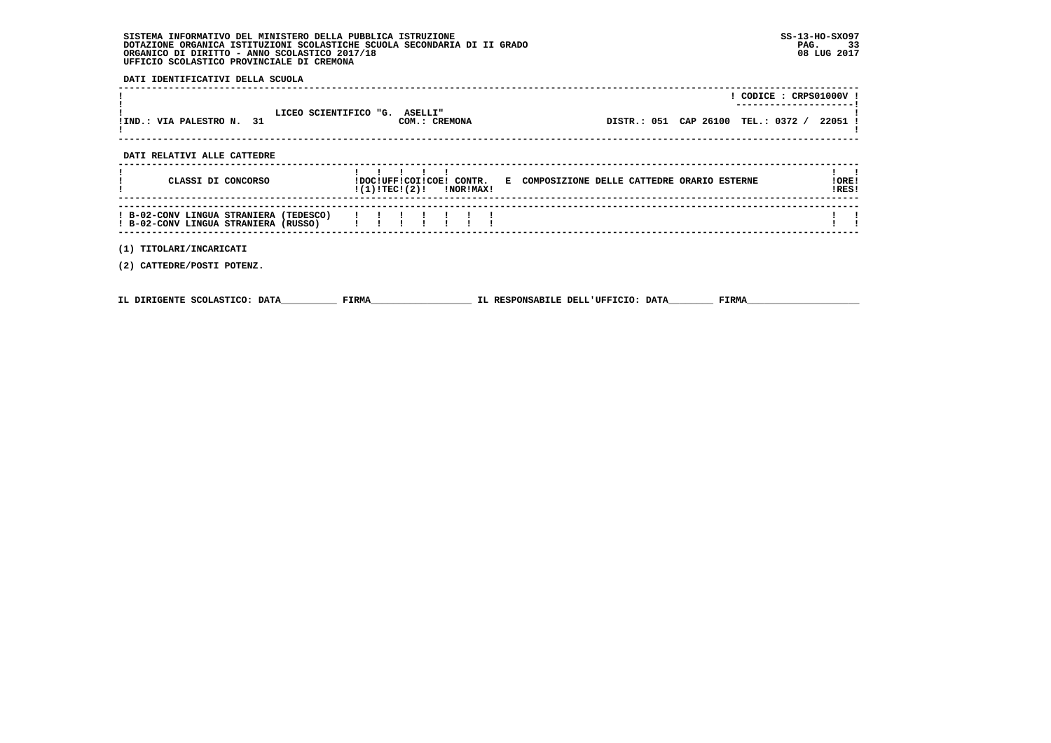**DATI IDENTIFICATIVI DELLA SCUOLA**

|                                                                                |                                                | $!$ CODICE : CRPS01000V !                                             |                |
|--------------------------------------------------------------------------------|------------------------------------------------|-----------------------------------------------------------------------|----------------|
| IIND.: VIA PALESTRO N. 31                                                      | LICEO SCIENTIFICO "G. ASELLI"<br>COM.: CREMONA | DISTR.: 051 CAP 26100 TEL.: 0372 / 22051 !                            |                |
| DATI RELATIVI ALLE CATTEDRE                                                    |                                                |                                                                       |                |
| CLASSI DI CONCORSO                                                             | $!(1)!TEC!(2)!$ $INORIMAX!$                    | !DOC!UFF!COI!COE! CONTR. E COMPOSIZIONE DELLE CATTEDRE ORARIO ESTERNE | !ORE!<br>!RES! |
| ! B-02-CONV LINGUA STRANIERA (TEDESCO)<br>! B-02-CONV LINGUA STRANIERA (RUSSO) |                                                |                                                                       |                |
| (1) TITOLARI/INCARICATI                                                        |                                                |                                                                       |                |
| (2) CATTEDRE/POSTI POTENZ.                                                     |                                                |                                                                       |                |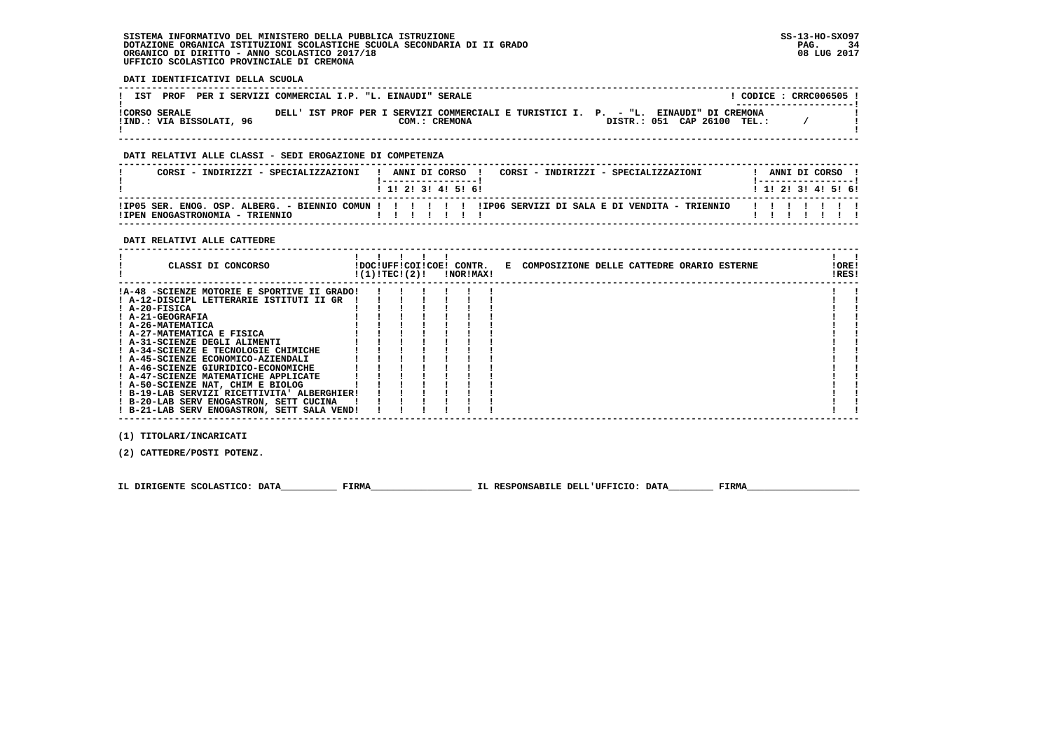**DATI IDENTIFICATIVI DELLA SCUOLA**

| <b>PROF</b><br>IST                               | PER I SERVIZI COMMERCIAL I.P. "L. EINAUDI" SERALE |               |                                                                                                                     | CODICE: CRRC006505 !<br>---------------------- |
|--------------------------------------------------|---------------------------------------------------|---------------|---------------------------------------------------------------------------------------------------------------------|------------------------------------------------|
| <b>!CORSO SERALE</b><br>!IND.: VIA BISSOLATI, 96 |                                                   | COM.: CREMONA | DELL' IST PROF PER I SERVIZI COMMERCIALI E TURISTICI I. P. - "L. EINAUDI" DI CREMONA<br>DISTR.: 051 CAP 26100 TEL.: |                                                |

 **------------------------------------------------------------------------------------------------------------------------------------**

### **DATI RELATIVI ALLE CLASSI - SEDI EROGAZIONE DI COMPETENZA**

| CORSI - INDIRIZZI - SPECIALIZZAZIONI                                                                                                         |  |  | ANNI DI CORSO<br>1 1 2 3 3 4 5 6 1 |  | CORSI - INDIRIZZI - SPECIALIZZAZIONI |  | ANNI DI CORSO  |  | 1 1 1 2 1 3 1 4 1 5 1 6 1 |
|----------------------------------------------------------------------------------------------------------------------------------------------|--|--|------------------------------------|--|--------------------------------------|--|----------------|--|---------------------------|
| IIP05 SER. ENOG. OSP. ALBERG. - BIENNIO COMUN ! ! ! ! ! ! ! IIP06 SERVIZI DI SALA E DI VENDITA - TRIENNIO<br>ITPEN ENOGASTRONOMIA - TRIENNIO |  |  |                                    |  |                                      |  | $\blacksquare$ |  |                           |

#### **DATI RELATIVI ALLE CATTEDRE**

| CLASSI DI CONCORSO                          | !(1)!TEC!(2)! |  | !NOR!MAX! | !DOC!UFF!COI!COE! CONTR. E COMPOSIZIONE DELLE CATTEDRE ORARIO ESTERNE | ! ORE!<br>IRES! |  |
|---------------------------------------------|---------------|--|-----------|-----------------------------------------------------------------------|-----------------|--|
| !A-48 -SCIENZE MOTORIE E SPORTIVE II GRADO! |               |  |           |                                                                       |                 |  |
| ! A-12-DISCIPL LETTERARIE ISTITUTI II GR    |               |  |           |                                                                       |                 |  |
| $I$ A-20-FISICA                             |               |  |           |                                                                       |                 |  |
| ! A-21-GEOGRAFIA                            |               |  |           |                                                                       |                 |  |
| ! A-26-MATEMATICA                           |               |  |           |                                                                       |                 |  |
| ! A-27-MATEMATICA E FISICA                  |               |  |           |                                                                       |                 |  |
| ! A-31-SCIENZE DEGLI ALIMENTI               |               |  |           |                                                                       |                 |  |
| ! A-34-SCIENZE E TECNOLOGIE CHIMICHE        |               |  |           |                                                                       |                 |  |
| ! A-45-SCIENZE ECONOMICO-AZIENDALI          |               |  |           |                                                                       |                 |  |
| ! A-46-SCIENZE GIURIDICO-ECONOMICHE         |               |  |           |                                                                       |                 |  |
| ! A-47-SCIENZE MATEMATICHE APPLICATE        |               |  |           |                                                                       |                 |  |
| ! A-50-SCIENZE NAT, CHIM E BIOLOG           |               |  |           |                                                                       |                 |  |
| ! B-19-LAB SERVIZI RICETTIVITA' ALBERGHIER! |               |  |           |                                                                       |                 |  |
| ! B-20-LAB SERV ENOGASTRON, SETT CUCINA     |               |  |           |                                                                       |                 |  |
| ! B-21-LAB SERV ENOGASTRON, SETT SALA VEND! |               |  |           |                                                                       |                 |  |
|                                             |               |  |           |                                                                       |                 |  |

 **(1) TITOLARI/INCARICATI**

 **(2) CATTEDRE/POSTI POTENZ.**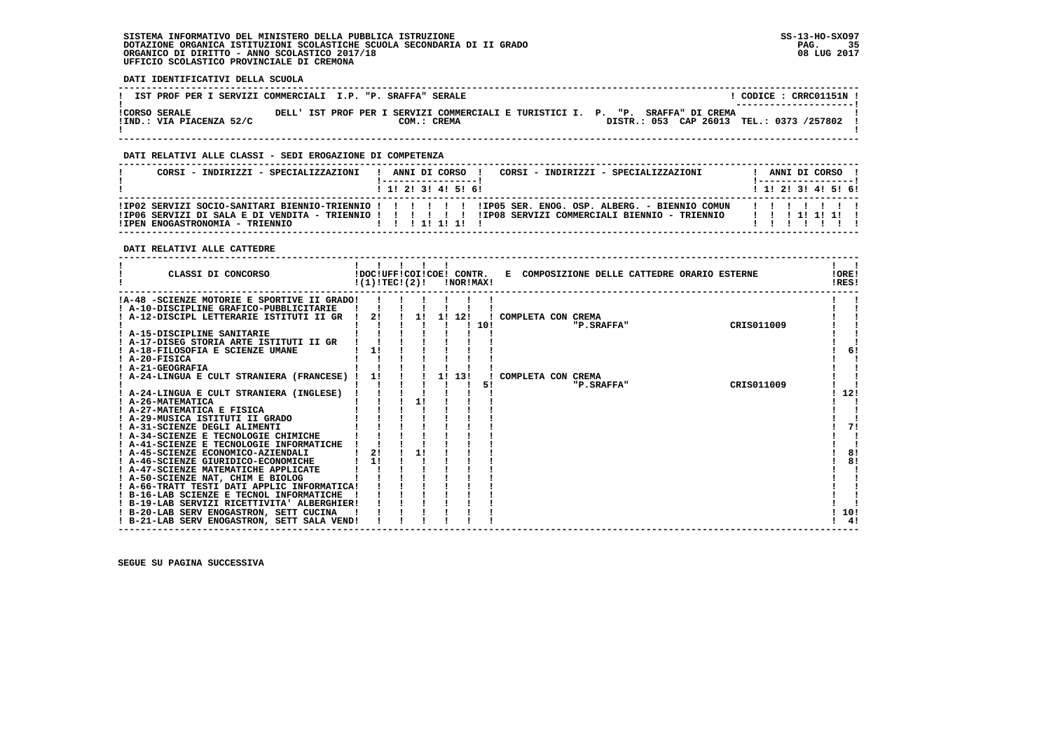**DATI IDENTIFICATIVI DELLA SCUOLA**

| IST PROF PER I SERVIZI COMMERCIALI I.P. "P. SRAFFA" SERALE |  |  |             |                                                                                 |  |                                          |  | CODICE: CRRC01151N !<br>--------------------- |
|------------------------------------------------------------|--|--|-------------|---------------------------------------------------------------------------------|--|------------------------------------------|--|-----------------------------------------------|
| <b>!CORSO SERALE</b><br>!IND.: VIA PIACENZA 52/C           |  |  | COM.: CREMA | DELL' IST PROF PER I SERVIZI COMMERCIALI E TURISTICI I. P. "P. SRAFFA" DI CREMA |  | DISTR.: 053 CAP 26013 TEL.: 0373 /257802 |  |                                               |

 **------------------------------------------------------------------------------------------------------------------------------------**

### **DATI RELATIVI ALLE CLASSI - SEDI EROGAZIONE DI COMPETENZA**

| CORSI - INDIRIZZI - SPECIALIZZAZIONI                                                                   |  |  | ANNI DI CORSO ! |  |  |  | CORSI - INDIRIZZI - SPECIALIZZAZIONI |         |  |  | ANNI DI CORSO !           |  |
|--------------------------------------------------------------------------------------------------------|--|--|-----------------|--|--|--|--------------------------------------|---------|--|--|---------------------------|--|
|                                                                                                        |  |  | 1 1 2 3 3 4 5 6 |  |  |  |                                      |         |  |  | 1 1 2 2 1 3 1 4 1 5 1 6 1 |  |
| IPO02 SERVIZI SOCIO-SANITARI BIENNIO-TRIENNIO ! ! ! ! ! ! IPO5 SER. ENOG. OSP. ALBERG. - BIENNIO COMUN |  |  |                 |  |  |  |                                      | 1111111 |  |  |                           |  |
|                                                                                                        |  |  |                 |  |  |  |                                      |         |  |  |                           |  |
| !IPEN ENOGASTRONOMIA - TRIENNIO                                                                        |  |  |                 |  |  |  |                                      |         |  |  |                           |  |

 **DATI RELATIVI ALLE CATTEDRE**

| CLASSI DI CONCORSO                          | !DOC!UFF!COI!COE! CONTR.<br>!(1)!TECI(2)! | $\blacksquare$<br>$\mathbf{I}$ |    | !NOR!MAX! |      |                    |            | E COMPOSIZIONE DELLE CATTEDRE ORARIO ESTERNE | !ORE!<br>!RES! |
|---------------------------------------------|-------------------------------------------|--------------------------------|----|-----------|------|--------------------|------------|----------------------------------------------|----------------|
| !A-48 -SCIENZE MOTORIE E SPORTIVE II GRADO! |                                           |                                |    |           |      |                    |            |                                              |                |
| ! A-10-DISCIPLINE GRAFICO-PUBBLICITARIE     |                                           |                                |    |           |      |                    |            |                                              |                |
| A-12-DISCIPL LETTERARIE ISTITUTI II GR      | 2!                                        |                                | 11 | 11 121    |      | COMPLETA CON CREMA |            |                                              |                |
|                                             |                                           |                                |    |           | 110! |                    | "P.SRAFFA" | CRIS011009                                   |                |
| ! A-15-DISCIPLINE SANITARIE                 |                                           |                                |    |           |      |                    |            |                                              |                |
| ! A-17-DISEG STORIA ARTE ISTITUTI II GR     |                                           |                                |    |           |      |                    |            |                                              |                |
| ! A-18-FILOSOFIA E SCIENZE UMANE            | 1!                                        |                                |    |           |      |                    |            |                                              | 6!             |
| ! A-20-FISICA<br><b>A-21-GEOGRAFIA</b>      |                                           |                                |    |           |      |                    |            |                                              |                |
| ! A-24-LINGUA E CULT STRANIERA (FRANCESE)   | 11                                        |                                |    | 1! 13!    |      | COMPLETA CON CREMA |            |                                              |                |
|                                             |                                           |                                |    |           | 51   |                    | "P.SRAFFA" | CRIS011009                                   |                |
| ! A-24-LINGUA E CULT STRANIERA (INGLESE)    |                                           |                                |    |           |      |                    |            |                                              | 12!            |
| ! A-26-MATEMATICA                           |                                           | 1!                             |    |           |      |                    |            |                                              |                |
| ! A-27-MATEMATICA E FISICA                  |                                           |                                |    |           |      |                    |            |                                              |                |
| ! A-29-MUSICA ISTITUTI II GRADO             |                                           |                                |    |           |      |                    |            |                                              |                |
| ! A-31-SCIENZE DEGLI ALIMENTI               |                                           |                                |    |           |      |                    |            |                                              | 71             |
| ! A-34-SCIENZE E TECNOLOGIE CHIMICHE        |                                           |                                |    |           |      |                    |            |                                              |                |
| ! A-41-SCIENZE E TECNOLOGIE INFORMATICHE    |                                           |                                |    |           |      |                    |            |                                              |                |
| ! A-45-SCIENZE ECONOMICO-AZIENDALI          | 21                                        |                                |    |           |      |                    |            |                                              | 8!             |
| ! A-46-SCIENZE GIURIDICO-ECONOMICHE         | 1!                                        |                                |    |           |      |                    |            |                                              | 8!             |
| ! A-47-SCIENZE MATEMATICHE APPLICATE        |                                           |                                |    |           |      |                    |            |                                              |                |
| A-50-SCIENZE NAT, CHIM E BIOLOG             |                                           |                                |    |           |      |                    |            |                                              |                |
| ! A-66-TRATT TESTI DATI APPLIC INFORMATICA! |                                           |                                |    |           |      |                    |            |                                              |                |
| ! B-16-LAB SCIENZE E TECNOL INFORMATICHE    |                                           |                                |    |           |      |                    |            |                                              |                |
| ! B-19-LAB SERVIZI RICETTIVITA' ALBERGHIER! |                                           |                                |    |           |      |                    |            |                                              |                |
| ! B-20-LAB SERV ENOGASTRON, SETT CUCINA     |                                           |                                |    |           |      |                    |            |                                              | 10!            |
| ! B-21-LAB SERV ENOGASTRON, SETT SALA VEND! |                                           |                                |    |           |      |                    |            |                                              | 4!             |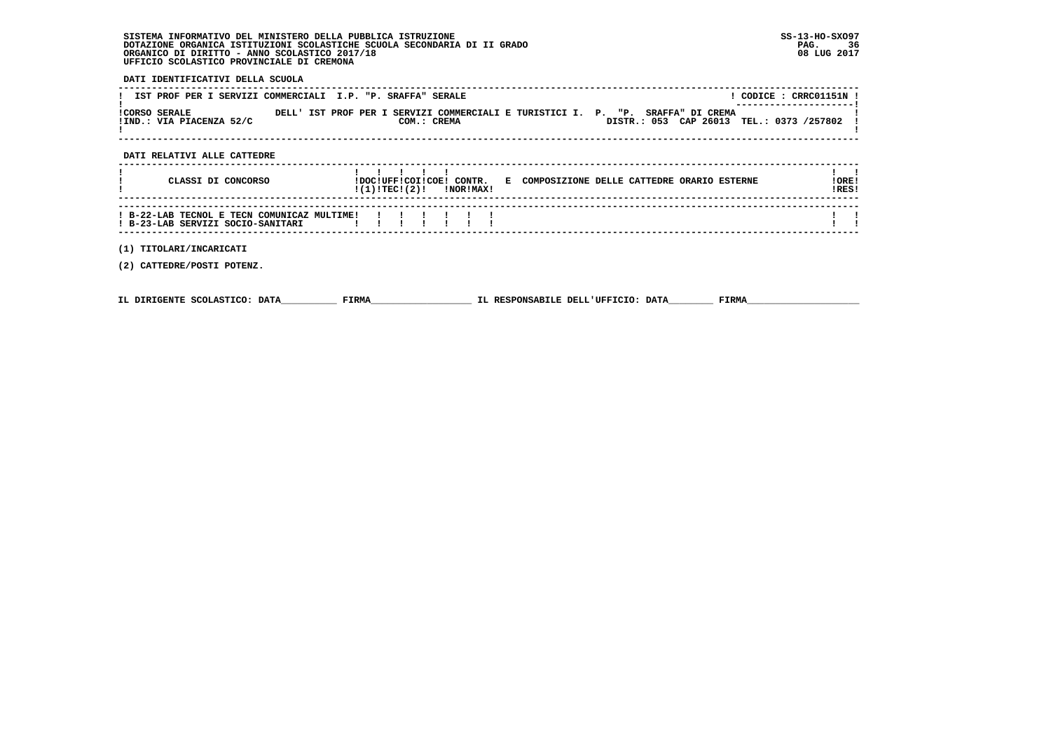### **DATI IDENTIFICATIVI DELLA SCUOLA**

|                      | IST PROF PER I SERVIZI COMMERCIALI I.P. "P. SRAFFA" SERALE |  |  |                                                                                                |  |  |  | CODICE: CRRC01151N !                                                |  |
|----------------------|------------------------------------------------------------|--|--|------------------------------------------------------------------------------------------------|--|--|--|---------------------------------------------------------------------|--|
| <b>ICORSO SERALE</b> | !IND.: VIA PIACENZA 52/C                                   |  |  | DELL' IST PROF PER I SERVIZI COMMERCIALI E TURISTICI I. P. "P. SRAFFA" DI CREMA<br>COM.: CREMA |  |  |  | ---------------------- <br>DISTR.: 053 CAP 26013 TEL.: 0373 /257802 |  |
|                      |                                                            |  |  |                                                                                                |  |  |  |                                                                     |  |

### **DATI RELATIVI ALLE CATTEDRE**

| CLASSI DI CONCORSO                                                               | !DOC!UFF!COI!COE! CONTR.<br>!(1)!TEC!(2)!                                                                       |  | INORIMAXI |  | E COMPOSIZIONE DELLE CATTEDRE ORARIO ESTERNE | !ORE!<br>IRES! |
|----------------------------------------------------------------------------------|-----------------------------------------------------------------------------------------------------------------|--|-----------|--|----------------------------------------------|----------------|
| ! B-22-LAB TECNOL E TECN COMUNICAZ MULTIME!<br>! B-23-LAB SERVIZI SOCIO-SANITARI | and the state of the state of the state of the state of the state of the state of the state of the state of the |  | 1111111   |  |                                              |                |

 **------------------------------------------------------------------------------------------------------------------------------------**

### **(1) TITOLARI/INCARICATI**

 **(2) CATTEDRE/POSTI POTENZ.**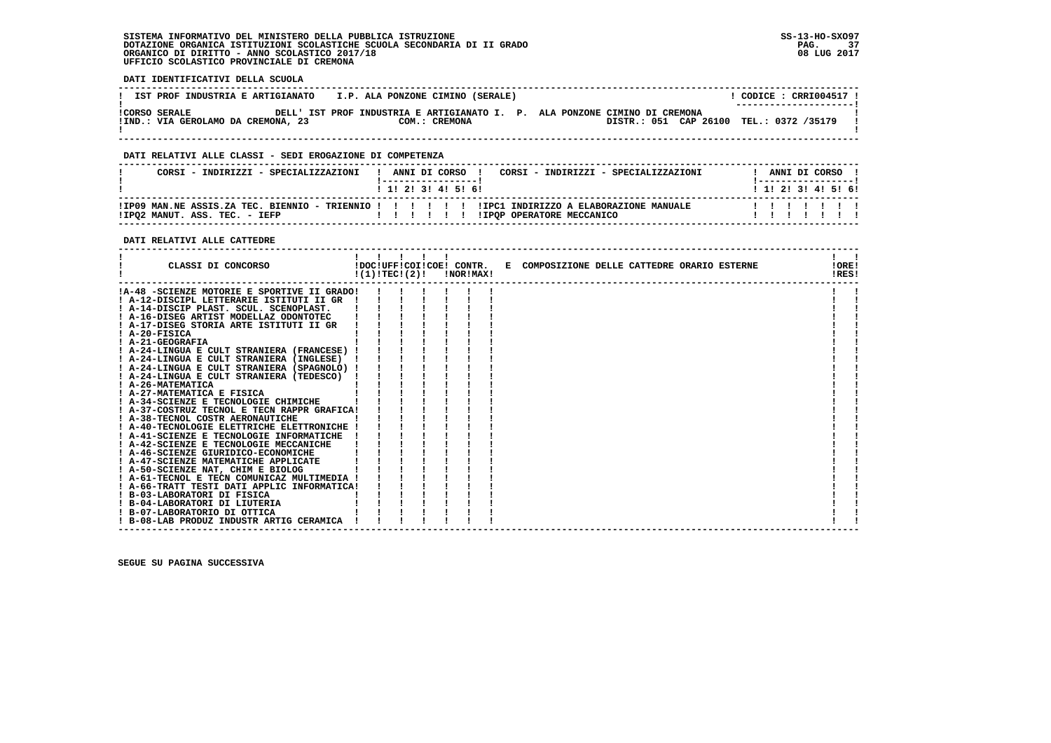**DATI IDENTIFICATIVI DELLA SCUOLA**

| IST PROF INDUSTRIA E ARTIGIANATO                           | I.P. ALA PONZONE CIMINO (SERALE) |                                                                                                                       | $CODE: CRRI004517$ !<br>---------------------- |
|------------------------------------------------------------|----------------------------------|-----------------------------------------------------------------------------------------------------------------------|------------------------------------------------|
| <b>!CORSO SERALE</b><br>!IND.: VIA GEROLAMO DA CREMONA, 23 | COM.: CREMONA                    | DELL' IST PROF INDUSTRIA E ARTIGIANATO I. P. ALA PONZONE CIMINO DI CREMONA<br>DISTR.: 051 CAP 26100 TEL.: 0372 /35179 |                                                |

 **------------------------------------------------------------------------------------------------------------------------------------**

### **DATI RELATIVI ALLE CLASSI - SEDI EROGAZIONE DI COMPETENZA**

| CORST - INDIRIZZI - SPECIALIZZAZIONI                                                                                              | 1 1 2 3 3 4 5 6 1 | ANNI DI CORSO |  |  |                           | CORST - INDIRIZZI - SPECIALIZZAZIONI | ANNI DI CORSO<br>1 1 1 2 1 3 1 4 1 5 1 6 1 |  |  |
|-----------------------------------------------------------------------------------------------------------------------------------|-------------------|---------------|--|--|---------------------------|--------------------------------------|--------------------------------------------|--|--|
| IPO9 MAN.NE ASSIS.ZA TEC. BIENNIO - TRIENNIO ! ! ! ! ! ! IIPC1 INDIRIZZO A ELABORAZIONE MANUALE!<br>!IPQ2 MANUT. ASS. TEC. - IEFP | .                 |               |  |  | IIPOP OPERATORE MECCANICO |                                      |                                            |  |  |

#### **DATI RELATIVI ALLE CATTEDRE**

| CLASSI DI CONCORSO                          | !(1)!TECI(2)! |  | !NOR!MAX! | !DOC!UFF!COI!COE! CONTR. E COMPOSIZIONE DELLE CATTEDRE ORARIO ESTERNE | !ORE!<br>!RES! |
|---------------------------------------------|---------------|--|-----------|-----------------------------------------------------------------------|----------------|
| !A-48 -SCIENZE MOTORIE E SPORTIVE II GRADO! |               |  |           |                                                                       |                |
| ! A-12-DISCIPL LETTERARIE ISTITUTI II GR    |               |  |           |                                                                       |                |
| ! A-14-DISCIP PLAST. SCUL. SCENOPLAST.      |               |  |           |                                                                       |                |
| ! A-16-DISEG ARTIST MODELLAZ ODONTOTEC      |               |  |           |                                                                       |                |
| ! A-17-DISEG STORIA ARTE ISTITUTI II GR     |               |  |           |                                                                       |                |
| $I$ A-20-FISICA                             |               |  |           |                                                                       |                |
| ! A-21-GEOGRAFIA                            |               |  |           |                                                                       |                |
| ! A-24-LINGUA E CULT STRANIERA (FRANCESE) ! |               |  |           |                                                                       |                |
| ! A-24-LINGUA E CULT STRANIERA (INGLESE)    |               |  |           |                                                                       |                |
| ! A-24-LINGUA E CULT STRANIERA (SPAGNOLO) ! |               |  |           |                                                                       |                |
| A-24-LINGUA E CULT STRANIERA (TEDESCO)      |               |  |           |                                                                       |                |
| ! A-26-MATEMATICA                           |               |  |           |                                                                       |                |
| ! A-27-MATEMATICA E FISICA                  |               |  |           |                                                                       |                |
| ! A-34-SCIENZE E TECNOLOGIE CHIMICHE        |               |  |           |                                                                       |                |
| ! A-37-COSTRUZ TECNOL E TECN RAPPR GRAFICA! |               |  |           |                                                                       |                |
| ! A-38-TECNOL COSTR AERONAUTICHE            |               |  |           |                                                                       |                |
| ! A-40-TECNOLOGIE ELETTRICHE ELETTRONICHE ! |               |  |           |                                                                       |                |
| ! A-41-SCIENZE E TECNOLOGIE INFORMATICHE    |               |  |           |                                                                       |                |
| ! A-42-SCIENZE E TECNOLOGIE MECCANICHE      |               |  |           |                                                                       |                |
| A-46-SCIENZE GIURIDICO-ECONOMICHE           |               |  |           |                                                                       |                |
| ! A-47-SCIENZE MATEMATICHE APPLICATE        |               |  |           |                                                                       |                |
| ! A-50-SCIENZE NAT, CHIM E BIOLOG           |               |  |           |                                                                       |                |
| ! A-61-TECNOL E TECN COMUNICAZ MULTIMEDIA ! |               |  |           |                                                                       |                |
| ! A-66-TRATT TESTI DATI APPLIC INFORMATICA! |               |  |           |                                                                       |                |
| ! B-03-LABORATORI DI FISICA                 |               |  |           |                                                                       |                |
| ! B-04-LABORATORI DI LIUTERIA               |               |  |           |                                                                       |                |
| ! B-07-LABORATORIO DI OTTICA                |               |  |           |                                                                       |                |
| ! B-08-LAB PRODUZ INDUSTR ARTIG CERAMICA    |               |  |           |                                                                       |                |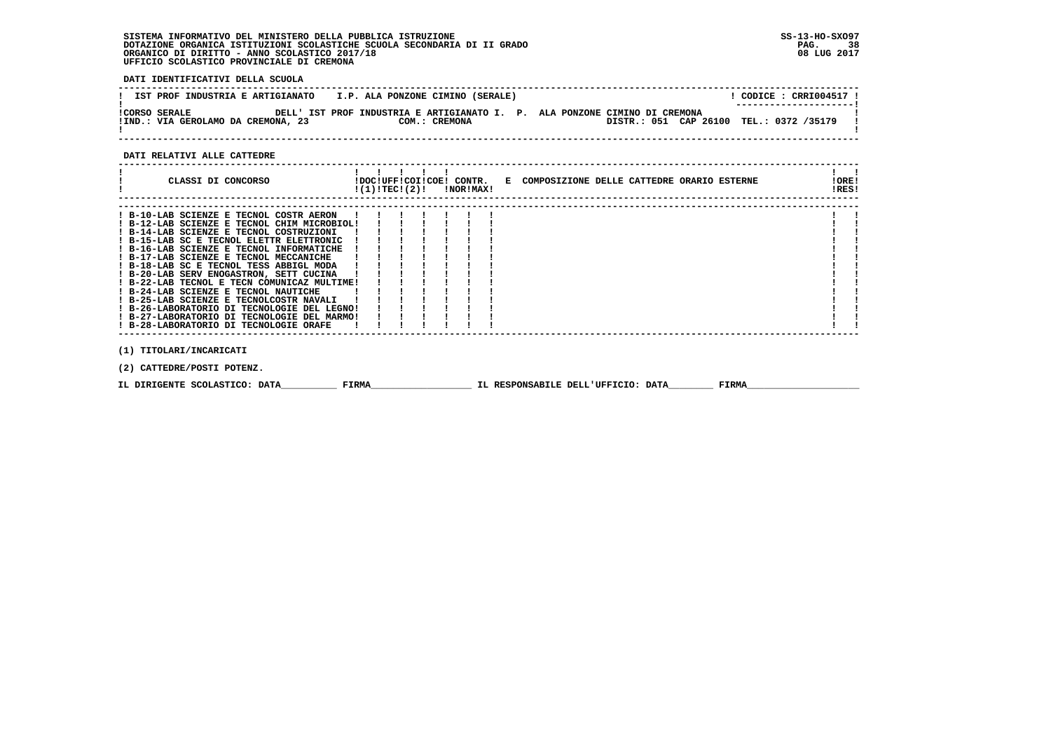**DATI IDENTIFICATIVI DELLA SCUOLA**

| IST PROF INDUSTRIA E ARTIGIANATO                           | I.P. ALA PONZONE CIMINO (SERALE) |                                                                                                                       | $CODE: CRRI004517$ !<br>---------------------- |
|------------------------------------------------------------|----------------------------------|-----------------------------------------------------------------------------------------------------------------------|------------------------------------------------|
| <b>!CORSO SERALE</b><br>!IND.: VIA GEROLAMO DA CREMONA, 23 | COM.: CREMONA                    | DELL' IST PROF INDUSTRIA E ARTIGIANATO I. P. ALA PONZONE CIMINO DI CREMONA<br>DISTR.: 051 CAP 26100 TEL.: 0372 /35179 |                                                |

 **------------------------------------------------------------------------------------------------------------------------------------**

#### **DATI RELATIVI ALLE CATTEDRE**

| CLASSI DI CONCORSO                          | !(1)!TEC!(2)! |  | !DOC!UFF!COI!COE! CONTR.<br>!NOR!MAX! | E COMPOSIZIONE DELLE CATTEDRE ORARIO ESTERNE | !ORE!<br>!RES! |  |
|---------------------------------------------|---------------|--|---------------------------------------|----------------------------------------------|----------------|--|
| ! B-10-LAB SCIENZE E TECNOL COSTR AERON     |               |  |                                       |                                              |                |  |
| ! B-12-LAB SCIENZE E TECNOL CHIM MICROBIOL! |               |  |                                       |                                              |                |  |
| ! B-14-LAB SCIENZE E TECNOL COSTRUZIONI     |               |  |                                       |                                              |                |  |
| ! B-15-LAB SC E TECNOL ELETTR ELETTRONIC    |               |  |                                       |                                              |                |  |
| ! B-16-LAB SCIENZE E TECNOL INFORMATICHE    |               |  |                                       |                                              |                |  |
| ! B-17-LAB SCIENZE E TECNOL MECCANICHE      |               |  |                                       |                                              |                |  |
| ! B-18-LAB SC E TECNOL TESS ABBIGL MODA     |               |  |                                       |                                              |                |  |
| ! B-20-LAB SERV ENOGASTRON, SETT CUCINA     |               |  |                                       |                                              |                |  |
| ! B-22-LAB TECNOL E TECN COMUNICAZ MULTIME! |               |  |                                       |                                              |                |  |
| ! B-24-LAB SCIENZE E TECNOL NAUTICHE        |               |  |                                       |                                              |                |  |
| ! B-25-LAB SCIENZE E TECNOLCOSTR NAVALI     |               |  |                                       |                                              |                |  |
| ! B-26-LABORATORIO DI TECNOLOGIE DEL LEGNO! |               |  |                                       |                                              |                |  |
| ! B-27-LABORATORIO DI TECNOLOGIE DEL MARMO! |               |  |                                       |                                              |                |  |
| ! B-28-LABORATORIO DI TECNOLOGIE ORAFE      |               |  |                                       |                                              |                |  |
|                                             |               |  |                                       |                                              |                |  |
| (1) TITOLARI/INCARICATI                     |               |  |                                       |                                              |                |  |

 **(2) CATTEDRE/POSTI POTENZ.**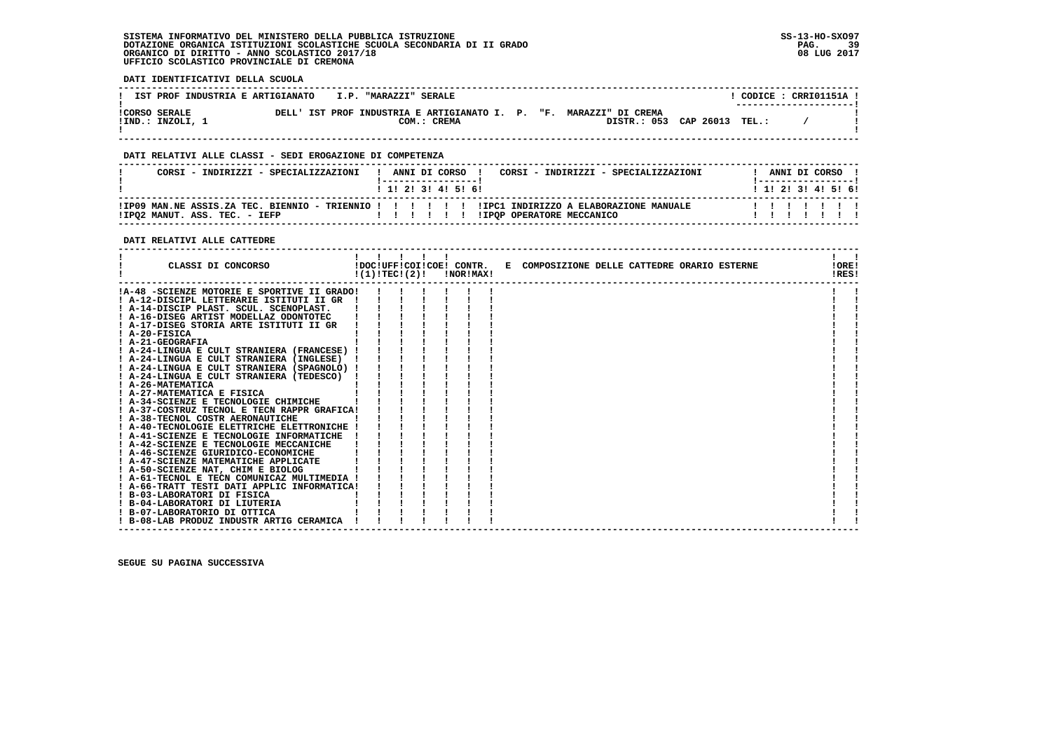**DATI IDENTIFICATIVI DELLA SCUOLA**

| IST PROF INDUSTRIA E ARTIGIANATO I.P. "MARAZZI" SERALE |  |             |  |                                                                                                   |  | CODICE: CRRIO1151A !<br>--------------------- |  |
|--------------------------------------------------------|--|-------------|--|---------------------------------------------------------------------------------------------------|--|-----------------------------------------------|--|
| <b>!CORSO SERALE</b><br>!IND.: INZOLI, 1               |  | COM.: CREMA |  | DELL' IST PROF INDUSTRIA E ARTIGIANATO I. P. "F. MARAZZI" DI CREMA<br>DISTR.: 053 CAP 26013 TEL.: |  |                                               |  |

 **------------------------------------------------------------------------------------------------------------------------------------**

### **DATI RELATIVI ALLE CLASSI - SEDI EROGAZIONE DI COMPETENZA**

| CORSI - INDIRIZZI - SPECIALIZZAZIONI | ANNI DI CORSO !<br>CORSI - INDIRIZZI - SPECIALIZZAZIONI<br>1 1 1 2 1 3 1 4 1 5 1 6 1                                             | ANNI DI CORSO<br>1 1 1 2 1 3 1 4 1 5 1 6 1 |
|--------------------------------------|----------------------------------------------------------------------------------------------------------------------------------|--------------------------------------------|
| !IPO2 MANUT. ASS. TEC. - IEFP        | IPO9 MAN.NE ASSIS.ZA TEC. BIENNIO - TRIENNIO ! ! ! ! ! !IPC1 INDIRIZZO A ELABORAZIONE MANUALE!<br>IIPOP OPERATORE MECCANICO<br>. | 1111111                                    |

 **------------------------------------------------------------------------------------------------------------------------------------**

### **DATI RELATIVI ALLE CATTEDRE**

| CLASSI DI CONCORSO                          | !(1)!TECI(2)! |  | !DOC!UFF!COI!COE! CONTR.<br>!NOR!MAX! | E COMPOSIZIONE DELLE CATTEDRE ORARIO ESTERNE | !ORE!<br>!RES! |  |
|---------------------------------------------|---------------|--|---------------------------------------|----------------------------------------------|----------------|--|
| !A-48 -SCIENZE MOTORIE E SPORTIVE II GRADO! |               |  |                                       |                                              |                |  |
| ! A-12-DISCIPL LETTERARIE ISTITUTI II GR    |               |  |                                       |                                              |                |  |
| ! A-14-DISCIP PLAST. SCUL. SCENOPLAST.      |               |  |                                       |                                              |                |  |
| ! A-16-DISEG ARTIST MODELLAZ ODONTOTEC      |               |  |                                       |                                              |                |  |
| ! A-17-DISEG STORIA ARTE ISTITUTI II GR     |               |  |                                       |                                              |                |  |
| $I$ A-20-FISICA                             |               |  |                                       |                                              |                |  |
| ! A-21-GEOGRAFIA                            |               |  |                                       |                                              |                |  |
| ! A-24-LINGUA E CULT STRANIERA (FRANCESE) ! |               |  |                                       |                                              |                |  |
| ! A-24-LINGUA E CULT STRANIERA (INGLESE)    |               |  |                                       |                                              |                |  |
| ! A-24-LINGUA E CULT STRANIERA (SPAGNOLO) ! |               |  |                                       |                                              |                |  |
| ! A-24-LINGUA E CULT STRANIERA (TEDESCO)    |               |  |                                       |                                              |                |  |
| ! A-26-MATEMATICA                           |               |  |                                       |                                              |                |  |
| ! A-27-MATEMATICA E FISICA                  |               |  |                                       |                                              |                |  |
| ! A-34-SCIENZE E TECNOLOGIE CHIMICHE        |               |  |                                       |                                              |                |  |
| ! A-37-COSTRUZ TECNOL E TECN RAPPR GRAFICA! |               |  |                                       |                                              |                |  |
| ! A-38-TECNOL COSTR AERONAUTICHE            |               |  |                                       |                                              |                |  |
| ! A-40-TECNOLOGIE ELETTRICHE ELETTRONICHE ! |               |  |                                       |                                              |                |  |
| ! A-41-SCIENZE E TECNOLOGIE INFORMATICHE    |               |  |                                       |                                              |                |  |
| ! A-42-SCIENZE E TECNOLOGIE MECCANICHE      |               |  |                                       |                                              |                |  |
| A-46-SCIENZE GIURIDICO-ECONOMICHE           |               |  |                                       |                                              |                |  |
| ! A-47-SCIENZE MATEMATICHE APPLICATE        |               |  |                                       |                                              |                |  |
| ! A-50-SCIENZE NAT, CHIM E BIOLOG           |               |  |                                       |                                              |                |  |
| ! A-61-TECNOL E TECN COMUNICAZ MULTIMEDIA ! |               |  |                                       |                                              |                |  |
| ! A-66-TRATT TESTI DATI APPLIC INFORMATICA! |               |  |                                       |                                              |                |  |
| ! B-03-LABORATORI DI FISICA                 |               |  |                                       |                                              |                |  |
| ! B-04-LABORATORI DI LIUTERIA               |               |  |                                       |                                              |                |  |
| ! B-07-LABORATORIO DI OTTICA                |               |  |                                       |                                              |                |  |
| ! B-08-LAB PRODUZ INDUSTR ARTIG CERAMICA    |               |  |                                       |                                              |                |  |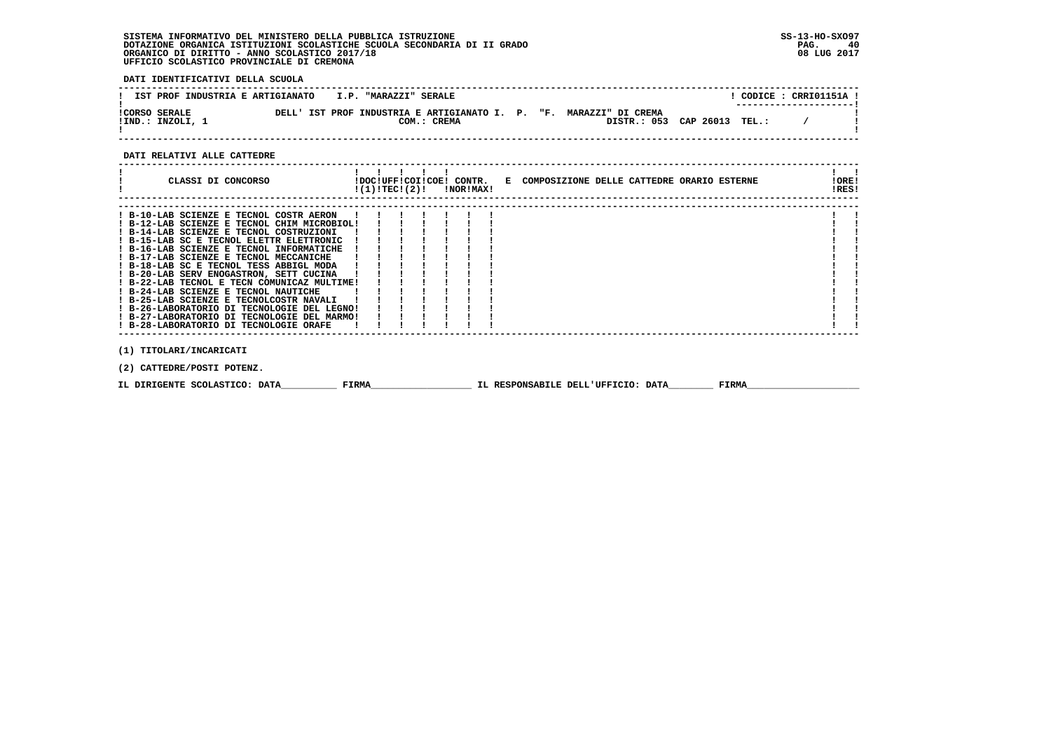**DATI IDENTIFICATIVI DELLA SCUOLA**

| IST PROF INDUSTRIA E ARTIGIANATO         |  | I.P. "MARAZZI" SERALE |             |  |                                                                                                   |  | CODICE: CRRI01151A !<br>---------------------- |  |
|------------------------------------------|--|-----------------------|-------------|--|---------------------------------------------------------------------------------------------------|--|------------------------------------------------|--|
| <b>!CORSO SERALE</b><br>!IND.: INZOLI, 1 |  |                       | COM.: CREMA |  | DELL' IST PROF INDUSTRIA E ARTIGIANATO I. P. "F. MARAZZI" DI CREMA<br>DISTR.: 053 CAP 26013 TEL.: |  |                                                |  |

 **------------------------------------------------------------------------------------------------------------------------------------**

### **DATI RELATIVI ALLE CATTEDRE**

| CLASSI DI CONCORSO                                    | !(1)!TEC!(2)! |  | !NOR!MAX! | !DOC!UFF!COI!COE! CONTR. E COMPOSIZIONE DELLE CATTEDRE ORARIO ESTERNE |  |  |  | !ORE!<br>!RES! |  |
|-------------------------------------------------------|---------------|--|-----------|-----------------------------------------------------------------------|--|--|--|----------------|--|
|                                                       |               |  |           |                                                                       |  |  |  |                |  |
| ! B-10-LAB SCIENZE E TECNOL COSTR AERON               |               |  |           |                                                                       |  |  |  |                |  |
| ! B-12-LAB SCIENZE E TECNOL CHIM MICROBIOL!           |               |  |           |                                                                       |  |  |  |                |  |
| ! B-14-LAB SCIENZE E TECNOL COSTRUZIONI               |               |  |           |                                                                       |  |  |  |                |  |
| ! B-15-LAB SC E TECNOL ELETTR ELETTRONIC              |               |  |           |                                                                       |  |  |  |                |  |
| ! B-16-LAB SCIENZE E TECNOL INFORMATICHE              |               |  |           |                                                                       |  |  |  |                |  |
| ! B-17-LAB SCIENZE E TECNOL MECCANICHE                |               |  |           |                                                                       |  |  |  |                |  |
| ! B-18-LAB SC E TECNOL TESS ABBIGL MODA               |               |  |           |                                                                       |  |  |  |                |  |
| ! B-20-LAB SERV ENOGASTRON, SETT CUCINA               |               |  |           |                                                                       |  |  |  |                |  |
| ! B-22-LAB TECNOL E TECN COMUNICAZ MULTIME!           |               |  |           |                                                                       |  |  |  |                |  |
| ! B-24-LAB SCIENZE E TECNOL NAUTICHE                  |               |  |           |                                                                       |  |  |  |                |  |
| ! B-25-LAB SCIENZE E TECNOLCOSTR NAVALI               |               |  |           |                                                                       |  |  |  |                |  |
| ! B-26-LABORATORIO DI TECNOLOGIE DEL LEGNO!           |               |  |           |                                                                       |  |  |  |                |  |
| ! B-27-LABORATORIO DI TECNOLOGIE DEL MARMO!           |               |  |           |                                                                       |  |  |  |                |  |
| ! B-28-LABORATORIO DI TECNOLOGIE ORAFE                |               |  |           |                                                                       |  |  |  |                |  |
|                                                       |               |  |           |                                                                       |  |  |  |                |  |
| (1) TITOLARI/INCARICATI<br>(2) CATTEDRE/POSTI POTENZ. |               |  |           |                                                                       |  |  |  |                |  |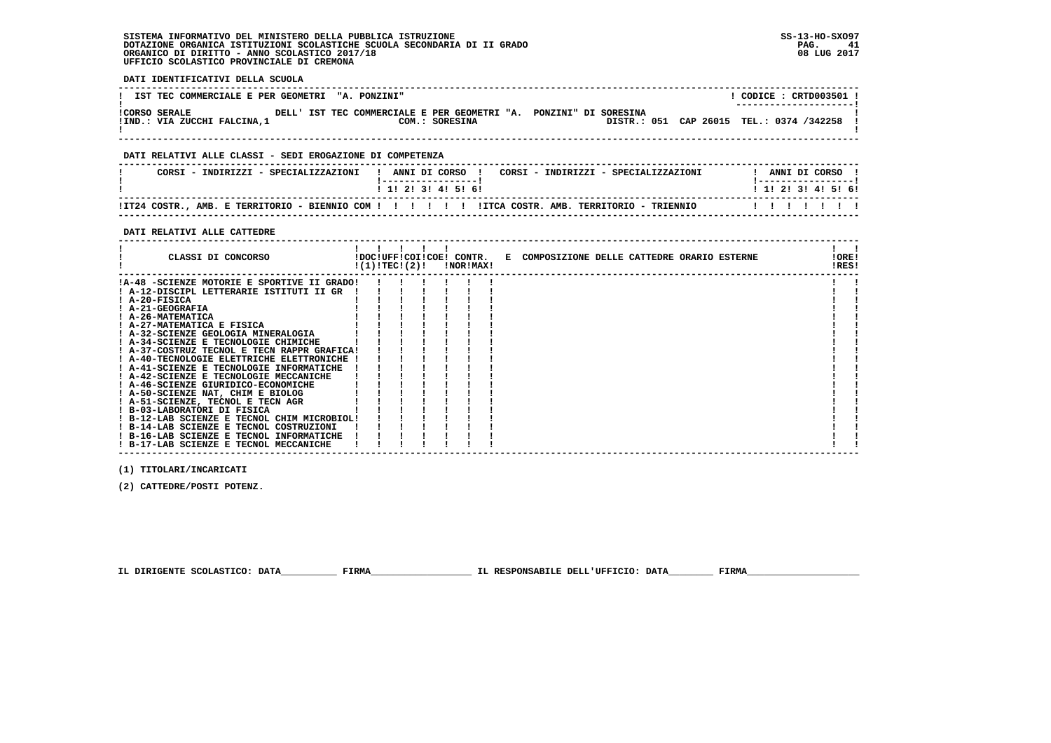| DATI IDENTIFICATIVI DELLA SCUOLA                                                                                                                                                                                                                                                                                                                                                                                                                                                                                                                          |                                    |
|-----------------------------------------------------------------------------------------------------------------------------------------------------------------------------------------------------------------------------------------------------------------------------------------------------------------------------------------------------------------------------------------------------------------------------------------------------------------------------------------------------------------------------------------------------------|------------------------------------|
| IST TEC COMMERCIALE E PER GEOMETRI "A. PONZINI"                                                                                                                                                                                                                                                                                                                                                                                                                                                                                                           | $!$ CODICE : CRTD003501 !          |
| ICORSO SERALE DELL' IST TEC COMMERCIALE E PER GEOMETRI "A. PONZINI" DI SORESINA<br>!IND.: VIA ZUCCHI FALCINA,1 (2001) COM.: SORESINA (2001) DISTR.: 051 CAP 26015 TEL.: 0374 /342258 [                                                                                                                                                                                                                                                                                                                                                                    |                                    |
| DATI RELATIVI ALLE CLASSI - SEDI EROGAZIONE DI COMPETENZA                                                                                                                                                                                                                                                                                                                                                                                                                                                                                                 |                                    |
| CORSI - INDIRIZZI - SPECIALIZZAZIONI   ANNI DI CORSO   CORSI - INDIRIZZI - SPECIALIZZAZIONI     ANNI DI CORSO                                                                                                                                                                                                                                                                                                                                                                                                                                             |                                    |
| 1 1 2 3 3 4 5 5 6 9                                                                                                                                                                                                                                                                                                                                                                                                                                                                                                                                       |                                    |
|                                                                                                                                                                                                                                                                                                                                                                                                                                                                                                                                                           |                                    |
| DATI RELATIVI ALLE CATTEDRE<br>--------------------------<br>CLASSI DI CONCORSO           IDOC!UFF!COI!COE! CONTR.   E COMPOSIZIONE DELLE CATTEDRE ORARIO ESTERNE                                                                                                                                                                                                                                                                                                                                                                                         | $\mathbf{1}$ $\mathbf{1}$<br>!ORE! |
| $!(1)!TEC!(2)!$ $INORIMAX!$<br>!A-48 -SCIENZE MOTORIE E SPORTIVE II GRADO! ! ! ! ! ! !                                                                                                                                                                                                                                                                                                                                                                                                                                                                    | !RES!                              |
| ! A-12-DISCIPL LETTERARIE ISTITUTI II GR !!!<br>! A-20-FISICA<br>! A-21-GEOGRAFIA<br>! A-26-MATEMATICA<br>! A-27-MATEMATICA E FISICA<br>$1 \quad 1 \quad 1 \quad 1$<br>! A-32-SCIENZE GEOLOGIA MINERALOGIA<br>! A-34-SCIENZE E TECNOLOGIE CHIMICHE<br>! A-37-COSTRUZ TECNOL E TECN RAPPR GRAFICA!<br>! A-40-TECNOLOGIE ELETTRICHE ELETTRONICHE !<br>! A-41-SCIENZE E TECNOLOGIE INFORMATICHE !<br>! A-42-SCIENZE E TECNOLOGIE MECCANICHE<br>! A-46-SCIENZE GIURIDICO-ECONOMICHE<br>! A-50-SCIENZE NAT, CHIM E BIOLOG<br>! A-51-SCIENZE, TECNOL E TECN AGR |                                    |
| ! B-03-LABORATORI DI FISICA<br>! B-12-LAB SCIENZE E TECNOL CHIM MICROBIOL!<br>! B-14-LAB SCIENZE E TECNOL COSTRUZIONI                                                                                                                                                                                                                                                                                                                                                                                                                                     |                                    |

 **(1) TITOLARI/INCARICATI**

 **(2) CATTEDRE/POSTI POTENZ.**

 **------------------------------------------------------------------------------------------------------------------------------------**

 **IL DIRIGENTE SCOLASTICO: DATA\_\_\_\_\_\_\_\_\_\_ FIRMA\_\_\_\_\_\_\_\_\_\_\_\_\_\_\_\_\_\_ IL RESPONSABILE DELL'UFFICIO: DATA\_\_\_\_\_\_\_\_ FIRMA\_\_\_\_\_\_\_\_\_\_\_\_\_\_\_\_\_\_\_\_**

 **! B-16-LAB SCIENZE E TECNOL INFORMATICHE ! ! ! ! ! ! ! ! ! ! B-17-LAB SCIENZE E TECNOL MECCANICHE ! ! ! ! ! ! ! ! !**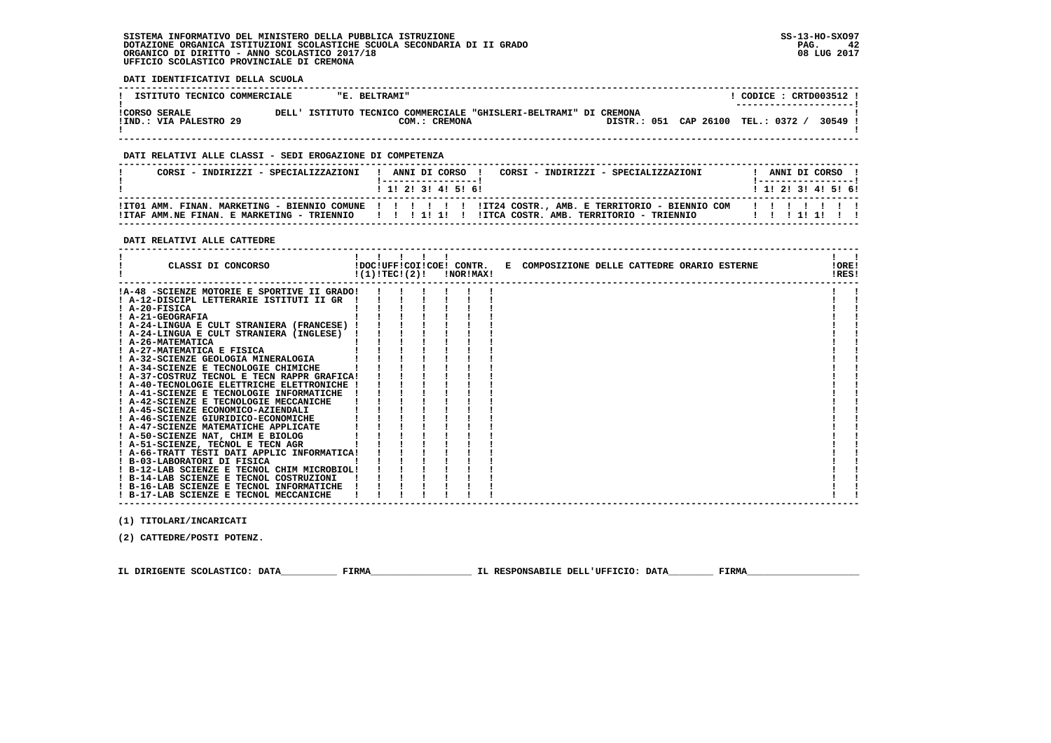**DATI IDENTIFICATIVI DELLA SCUOLA**

| ISTITUTO TECNICO COMMERCIALE                   |       | "E. BELTRAMI"                                                                |  |  |                       |                | $CODE: CRTD003512$ !<br>--------------------- |
|------------------------------------------------|-------|------------------------------------------------------------------------------|--|--|-----------------------|----------------|-----------------------------------------------|
| <b>!CORSO SERALE</b><br>!IND.: VIA PALESTRO 29 | DELL' | ISTITUTO TECNICO COMMERCIALE "GHISLERI-BELTRAMI" DI CREMONA<br>COM.: CREMONA |  |  | DISTR.: 051 CAP 26100 | TEL.: 0372 $/$ | 30549                                         |

 **------------------------------------------------------------------------------------------------------------------------------------**

### **DATI RELATIVI ALLE CLASSI - SEDI EROGAZIONE DI COMPETENZA**

| CORSI - INDIRIZZI - SPECIALIZZAZIONI | ! ANNI DI CORSO !<br>CORSI - INDIRIZZI - SPECIALIZZAZIONI<br>1 1 2 3 3 4 5 5 6                                                                                                                                                  | ANNI DI CORSO<br>1 1 1 2 1 3 1 4 1 5 1 6 1 |
|--------------------------------------|---------------------------------------------------------------------------------------------------------------------------------------------------------------------------------------------------------------------------------|--------------------------------------------|
|                                      | ! ITO1 AMM. FINAN. MARKETING - BIENNIO COMUNE ! ! ! !! !! !IT24 COSTR., AMB. E TERRITORIO - BIENNIO COM ! ! !!! !! !!<br>!ITAF AMM.NE FINAN. E MARKETING - TRIENNIO   !!!!!!!!!!ITCA COSTR. AMB. TERRITORIO - TRIENNIO   !!!!!! |                                            |

#### **DATI RELATIVI ALLE CATTEDRE**

| CLASSI DI CONCORSO                          | !(1)!TEC!(2)! |  | !NOR!MAX! | !DOC!UFF!COI!COE! CONTR. E COMPOSIZIONE DELLE CATTEDRE ORARIO ESTERNE |  |  | IORE <sub>1</sub><br>!RES! |  |
|---------------------------------------------|---------------|--|-----------|-----------------------------------------------------------------------|--|--|----------------------------|--|
| !A-48 -SCIENZE MOTORIE E SPORTIVE II GRADO! |               |  |           |                                                                       |  |  |                            |  |
| ! A-12-DISCIPL LETTERARIE ISTITUTI II GR    |               |  |           |                                                                       |  |  |                            |  |
| $I$ A-20-FISICA                             |               |  |           |                                                                       |  |  |                            |  |
| ! A-21-GEOGRAFIA                            |               |  |           |                                                                       |  |  |                            |  |
| ! A-24-LINGUA E CULT STRANIERA (FRANCESE) ! |               |  |           |                                                                       |  |  |                            |  |
| ! A-24-LINGUA E CULT STRANIERA (INGLESE)    |               |  |           |                                                                       |  |  |                            |  |
| ! A-26-MATEMATICA                           |               |  |           |                                                                       |  |  |                            |  |
| ! A-27-MATEMATICA E FISICA                  |               |  |           |                                                                       |  |  |                            |  |
| ! A-32-SCIENZE GEOLOGIA MINERALOGIA         |               |  |           |                                                                       |  |  |                            |  |
| ! A-34-SCIENZE E TECNOLOGIE CHIMICHE        |               |  |           |                                                                       |  |  |                            |  |
| ! A-37-COSTRUZ TECNOL E TECN RAPPR GRAFICA! |               |  |           |                                                                       |  |  |                            |  |
| ! A-40-TECNOLOGIE ELETTRICHE ELETTRONICHE ! |               |  |           |                                                                       |  |  |                            |  |
| ! A-41-SCIENZE E TECNOLOGIE INFORMATICHE    |               |  |           |                                                                       |  |  |                            |  |
| ! A-42-SCIENZE E TECNOLOGIE MECCANICHE      |               |  |           |                                                                       |  |  |                            |  |
| ! A-45-SCIENZE ECONOMICO-AZIENDALI          |               |  |           |                                                                       |  |  |                            |  |
| ! A-46-SCIENZE GIURIDICO-ECONOMICHE         |               |  |           |                                                                       |  |  |                            |  |
| ! A-47-SCIENZE MATEMATICHE APPLICATE        |               |  |           |                                                                       |  |  |                            |  |
| ! A-50-SCIENZE NAT, CHIM E BIOLOG           |               |  |           |                                                                       |  |  |                            |  |
| ! A-51-SCIENZE, TECNOL E TECN AGR           |               |  |           |                                                                       |  |  |                            |  |
| ! A-66-TRATT TESTI DATI APPLIC INFORMATICA! |               |  |           |                                                                       |  |  |                            |  |
| ! B-03-LABORATORI DI FISICA                 |               |  |           |                                                                       |  |  |                            |  |
| ! B-12-LAB SCIENZE E TECNOL CHIM MICROBIOL! |               |  |           |                                                                       |  |  |                            |  |
| ! B-14-LAB SCIENZE E TECNOL COSTRUZIONI     |               |  |           |                                                                       |  |  |                            |  |
| ! B-16-LAB SCIENZE E TECNOL INFORMATICHE    |               |  |           |                                                                       |  |  |                            |  |
| ! B-17-LAB SCIENZE E TECNOL MECCANICHE      |               |  |           |                                                                       |  |  |                            |  |
|                                             |               |  |           |                                                                       |  |  |                            |  |

 **(1) TITOLARI/INCARICATI**

 **(2) CATTEDRE/POSTI POTENZ.**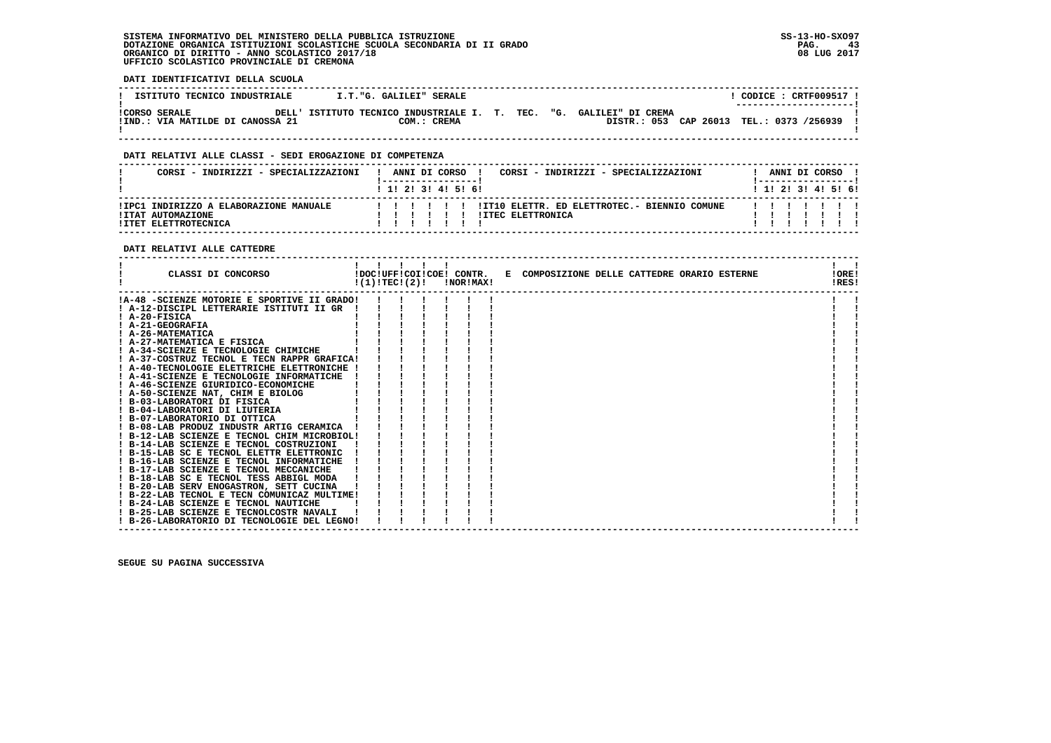**DATI IDENTIFICATIVI DELLA SCUOLA**

| ISTITUTO TECNICO INDUSTRIALE                             | I.T. G. GALILEI" SERALE                                                            |  |                                          | CODICE: CRTF009517 !<br>--------------------- |  |
|----------------------------------------------------------|------------------------------------------------------------------------------------|--|------------------------------------------|-----------------------------------------------|--|
| <b>!CORSO SERALE</b><br>!IND.: VIA MATILDE DI CANOSSA 21 | DELL' ISTITUTO TECNICO INDUSTRIALE I. T. TEC. "G. GALILEI" DI CREMA<br>COM.: CREMA |  | DISTR.: 053 CAP 26013 TEL.: 0373 /256939 |                                               |  |

 **------------------------------------------------------------------------------------------------------------------------------------**

### **DATI RELATIVI ALLE CLASSI - SEDI EROGAZIONE DI COMPETENZA**

| CORSI - INDIRIZZI - SPECIALIZZAZIONI                                                |  | ANNI DI CORSO<br>! 1! 2! 3! 4! 5! 6! |  | CORSI - INDIRIZZI - SPECIALIZZAZIONI                                     | ANNI DI CORSO !<br>$1 \; 1 \; 2 \; 3 \; 1 \; 4 \; 5 \; 6 \; 6$ |  |  |
|-------------------------------------------------------------------------------------|--|--------------------------------------|--|--------------------------------------------------------------------------|----------------------------------------------------------------|--|--|
| !IPC1 INDIRIZZO A ELABORAZIONE MANUALE<br>!ITAT AUTOMAZIONE<br>!ITET ELETTROTECNICA |  | 111111                               |  | !IT10 ELETTR. ED ELETTROTEC.- BIENNIO COMUNE<br><b>!ITEC ELETTRONICA</b> |                                                                |  |  |

### **DATI RELATIVI ALLE CATTEDRE**

| CLASSI DI CONCORSO                          | !(1)!TECI(2)! | $\blacksquare$ |  | <b>!NOR!MAX!</b> | !DOC!UFF!COI!COE! CONTR. E COMPOSIZIONE DELLE CATTEDRE ORARIO ESTERNE | IOREI<br>!RES! |  |
|---------------------------------------------|---------------|----------------|--|------------------|-----------------------------------------------------------------------|----------------|--|
| !A-48 -SCIENZE MOTORIE E SPORTIVE II GRADO! |               |                |  |                  |                                                                       |                |  |
| ! A-12-DISCIPL LETTERARIE ISTITUTI II GR    |               |                |  |                  |                                                                       |                |  |
| $I$ A-20-FISICA                             |               |                |  |                  |                                                                       |                |  |
| ! A-21-GEOGRAFIA                            |               |                |  |                  |                                                                       |                |  |
| ! A-26-MATEMATICA                           |               |                |  |                  |                                                                       |                |  |
| ! A-27-MATEMATICA E FISICA                  |               |                |  |                  |                                                                       |                |  |
| ! A-34-SCIENZE E TECNOLOGIE CHIMICHE        |               |                |  |                  |                                                                       |                |  |
| ! A-37-COSTRUZ TECNOL E TECN RAPPR GRAFICA! |               |                |  |                  |                                                                       |                |  |
| ! A-40-TECNOLOGIE ELETTRICHE ELETTRONICHE   |               |                |  |                  |                                                                       |                |  |
| ! A-41-SCIENZE E TECNOLOGIE INFORMATICHE    |               |                |  |                  |                                                                       |                |  |
| ! A-46-SCIENZE GIURIDICO-ECONOMICHE         |               |                |  |                  |                                                                       |                |  |
| ! A-50-SCIENZE NAT, CHIM E BIOLOG           |               |                |  |                  |                                                                       |                |  |
| ! B-03-LABORATORI DI FISICA                 |               |                |  |                  |                                                                       |                |  |
| ! B-04-LABORATORI DI LIUTERIA               |               |                |  |                  |                                                                       |                |  |
| ! B-07-LABORATORIO DI OTTICA                |               |                |  |                  |                                                                       |                |  |
| ! B-08-LAB PRODUZ INDUSTR ARTIG CERAMICA    |               |                |  |                  |                                                                       |                |  |
| ! B-12-LAB SCIENZE E TECNOL CHIM MICROBIOL! |               |                |  |                  |                                                                       |                |  |
| ! B-14-LAB SCIENZE E TECNOL COSTRUZIONI     |               |                |  |                  |                                                                       |                |  |
| ! B-15-LAB SC E TECNOL ELETTR ELETTRONIC    |               |                |  |                  |                                                                       |                |  |
| ! B-16-LAB SCIENZE E TECNOL INFORMATICHE    |               |                |  |                  |                                                                       |                |  |
| ! B-17-LAB SCIENZE E TECNOL MECCANICHE      |               |                |  |                  |                                                                       |                |  |
| ! B-18-LAB SC E TECNOL TESS ABBIGL MODA     |               |                |  |                  |                                                                       |                |  |
| ! B-20-LAB SERV ENOGASTRON, SETT CUCINA     |               |                |  |                  |                                                                       |                |  |
| ! B-22-LAB TECNOL E TECN COMUNICAZ MULTIME! |               |                |  |                  |                                                                       |                |  |
| ! B-24-LAB SCIENZE E TECNOL NAUTICHE        |               |                |  |                  |                                                                       |                |  |
| ! B-25-LAB SCIENZE E TECNOLCOSTR NAVALI     |               |                |  |                  |                                                                       |                |  |
| ! B-26-LABORATORIO DI TECNOLOGIE DEL LEGNO! |               |                |  |                  |                                                                       |                |  |